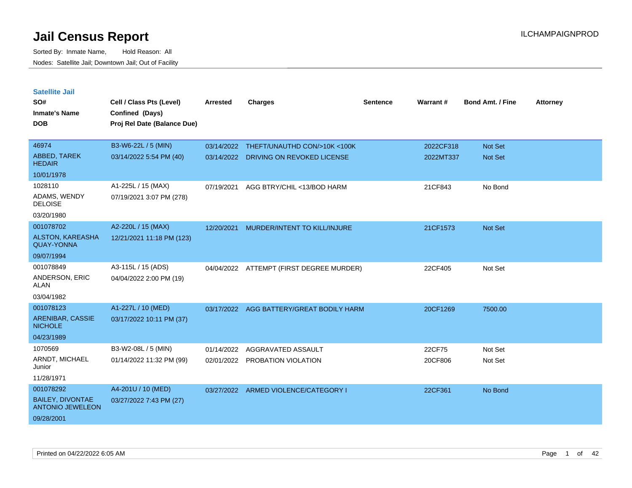| <b>Satellite Jail</b><br>SO#<br><b>Inmate's Name</b><br><b>DOB</b> | Cell / Class Pts (Level)<br>Confined (Days)<br>Proj Rel Date (Balance Due) | <b>Arrested</b> | <b>Charges</b>                | <b>Sentence</b> | Warrant#  | <b>Bond Amt. / Fine</b> | <b>Attorney</b> |
|--------------------------------------------------------------------|----------------------------------------------------------------------------|-----------------|-------------------------------|-----------------|-----------|-------------------------|-----------------|
| 46974                                                              | B3-W6-22L / 5 (MIN)                                                        | 03/14/2022      | THEFT/UNAUTHD CON/>10K <100K  |                 | 2022CF318 | <b>Not Set</b>          |                 |
| ABBED, TAREK<br><b>HEDAIR</b>                                      | 03/14/2022 5:54 PM (40)                                                    | 03/14/2022      | DRIVING ON REVOKED LICENSE    |                 | 2022MT337 | <b>Not Set</b>          |                 |
| 10/01/1978                                                         |                                                                            |                 |                               |                 |           |                         |                 |
| 1028110<br>ADAMS, WENDY<br><b>DELOISE</b>                          | A1-225L / 15 (MAX)<br>07/19/2021 3:07 PM (278)                             | 07/19/2021      | AGG BTRY/CHIL <13/BOD HARM    |                 | 21CF843   | No Bond                 |                 |
| 03/20/1980                                                         |                                                                            |                 |                               |                 |           |                         |                 |
| 001078702                                                          | A2-220L / 15 (MAX)                                                         | 12/20/2021      | MURDER/INTENT TO KILL/INJURE  |                 | 21CF1573  | <b>Not Set</b>          |                 |
| <b>ALSTON, KAREASHA</b><br><b>QUAY-YONNA</b>                       | 12/21/2021 11:18 PM (123)                                                  |                 |                               |                 |           |                         |                 |
| 09/07/1994                                                         |                                                                            |                 |                               |                 |           |                         |                 |
| 001078849                                                          | A3-115L / 15 (ADS)                                                         | 04/04/2022      | ATTEMPT (FIRST DEGREE MURDER) |                 | 22CF405   | Not Set                 |                 |
| <b>ANDERSON, ERIC</b><br>ALAN                                      | 04/04/2022 2:00 PM (19)                                                    |                 |                               |                 |           |                         |                 |
| 03/04/1982                                                         |                                                                            |                 |                               |                 |           |                         |                 |
| 001078123                                                          | A1-227L / 10 (MED)                                                         | 03/17/2022      | AGG BATTERY/GREAT BODILY HARM |                 | 20CF1269  | 7500.00                 |                 |
| <b>ARENIBAR, CASSIE</b><br><b>NICHOLE</b>                          | 03/17/2022 10:11 PM (37)                                                   |                 |                               |                 |           |                         |                 |
| 04/23/1989                                                         |                                                                            |                 |                               |                 |           |                         |                 |
| 1070569                                                            | B3-W2-08L / 5 (MIN)                                                        | 01/14/2022      | AGGRAVATED ASSAULT            |                 | 22CF75    | Not Set                 |                 |
| ARNDT, MICHAEL<br>Junior                                           | 01/14/2022 11:32 PM (99)                                                   | 02/01/2022      | PROBATION VIOLATION           |                 | 20CF806   | Not Set                 |                 |
| 11/28/1971                                                         |                                                                            |                 |                               |                 |           |                         |                 |
| 001078292                                                          | A4-201U / 10 (MED)                                                         | 03/27/2022      | ARMED VIOLENCE/CATEGORY I     |                 | 22CF361   | No Bond                 |                 |
| <b>BAILEY, DIVONTAE</b><br><b>ANTONIO JEWELEON</b>                 | 03/27/2022 7:43 PM (27)                                                    |                 |                               |                 |           |                         |                 |
| 09/28/2001                                                         |                                                                            |                 |                               |                 |           |                         |                 |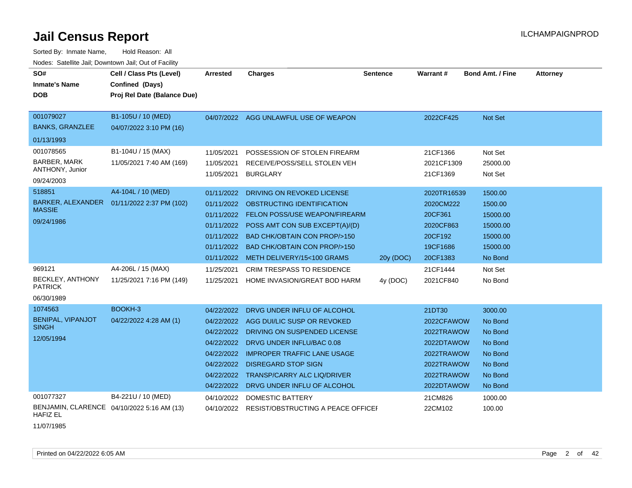Sorted By: Inmate Name, Hold Reason: All Nodes: Satellite Jail; Downtown Jail; Out of Facility

| SO#<br><b>Inmate's Name</b><br><b>DOB</b>                         | Cell / Class Pts (Level)<br>Confined (Days)<br>Proj Rel Date (Balance Due) | <b>Arrested</b>                                                                                              | <b>Charges</b>                                                                                                                                                                                                                                                   | <b>Sentence</b> | Warrant#                                                                                                 | <b>Bond Amt. / Fine</b>                                                              | <b>Attorney</b> |
|-------------------------------------------------------------------|----------------------------------------------------------------------------|--------------------------------------------------------------------------------------------------------------|------------------------------------------------------------------------------------------------------------------------------------------------------------------------------------------------------------------------------------------------------------------|-----------------|----------------------------------------------------------------------------------------------------------|--------------------------------------------------------------------------------------|-----------------|
| 001079027<br><b>BANKS, GRANZLEE</b>                               | B1-105U / 10 (MED)<br>04/07/2022 3:10 PM (16)                              |                                                                                                              | 04/07/2022 AGG UNLAWFUL USE OF WEAPON                                                                                                                                                                                                                            |                 | 2022CF425                                                                                                | Not Set                                                                              |                 |
| 01/13/1993                                                        |                                                                            |                                                                                                              |                                                                                                                                                                                                                                                                  |                 |                                                                                                          |                                                                                      |                 |
| 001078565<br><b>BARBER, MARK</b><br>ANTHONY, Junior<br>09/24/2003 | B1-104U / 15 (MAX)<br>11/05/2021 7:40 AM (169)                             | 11/05/2021<br>11/05/2021<br>11/05/2021                                                                       | POSSESSION OF STOLEN FIREARM<br>RECEIVE/POSS/SELL STOLEN VEH<br><b>BURGLARY</b>                                                                                                                                                                                  |                 | 21CF1366<br>2021CF1309<br>21CF1369                                                                       | Not Set<br>25000.00<br>Not Set                                                       |                 |
| 518851<br><b>MASSIE</b><br>09/24/1986                             | A4-104L / 10 (MED)<br>BARKER, ALEXANDER 01/11/2022 2:37 PM (102)           | 01/11/2022<br>01/11/2022<br>01/11/2022<br>01/11/2022<br>01/11/2022<br>01/11/2022<br>01/11/2022               | DRIVING ON REVOKED LICENSE<br>OBSTRUCTING IDENTIFICATION<br><b>FELON POSS/USE WEAPON/FIREARM</b><br>POSS AMT CON SUB EXCEPT(A)/(D)<br><b>BAD CHK/OBTAIN CON PROP/&gt;150</b><br><b>BAD CHK/OBTAIN CON PROP/&gt;150</b><br>METH DELIVERY/15<100 GRAMS             | 20y (DOC)       | 2020TR16539<br>2020CM222<br>20CF361<br>2020CF863<br>20CF192<br>19CF1686<br>20CF1383                      | 1500.00<br>1500.00<br>15000.00<br>15000.00<br>15000.00<br>15000.00<br>No Bond        |                 |
| 969121<br><b>BECKLEY, ANTHONY</b><br><b>PATRICK</b><br>06/30/1989 | A4-206L / 15 (MAX)<br>11/25/2021 7:16 PM (149)                             | 11/25/2021<br>11/25/2021                                                                                     | <b>CRIM TRESPASS TO RESIDENCE</b><br>HOME INVASION/GREAT BOD HARM                                                                                                                                                                                                | 4y (DOC)        | 21CF1444<br>2021CF840                                                                                    | Not Set<br>No Bond                                                                   |                 |
| 1074563<br>BENIPAL, VIPANJOT<br><b>SINGH</b><br>12/05/1994        | BOOKH-3<br>04/22/2022 4:28 AM (1)                                          | 04/22/2022<br>04/22/2022<br>04/22/2022<br>04/22/2022<br>04/22/2022<br>04/22/2022<br>04/22/2022<br>04/22/2022 | DRVG UNDER INFLU OF ALCOHOL<br>AGG DUI/LIC SUSP OR REVOKED<br>DRIVING ON SUSPENDED LICENSE<br>DRVG UNDER INFLU/BAC 0.08<br><b>IMPROPER TRAFFIC LANE USAGE</b><br><b>DISREGARD STOP SIGN</b><br><b>TRANSP/CARRY ALC LIQ/DRIVER</b><br>DRVG UNDER INFLU OF ALCOHOL |                 | 21DT30<br>2022CFAWOW<br>2022TRAWOW<br>2022DTAWOW<br>2022TRAWOW<br>2022TRAWOW<br>2022TRAWOW<br>2022DTAWOW | 3000.00<br>No Bond<br>No Bond<br>No Bond<br>No Bond<br>No Bond<br>No Bond<br>No Bond |                 |
| 001077327<br><b>HAFIZ EL</b>                                      | B4-221U / 10 (MED)<br>BENJAMIN, CLARENCE 04/10/2022 5:16 AM (13)           | 04/10/2022<br>04/10/2022                                                                                     | <b>DOMESTIC BATTERY</b><br>RESIST/OBSTRUCTING A PEACE OFFICEF                                                                                                                                                                                                    |                 | 21CM826<br>22CM102                                                                                       | 1000.00<br>100.00                                                                    |                 |

11/07/1985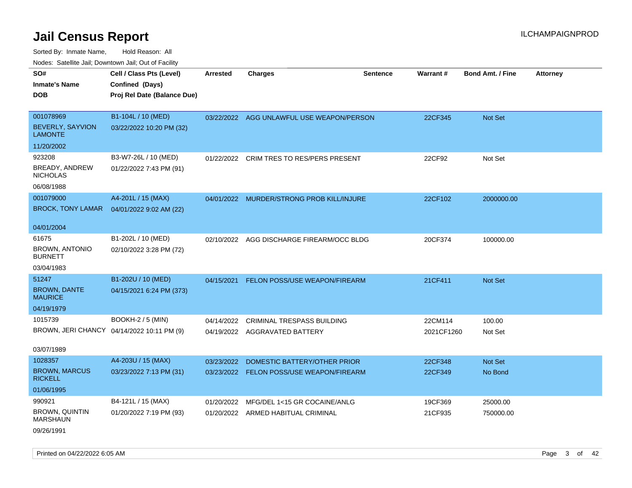Sorted By: Inmate Name, Hold Reason: All Nodes: Satellite Jail; Downtown Jail; Out of Facility

| SO#                                      | Cell / Class Pts (Level)                   | <b>Arrested</b> | <b>Charges</b>                            | <b>Sentence</b> | Warrant#   | <b>Bond Amt. / Fine</b> | <b>Attorney</b> |
|------------------------------------------|--------------------------------------------|-----------------|-------------------------------------------|-----------------|------------|-------------------------|-----------------|
| Inmate's Name                            | Confined (Days)                            |                 |                                           |                 |            |                         |                 |
| DOB                                      | Proj Rel Date (Balance Due)                |                 |                                           |                 |            |                         |                 |
|                                          |                                            |                 |                                           |                 |            |                         |                 |
| 001078969                                | B1-104L / 10 (MED)                         |                 | 03/22/2022 AGG UNLAWFUL USE WEAPON/PERSON |                 | 22CF345    | Not Set                 |                 |
| BEVERLY, SAYVION<br><b>LAMONTE</b>       | 03/22/2022 10:20 PM (32)                   |                 |                                           |                 |            |                         |                 |
| 11/20/2002                               |                                            |                 |                                           |                 |            |                         |                 |
| 923208                                   | B3-W7-26L / 10 (MED)                       | 01/22/2022      | CRIM TRES TO RES/PERS PRESENT             |                 | 22CF92     | Not Set                 |                 |
| BREADY, ANDREW<br><b>NICHOLAS</b>        | 01/22/2022 7:43 PM (91)                    |                 |                                           |                 |            |                         |                 |
| 06/08/1988                               |                                            |                 |                                           |                 |            |                         |                 |
| 001079000                                | A4-201L / 15 (MAX)                         | 04/01/2022      | MURDER/STRONG PROB KILL/INJURE            |                 | 22CF102    | 2000000.00              |                 |
| <b>BROCK, TONY LAMAR</b>                 | 04/01/2022 9:02 AM (22)                    |                 |                                           |                 |            |                         |                 |
|                                          |                                            |                 |                                           |                 |            |                         |                 |
| 04/01/2004                               |                                            |                 |                                           |                 |            |                         |                 |
| 61675                                    | B1-202L / 10 (MED)                         |                 | 02/10/2022 AGG DISCHARGE FIREARM/OCC BLDG |                 | 20CF374    | 100000.00               |                 |
| <b>BROWN, ANTONIO</b><br><b>BURNETT</b>  | 02/10/2022 3:28 PM (72)                    |                 |                                           |                 |            |                         |                 |
| 03/04/1983                               |                                            |                 |                                           |                 |            |                         |                 |
| 51247                                    | B1-202U / 10 (MED)                         | 04/15/2021      | FELON POSS/USE WEAPON/FIREARM             |                 | 21CF411    | <b>Not Set</b>          |                 |
| <b>BROWN, DANTE</b><br><b>MAURICE</b>    | 04/15/2021 6:24 PM (373)                   |                 |                                           |                 |            |                         |                 |
| 04/19/1979                               |                                            |                 |                                           |                 |            |                         |                 |
| 1015739                                  | BOOKH-2 / 5 (MIN)                          | 04/14/2022      | <b>CRIMINAL TRESPASS BUILDING</b>         |                 | 22CM114    | 100.00                  |                 |
|                                          | BROWN, JERI CHANCY 04/14/2022 10:11 PM (9) |                 | 04/19/2022 AGGRAVATED BATTERY             |                 | 2021CF1260 | Not Set                 |                 |
|                                          |                                            |                 |                                           |                 |            |                         |                 |
| 03/07/1989                               |                                            |                 |                                           |                 |            |                         |                 |
| 1028357                                  | A4-203U / 15 (MAX)                         | 03/23/2022      | DOMESTIC BATTERY/OTHER PRIOR              |                 | 22CF348    | Not Set                 |                 |
| <b>BROWN, MARCUS</b><br><b>RICKELL</b>   | 03/23/2022 7:13 PM (31)                    |                 | 03/23/2022 FELON POSS/USE WEAPON/FIREARM  |                 | 22CF349    | No Bond                 |                 |
| 01/06/1995                               |                                            |                 |                                           |                 |            |                         |                 |
| 990921                                   | B4-121L / 15 (MAX)                         | 01/20/2022      | MFG/DEL 1<15 GR COCAINE/ANLG              |                 | 19CF369    | 25000.00                |                 |
| <b>BROWN, QUINTIN</b><br><b>MARSHAUN</b> | 01/20/2022 7:19 PM (93)                    | 01/20/2022      | ARMED HABITUAL CRIMINAL                   |                 | 21CF935    | 750000.00               |                 |
|                                          |                                            |                 |                                           |                 |            |                         |                 |

09/26/1991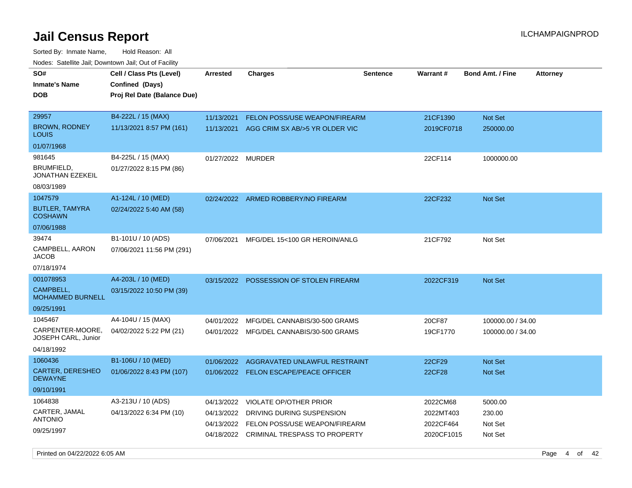Sorted By: Inmate Name, Hold Reason: All Nodes: Satellite Jail; Downtown Jail; Out of Facility

| SO#<br><b>Inmate's Name</b>               | Cell / Class Pts (Level)<br>Confined (Days) | <b>Arrested</b> | <b>Charges</b>                           | <b>Sentence</b> | Warrant#   | <b>Bond Amt. / Fine</b> | <b>Attorney</b> |
|-------------------------------------------|---------------------------------------------|-----------------|------------------------------------------|-----------------|------------|-------------------------|-----------------|
| DOB                                       | Proj Rel Date (Balance Due)                 |                 |                                          |                 |            |                         |                 |
| 29957                                     | B4-222L / 15 (MAX)                          | 11/13/2021      | <b>FELON POSS/USE WEAPON/FIREARM</b>     |                 | 21CF1390   | <b>Not Set</b>          |                 |
| <b>BROWN, RODNEY</b><br>LOUIS             | 11/13/2021 8:57 PM (161)                    | 11/13/2021      | AGG CRIM SX AB/>5 YR OLDER VIC           |                 | 2019CF0718 | 250000.00               |                 |
| 01/07/1968                                |                                             |                 |                                          |                 |            |                         |                 |
| 981645                                    | B4-225L / 15 (MAX)                          | 01/27/2022      | MURDER                                   |                 | 22CF114    | 1000000.00              |                 |
| BRUMFIELD,<br>JONATHAN EZEKEIL            | 01/27/2022 8:15 PM (86)                     |                 |                                          |                 |            |                         |                 |
| 08/03/1989                                |                                             |                 |                                          |                 |            |                         |                 |
| 1047579                                   | A1-124L / 10 (MED)                          | 02/24/2022      | ARMED ROBBERY/NO FIREARM                 |                 | 22CF232    | <b>Not Set</b>          |                 |
| <b>BUTLER, TAMYRA</b><br><b>COSHAWN</b>   | 02/24/2022 5:40 AM (58)                     |                 |                                          |                 |            |                         |                 |
| 07/06/1988                                |                                             |                 |                                          |                 |            |                         |                 |
| 39474                                     | B1-101U / 10 (ADS)                          | 07/06/2021      | MFG/DEL 15<100 GR HEROIN/ANLG            |                 | 21CF792    | Not Set                 |                 |
| CAMPBELL, AARON<br>JACOB                  | 07/06/2021 11:56 PM (291)                   |                 |                                          |                 |            |                         |                 |
| 07/18/1974                                |                                             |                 |                                          |                 |            |                         |                 |
| 001078953                                 | A4-203L / 10 (MED)                          |                 | 03/15/2022 POSSESSION OF STOLEN FIREARM  |                 | 2022CF319  | Not Set                 |                 |
| CAMPBELL,<br><b>MOHAMMED BURNELL</b>      | 03/15/2022 10:50 PM (39)                    |                 |                                          |                 |            |                         |                 |
| 09/25/1991                                |                                             |                 |                                          |                 |            |                         |                 |
| 1045467                                   | A4-104U / 15 (MAX)                          | 04/01/2022      | MFG/DEL CANNABIS/30-500 GRAMS            |                 | 20CF87     | 100000.00 / 34.00       |                 |
| CARPENTER-MOORE.<br>JOSEPH CARL, Junior   | 04/02/2022 5:22 PM (21)                     |                 | 04/01/2022 MFG/DEL CANNABIS/30-500 GRAMS |                 | 19CF1770   | 100000.00 / 34.00       |                 |
| 04/18/1992                                |                                             |                 |                                          |                 |            |                         |                 |
| 1060436                                   | B1-106U / 10 (MED)                          | 01/06/2022      | AGGRAVATED UNLAWFUL RESTRAINT            |                 | 22CF29     | <b>Not Set</b>          |                 |
| <b>CARTER, DERESHEO</b><br><b>DEWAYNE</b> | 01/06/2022 8:43 PM (107)                    |                 | 01/06/2022 FELON ESCAPE/PEACE OFFICER    |                 | 22CF28     | Not Set                 |                 |
| 09/10/1991                                |                                             |                 |                                          |                 |            |                         |                 |
| 1064838                                   | A3-213U / 10 (ADS)                          | 04/13/2022      | <b>VIOLATE OP/OTHER PRIOR</b>            |                 | 2022CM68   | 5000.00                 |                 |
| CARTER, JAMAL                             | 04/13/2022 6:34 PM (10)                     | 04/13/2022      | DRIVING DURING SUSPENSION                |                 | 2022MT403  | 230.00                  |                 |
| <b>ANTONIO</b>                            |                                             | 04/13/2022      | FELON POSS/USE WEAPON/FIREARM            |                 | 2022CF464  | Not Set                 |                 |
| 09/25/1997                                |                                             |                 | 04/18/2022 CRIMINAL TRESPASS TO PROPERTY |                 | 2020CF1015 | Not Set                 |                 |

Printed on 04/22/2022 6:05 AM Page 4 of 42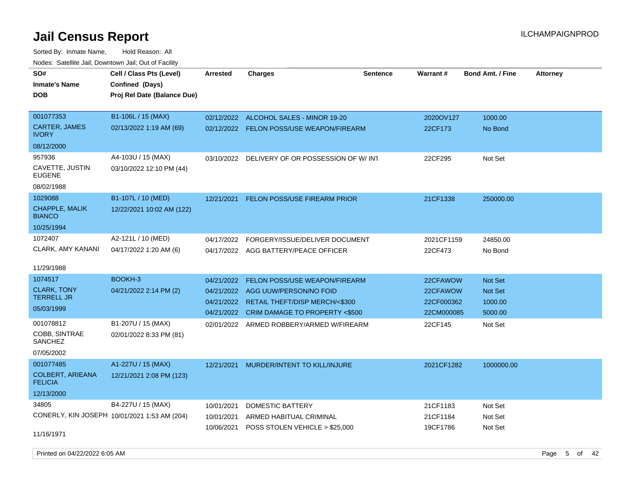Sorted By: Inmate Name, Hold Reason: All Nodes: Satellite Jail; Downtown Jail; Out of Facility

| SO#<br><b>Inmate's Name</b><br><b>DOB</b> | Cell / Class Pts (Level)<br>Confined (Days)<br>Proj Rel Date (Balance Due) | <b>Arrested</b> | <b>Charges</b>                           | <b>Sentence</b> | Warrant#   | <b>Bond Amt. / Fine</b> | <b>Attorney</b> |
|-------------------------------------------|----------------------------------------------------------------------------|-----------------|------------------------------------------|-----------------|------------|-------------------------|-----------------|
|                                           |                                                                            |                 |                                          |                 |            |                         |                 |
| 001077353                                 | B1-106L / 15 (MAX)                                                         | 02/12/2022      | ALCOHOL SALES - MINOR 19-20              |                 | 2020OV127  | 1000.00                 |                 |
| <b>CARTER, JAMES</b><br><b>IVORY</b>      | 02/13/2022 1:19 AM (69)                                                    |                 | 02/12/2022 FELON POSS/USE WEAPON/FIREARM |                 | 22CF173    | No Bond                 |                 |
| 08/12/2000                                |                                                                            |                 |                                          |                 |            |                         |                 |
| 957936                                    | A4-103U / 15 (MAX)                                                         | 03/10/2022      | DELIVERY OF OR POSSESSION OF W/INT       |                 | 22CF295    | Not Set                 |                 |
| CAVETTE, JUSTIN<br><b>EUGENE</b>          | 03/10/2022 12:10 PM (44)                                                   |                 |                                          |                 |            |                         |                 |
| 08/02/1988                                |                                                                            |                 |                                          |                 |            |                         |                 |
| 1029088                                   | B1-107L / 10 (MED)                                                         | 12/21/2021      | <b>FELON POSS/USE FIREARM PRIOR</b>      |                 | 21CF1338   | 250000.00               |                 |
| <b>CHAPPLE, MALIK</b><br><b>BIANCO</b>    | 12/22/2021 10:02 AM (122)                                                  |                 |                                          |                 |            |                         |                 |
| 10/25/1994                                |                                                                            |                 |                                          |                 |            |                         |                 |
| 1072407                                   | A2-121L / 10 (MED)                                                         | 04/17/2022      | FORGERY/ISSUE/DELIVER DOCUMENT           |                 | 2021CF1159 | 24850.00                |                 |
| <b>CLARK, AMY KANANI</b>                  | 04/17/2022 1:20 AM (6)                                                     |                 | 04/17/2022 AGG BATTERY/PEACE OFFICER     |                 | 22CF473    | No Bond                 |                 |
| 11/29/1988                                |                                                                            |                 |                                          |                 |            |                         |                 |
| 1074517                                   | BOOKH-3                                                                    | 04/21/2022      | <b>FELON POSS/USE WEAPON/FIREARM</b>     |                 | 22CFAWOW   | <b>Not Set</b>          |                 |
| <b>CLARK, TONY</b>                        | 04/21/2022 2:14 PM (2)                                                     | 04/21/2022      | AGG UUW/PERSON/NO FOID                   |                 | 22CFAWOW   | Not Set                 |                 |
| <b>TERRELL JR</b>                         |                                                                            | 04/21/2022      | RETAIL THEFT/DISP MERCH/<\$300           |                 | 22CF000362 | 1000.00                 |                 |
| 05/03/1999                                |                                                                            | 04/21/2022      | <b>CRIM DAMAGE TO PROPERTY &lt;\$500</b> |                 | 22CM000085 | 5000.00                 |                 |
| 001078812                                 | B1-207U / 15 (MAX)                                                         | 02/01/2022      | ARMED ROBBERY/ARMED W/FIREARM            |                 | 22CF145    | Not Set                 |                 |
| COBB, SINTRAE<br>SANCHEZ                  | 02/01/2022 8:33 PM (81)                                                    |                 |                                          |                 |            |                         |                 |
| 07/05/2002                                |                                                                            |                 |                                          |                 |            |                         |                 |
| 001077485                                 | A1-227U / 15 (MAX)                                                         | 12/21/2021      | MURDER/INTENT TO KILL/INJURE             |                 | 2021CF1282 | 1000000.00              |                 |
| <b>COLBERT, ARIEANA</b><br><b>FELICIA</b> | 12/21/2021 2:08 PM (123)                                                   |                 |                                          |                 |            |                         |                 |
| 12/13/2000                                |                                                                            |                 |                                          |                 |            |                         |                 |
| 34805                                     | B4-227U / 15 (MAX)                                                         | 10/01/2021      | DOMESTIC BATTERY                         |                 | 21CF1183   | Not Set                 |                 |
|                                           | CONERLY, KIN JOSEPH 10/01/2021 1:53 AM (204)                               | 10/01/2021      | ARMED HABITUAL CRIMINAL                  |                 | 21CF1184   | Not Set                 |                 |
| 11/16/1971                                |                                                                            | 10/06/2021      | POSS STOLEN VEHICLE > \$25,000           |                 | 19CF1786   | Not Set                 |                 |
|                                           |                                                                            |                 |                                          |                 |            |                         |                 |

Printed on 04/22/2022 6:05 AM Page 5 of 42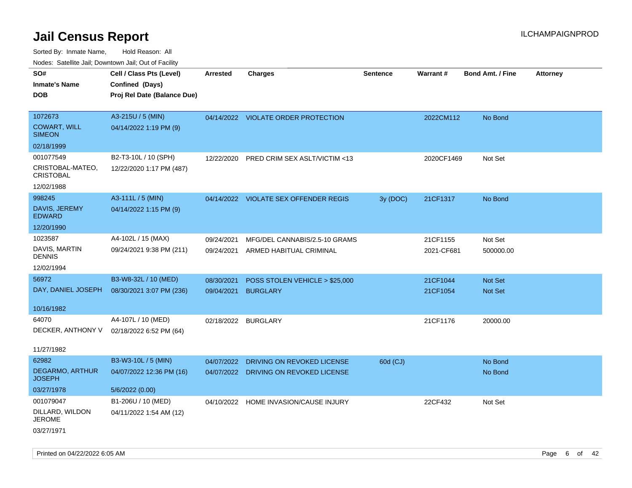| ivuutos. Saltiilit Jall, Duwilluwii Jall, Oul of Facility |                             |                     |                                       |                 |            |                         |                 |
|-----------------------------------------------------------|-----------------------------|---------------------|---------------------------------------|-----------------|------------|-------------------------|-----------------|
| SO#                                                       | Cell / Class Pts (Level)    | Arrested            | <b>Charges</b>                        | <b>Sentence</b> | Warrant#   | <b>Bond Amt. / Fine</b> | <b>Attorney</b> |
| <b>Inmate's Name</b>                                      | Confined (Days)             |                     |                                       |                 |            |                         |                 |
| <b>DOB</b>                                                | Proj Rel Date (Balance Due) |                     |                                       |                 |            |                         |                 |
|                                                           |                             |                     |                                       |                 |            |                         |                 |
| 1072673                                                   | A3-215U / 5 (MIN)           |                     | 04/14/2022 VIOLATE ORDER PROTECTION   |                 | 2022CM112  | No Bond                 |                 |
| <b>COWART, WILL</b><br><b>SIMEON</b>                      | 04/14/2022 1:19 PM (9)      |                     |                                       |                 |            |                         |                 |
| 02/18/1999                                                |                             |                     |                                       |                 |            |                         |                 |
| 001077549                                                 | B2-T3-10L / 10 (SPH)        | 12/22/2020          | PRED CRIM SEX ASLT/VICTIM <13         |                 | 2020CF1469 | Not Set                 |                 |
| CRISTOBAL-MATEO,<br><b>CRISTOBAL</b>                      | 12/22/2020 1:17 PM (487)    |                     |                                       |                 |            |                         |                 |
| 12/02/1988                                                |                             |                     |                                       |                 |            |                         |                 |
| 998245                                                    | A3-111L / 5 (MIN)           |                     | 04/14/2022 VIOLATE SEX OFFENDER REGIS | 3y (DOC)        | 21CF1317   | No Bond                 |                 |
| DAVIS, JEREMY<br><b>EDWARD</b>                            | 04/14/2022 1:15 PM (9)      |                     |                                       |                 |            |                         |                 |
| 12/20/1990                                                |                             |                     |                                       |                 |            |                         |                 |
| 1023587                                                   | A4-102L / 15 (MAX)          | 09/24/2021          | MFG/DEL CANNABIS/2.5-10 GRAMS         |                 | 21CF1155   | Not Set                 |                 |
| DAVIS, MARTIN<br>DENNIS                                   | 09/24/2021 9:38 PM (211)    | 09/24/2021          | ARMED HABITUAL CRIMINAL               |                 | 2021-CF681 | 500000.00               |                 |
| 12/02/1994                                                |                             |                     |                                       |                 |            |                         |                 |
| 56972                                                     | B3-W8-32L / 10 (MED)        | 08/30/2021          | POSS STOLEN VEHICLE > \$25,000        |                 | 21CF1044   | Not Set                 |                 |
| DAY, DANIEL JOSEPH                                        | 08/30/2021 3:07 PM (236)    | 09/04/2021          | <b>BURGLARY</b>                       |                 | 21CF1054   | <b>Not Set</b>          |                 |
|                                                           |                             |                     |                                       |                 |            |                         |                 |
| 10/16/1982                                                |                             |                     |                                       |                 |            |                         |                 |
| 64070                                                     | A4-107L / 10 (MED)          | 02/18/2022 BURGLARY |                                       |                 | 21CF1176   | 20000.00                |                 |
| DECKER, ANTHONY V                                         | 02/18/2022 6:52 PM (64)     |                     |                                       |                 |            |                         |                 |
| 11/27/1982                                                |                             |                     |                                       |                 |            |                         |                 |
| 62982                                                     | B3-W3-10L / 5 (MIN)         | 04/07/2022          | DRIVING ON REVOKED LICENSE            | 60d (CJ)        |            | No Bond                 |                 |
| DEGARMO, ARTHUR                                           | 04/07/2022 12:36 PM (16)    |                     | 04/07/2022 DRIVING ON REVOKED LICENSE |                 |            |                         |                 |
| <b>JOSEPH</b>                                             |                             |                     |                                       |                 |            | No Bond                 |                 |
| 03/27/1978                                                | 5/6/2022 (0.00)             |                     |                                       |                 |            |                         |                 |
| 001079047                                                 | B1-206U / 10 (MED)          |                     | 04/10/2022 HOME INVASION/CAUSE INJURY |                 | 22CF432    | Not Set                 |                 |
| DILLARD, WILDON<br><b>JEROME</b>                          | 04/11/2022 1:54 AM (12)     |                     |                                       |                 |            |                         |                 |
| 03/27/1971                                                |                             |                     |                                       |                 |            |                         |                 |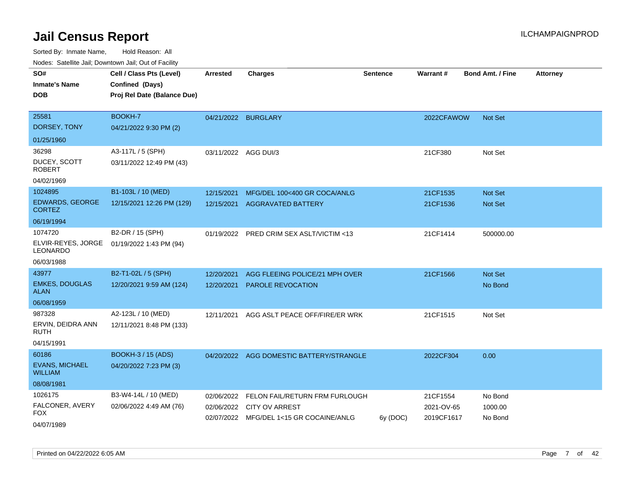| SO#<br><b>Inmate's Name</b><br>DOB      | Cell / Class Pts (Level)<br>Confined (Days)<br>Proj Rel Date (Balance Due) | <b>Arrested</b>      | <b>Charges</b>                                                   | <b>Sentence</b> | <b>Warrant#</b>          | <b>Bond Amt. / Fine</b> | <b>Attorney</b> |
|-----------------------------------------|----------------------------------------------------------------------------|----------------------|------------------------------------------------------------------|-----------------|--------------------------|-------------------------|-----------------|
| 25581<br>DORSEY, TONY                   | BOOKH-7<br>04/21/2022 9:30 PM (2)                                          | 04/21/2022 BURGLARY  |                                                                  |                 | 2022CFAWOW               | <b>Not Set</b>          |                 |
| 01/25/1960                              |                                                                            |                      |                                                                  |                 |                          |                         |                 |
| 36298                                   | A3-117L / 5 (SPH)                                                          | 03/11/2022 AGG DUI/3 |                                                                  |                 | 21CF380                  | Not Set                 |                 |
| DUCEY, SCOTT<br><b>ROBERT</b>           | 03/11/2022 12:49 PM (43)                                                   |                      |                                                                  |                 |                          |                         |                 |
| 04/02/1969                              |                                                                            |                      |                                                                  |                 |                          |                         |                 |
| 1024895                                 | B1-103L / 10 (MED)                                                         | 12/15/2021           | MFG/DEL 100<400 GR COCA/ANLG                                     |                 | 21CF1535                 | Not Set                 |                 |
| <b>EDWARDS, GEORGE</b><br><b>CORTEZ</b> | 12/15/2021 12:26 PM (129)                                                  | 12/15/2021           | <b>AGGRAVATED BATTERY</b>                                        |                 | 21CF1536                 | <b>Not Set</b>          |                 |
| 06/19/1994                              |                                                                            |                      |                                                                  |                 |                          |                         |                 |
| 1074720                                 | B2-DR / 15 (SPH)                                                           | 01/19/2022           | PRED CRIM SEX ASLT/VICTIM <13                                    |                 | 21CF1414                 | 500000.00               |                 |
| ELVIR-REYES, JORGE<br>LEONARDO          | 01/19/2022 1:43 PM (94)                                                    |                      |                                                                  |                 |                          |                         |                 |
| 06/03/1988                              |                                                                            |                      |                                                                  |                 |                          |                         |                 |
| 43977                                   | B2-T1-02L / 5 (SPH)                                                        | 12/20/2021           | AGG FLEEING POLICE/21 MPH OVER                                   |                 | 21CF1566                 | <b>Not Set</b>          |                 |
| <b>EMKES, DOUGLAS</b><br><b>ALAN</b>    | 12/20/2021 9:59 AM (124)                                                   | 12/20/2021           | <b>PAROLE REVOCATION</b>                                         |                 |                          | No Bond                 |                 |
| 06/08/1959                              |                                                                            |                      |                                                                  |                 |                          |                         |                 |
| 987328                                  | A2-123L / 10 (MED)                                                         | 12/11/2021           | AGG ASLT PEACE OFF/FIRE/ER WRK                                   |                 | 21CF1515                 | Not Set                 |                 |
| ERVIN, DEIDRA ANN<br>RUTH               | 12/11/2021 8:48 PM (133)                                                   |                      |                                                                  |                 |                          |                         |                 |
| 04/15/1991                              |                                                                            |                      |                                                                  |                 |                          |                         |                 |
| 60186                                   | BOOKH-3 / 15 (ADS)                                                         |                      | 04/20/2022 AGG DOMESTIC BATTERY/STRANGLE                         |                 | 2022CF304                | 0.00                    |                 |
| <b>EVANS, MICHAEL</b><br><b>WILLIAM</b> | 04/20/2022 7:23 PM (3)                                                     |                      |                                                                  |                 |                          |                         |                 |
| 08/08/1981                              |                                                                            |                      |                                                                  |                 |                          |                         |                 |
| 1026175                                 | B3-W4-14L / 10 (MED)                                                       | 02/06/2022           | FELON FAIL/RETURN FRM FURLOUGH                                   |                 | 21CF1554                 | No Bond                 |                 |
| FALCONER, AVERY<br>FOX                  | 02/06/2022 4:49 AM (76)                                                    | 02/06/2022           | <b>CITY OV ARREST</b><br>02/07/2022 MFG/DEL 1<15 GR COCAINE/ANLG | $6y$ (DOC)      | 2021-OV-65<br>2019CF1617 | 1000.00<br>No Bond      |                 |
| 04/07/1989                              |                                                                            |                      |                                                                  |                 |                          |                         |                 |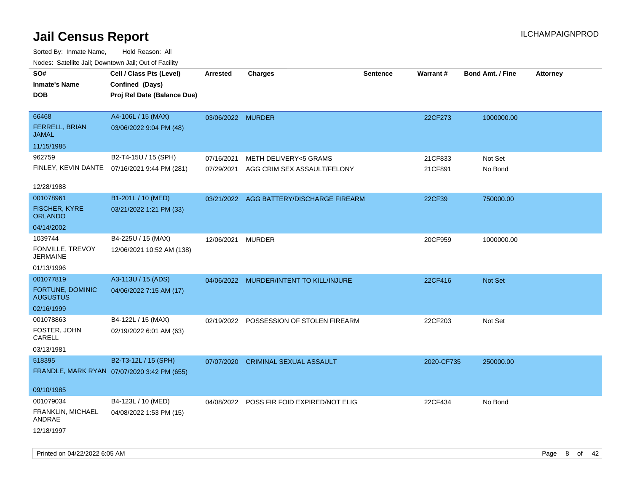| Nodes. Satellite Jali, Downtown Jali, Out of Facility |                                              |                   |                                           |                 |            |                         |                 |
|-------------------------------------------------------|----------------------------------------------|-------------------|-------------------------------------------|-----------------|------------|-------------------------|-----------------|
| SO#                                                   | Cell / Class Pts (Level)                     | <b>Arrested</b>   | <b>Charges</b>                            | <b>Sentence</b> | Warrant#   | <b>Bond Amt. / Fine</b> | <b>Attorney</b> |
| <b>Inmate's Name</b>                                  | Confined (Days)                              |                   |                                           |                 |            |                         |                 |
| <b>DOB</b>                                            | Proj Rel Date (Balance Due)                  |                   |                                           |                 |            |                         |                 |
|                                                       |                                              |                   |                                           |                 |            |                         |                 |
| 66468                                                 | A4-106L / 15 (MAX)                           | 03/06/2022 MURDER |                                           |                 | 22CF273    | 1000000.00              |                 |
| <b>FERRELL, BRIAN</b><br><b>JAMAL</b>                 | 03/06/2022 9:04 PM (48)                      |                   |                                           |                 |            |                         |                 |
| 11/15/1985                                            |                                              |                   |                                           |                 |            |                         |                 |
| 962759                                                | B2-T4-15U / 15 (SPH)                         | 07/16/2021        | <b>METH DELIVERY&lt;5 GRAMS</b>           |                 | 21CF833    | Not Set                 |                 |
|                                                       | FINLEY, KEVIN DANTE 07/16/2021 9:44 PM (281) | 07/29/2021        | AGG CRIM SEX ASSAULT/FELONY               |                 | 21CF891    | No Bond                 |                 |
| 12/28/1988                                            |                                              |                   |                                           |                 |            |                         |                 |
| 001078961                                             | B1-201L / 10 (MED)                           |                   | 03/21/2022 AGG BATTERY/DISCHARGE FIREARM  |                 | 22CF39     | 750000.00               |                 |
| <b>FISCHER, KYRE</b><br><b>ORLANDO</b>                | 03/21/2022 1:21 PM (33)                      |                   |                                           |                 |            |                         |                 |
| 04/14/2002                                            |                                              |                   |                                           |                 |            |                         |                 |
| 1039744                                               | B4-225U / 15 (MAX)                           | 12/06/2021        | <b>MURDER</b>                             |                 | 20CF959    | 1000000.00              |                 |
| FONVILLE, TREVOY<br><b>JERMAINE</b>                   | 12/06/2021 10:52 AM (138)                    |                   |                                           |                 |            |                         |                 |
| 01/13/1996                                            |                                              |                   |                                           |                 |            |                         |                 |
| 001077819                                             | A3-113U / 15 (ADS)                           |                   | 04/06/2022 MURDER/INTENT TO KILL/INJURE   |                 | 22CF416    | Not Set                 |                 |
| <b>FORTUNE, DOMINIC</b><br><b>AUGUSTUS</b>            | 04/06/2022 7:15 AM (17)                      |                   |                                           |                 |            |                         |                 |
| 02/16/1999                                            |                                              |                   |                                           |                 |            |                         |                 |
| 001078863                                             | B4-122L / 15 (MAX)                           | 02/19/2022        | POSSESSION OF STOLEN FIREARM              |                 | 22CF203    | Not Set                 |                 |
| FOSTER, JOHN<br>CARELL                                | 02/19/2022 6:01 AM (63)                      |                   |                                           |                 |            |                         |                 |
| 03/13/1981                                            |                                              |                   |                                           |                 |            |                         |                 |
| 518395                                                | B2-T3-12L / 15 (SPH)                         | 07/07/2020        | <b>CRIMINAL SEXUAL ASSAULT</b>            |                 | 2020-CF735 | 250000.00               |                 |
|                                                       | FRANDLE, MARK RYAN 07/07/2020 3:42 PM (655)  |                   |                                           |                 |            |                         |                 |
| 09/10/1985                                            |                                              |                   |                                           |                 |            |                         |                 |
| 001079034                                             | B4-123L / 10 (MED)                           |                   | 04/08/2022 POSS FIR FOID EXPIRED/NOT ELIG |                 | 22CF434    | No Bond                 |                 |
| FRANKLIN, MICHAEL<br>ANDRAE                           | 04/08/2022 1:53 PM (15)                      |                   |                                           |                 |            |                         |                 |
| 12/18/1997                                            |                                              |                   |                                           |                 |            |                         |                 |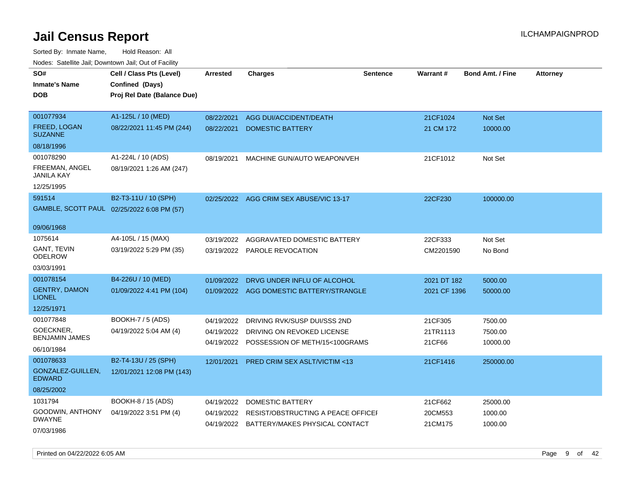Sorted By: Inmate Name, Hold Reason: All Nodes: Satellite Jail; Downtown Jail; Out of Facility

| SO#                                        | Cell / Class Pts (Level)                       | <b>Arrested</b> | <b>Charges</b>                            | <b>Sentence</b> | Warrant#     | <b>Bond Amt. / Fine</b> | <b>Attorney</b> |
|--------------------------------------------|------------------------------------------------|-----------------|-------------------------------------------|-----------------|--------------|-------------------------|-----------------|
| <b>Inmate's Name</b><br><b>DOB</b>         | Confined (Days)<br>Proj Rel Date (Balance Due) |                 |                                           |                 |              |                         |                 |
|                                            |                                                |                 |                                           |                 |              |                         |                 |
| 001077934                                  | A1-125L / 10 (MED)                             | 08/22/2021      | AGG DUI/ACCIDENT/DEATH                    |                 | 21CF1024     | Not Set                 |                 |
| <b>FREED, LOGAN</b><br><b>SUZANNE</b>      | 08/22/2021 11:45 PM (244)                      | 08/22/2021      | <b>DOMESTIC BATTERY</b>                   |                 | 21 CM 172    | 10000.00                |                 |
| 08/18/1996                                 |                                                |                 |                                           |                 |              |                         |                 |
| 001078290                                  | A1-224L / 10 (ADS)                             | 08/19/2021      | MACHINE GUN/AUTO WEAPON/VEH               |                 | 21CF1012     | Not Set                 |                 |
| FREEMAN, ANGEL<br><b>JANILA KAY</b>        | 08/19/2021 1:26 AM (247)                       |                 |                                           |                 |              |                         |                 |
| 12/25/1995                                 |                                                |                 |                                           |                 |              |                         |                 |
| 591514                                     | B2-T3-11U / 10 (SPH)                           |                 | 02/25/2022 AGG CRIM SEX ABUSE/VIC 13-17   |                 | 22CF230      | 100000.00               |                 |
| GAMBLE, SCOTT PAUL 02/25/2022 6:08 PM (57) |                                                |                 |                                           |                 |              |                         |                 |
| 09/06/1968                                 |                                                |                 |                                           |                 |              |                         |                 |
| 1075614                                    | A4-105L / 15 (MAX)                             | 03/19/2022      | AGGRAVATED DOMESTIC BATTERY               |                 | 22CF333      | Not Set                 |                 |
| GANT, TEVIN<br>ODELROW                     | 03/19/2022 5:29 PM (35)                        | 03/19/2022      | PAROLE REVOCATION                         |                 | CM2201590    | No Bond                 |                 |
| 03/03/1991                                 |                                                |                 |                                           |                 |              |                         |                 |
| 001078154                                  | B4-226U / 10 (MED)                             | 01/09/2022      | DRVG UNDER INFLU OF ALCOHOL               |                 | 2021 DT 182  | 5000.00                 |                 |
| <b>GENTRY, DAMON</b><br><b>LIONEL</b>      | 01/09/2022 4:41 PM (104)                       |                 | 01/09/2022 AGG DOMESTIC BATTERY/STRANGLE  |                 | 2021 CF 1396 | 50000.00                |                 |
| 12/25/1971                                 |                                                |                 |                                           |                 |              |                         |                 |
| 001077848                                  | BOOKH-7 / 5 (ADS)                              | 04/19/2022      | DRIVING RVK/SUSP DUI/SSS 2ND              |                 | 21CF305      | 7500.00                 |                 |
| GOECKNER,                                  | 04/19/2022 5:04 AM (4)                         | 04/19/2022      | DRIVING ON REVOKED LICENSE                |                 | 21TR1113     | 7500.00                 |                 |
| <b>BENJAMIN JAMES</b>                      |                                                |                 | 04/19/2022 POSSESSION OF METH/15<100GRAMS |                 | 21CF66       | 10000.00                |                 |
| 06/10/1984<br>001078633                    | B2-T4-13U / 25 (SPH)                           |                 |                                           |                 |              |                         |                 |
| GONZALEZ-GUILLEN,                          | 12/01/2021 12:08 PM (143)                      | 12/01/2021      | PRED CRIM SEX ASLT/VICTIM <13             |                 | 21CF1416     | 250000.00               |                 |
| <b>EDWARD</b>                              |                                                |                 |                                           |                 |              |                         |                 |
| 08/25/2002                                 |                                                |                 |                                           |                 |              |                         |                 |
| 1031794                                    | BOOKH-8 / 15 (ADS)                             | 04/19/2022      | DOMESTIC BATTERY                          |                 | 21CF662      | 25000.00                |                 |
| GOODWIN, ANTHONY<br><b>DWAYNE</b>          | 04/19/2022 3:51 PM (4)                         | 04/19/2022      | RESIST/OBSTRUCTING A PEACE OFFICEI        |                 | 20CM553      | 1000.00                 |                 |
| 07/03/1986                                 |                                                |                 | 04/19/2022 BATTERY/MAKES PHYSICAL CONTACT |                 | 21CM175      | 1000.00                 |                 |

Printed on 04/22/2022 6:05 AM Page 9 of 42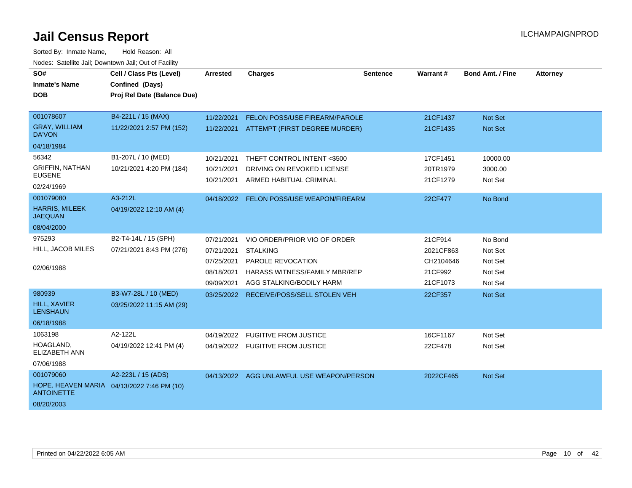| SO#<br><b>Inmate's Name</b><br><b>DOB</b>                                                  | Cell / Class Pts (Level)<br>Confined (Days)<br>Proj Rel Date (Balance Due) | Arrested                                                           | <b>Charges</b>                                                                                                                           | Sentence | <b>Warrant#</b>                                          | <b>Bond Amt. / Fine</b>                             | <b>Attorney</b> |
|--------------------------------------------------------------------------------------------|----------------------------------------------------------------------------|--------------------------------------------------------------------|------------------------------------------------------------------------------------------------------------------------------------------|----------|----------------------------------------------------------|-----------------------------------------------------|-----------------|
| 001078607<br><b>GRAY, WILLIAM</b><br><b>DA'VON</b><br>04/18/1984                           | B4-221L / 15 (MAX)<br>11/22/2021 2:57 PM (152)                             | 11/22/2021<br>11/22/2021                                           | FELON POSS/USE FIREARM/PAROLE<br>ATTEMPT (FIRST DEGREE MURDER)                                                                           |          | 21CF1437<br>21CF1435                                     | Not Set<br>Not Set                                  |                 |
| 56342<br><b>GRIFFIN, NATHAN</b><br><b>EUGENE</b><br>02/24/1969                             | B1-207L / 10 (MED)<br>10/21/2021 4:20 PM (184)                             | 10/21/2021<br>10/21/2021<br>10/21/2021                             | THEFT CONTROL INTENT <\$500<br>DRIVING ON REVOKED LICENSE<br>ARMED HABITUAL CRIMINAL                                                     |          | 17CF1451<br>20TR1979<br>21CF1279                         | 10000.00<br>3000.00<br>Not Set                      |                 |
| 001079080<br><b>HARRIS, MILEEK</b><br><b>JAEQUAN</b><br>08/04/2000                         | A3-212L<br>04/19/2022 12:10 AM (4)                                         |                                                                    | 04/18/2022 FELON POSS/USE WEAPON/FIREARM                                                                                                 |          | 22CF477                                                  | No Bond                                             |                 |
| 975293<br>HILL, JACOB MILES<br>02/06/1988                                                  | B2-T4-14L / 15 (SPH)<br>07/21/2021 8:43 PM (276)                           | 07/21/2021<br>07/21/2021<br>07/25/2021<br>08/18/2021<br>09/09/2021 | VIO ORDER/PRIOR VIO OF ORDER<br><b>STALKING</b><br>PAROLE REVOCATION<br><b>HARASS WITNESS/FAMILY MBR/REP</b><br>AGG STALKING/BODILY HARM |          | 21CF914<br>2021CF863<br>CH2104646<br>21CF992<br>21CF1073 | No Bond<br>Not Set<br>Not Set<br>Not Set<br>Not Set |                 |
| 980939<br><b>HILL, XAVIER</b><br><b>LENSHAUN</b><br>06/18/1988                             | B3-W7-28L / 10 (MED)<br>03/25/2022 11:15 AM (29)                           | 03/25/2022                                                         | RECEIVE/POSS/SELL STOLEN VEH                                                                                                             |          | 22CF357                                                  | Not Set                                             |                 |
| 1063198<br>HOAGLAND,<br><b>ELIZABETH ANN</b><br>07/06/1988                                 | A2-122L<br>04/19/2022 12:41 PM (4)                                         | 04/19/2022                                                         | <b>FUGITIVE FROM JUSTICE</b><br>04/19/2022 FUGITIVE FROM JUSTICE                                                                         |          | 16CF1167<br>22CF478                                      | Not Set<br>Not Set                                  |                 |
| 001079060<br>HOPE, HEAVEN MARIA 04/13/2022 7:46 PM (10)<br><b>ANTOINETTE</b><br>08/20/2003 | A2-223L / 15 (ADS)                                                         |                                                                    | 04/13/2022 AGG UNLAWFUL USE WEAPON/PERSON                                                                                                |          | 2022CF465                                                | Not Set                                             |                 |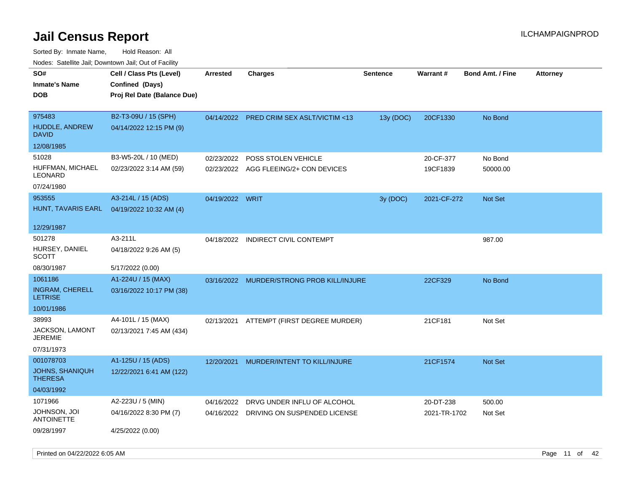| rougs. Calcing Jan, Downtown Jan, Out of Facility |                             |                 |                                           |                 |                 |                         |                 |
|---------------------------------------------------|-----------------------------|-----------------|-------------------------------------------|-----------------|-----------------|-------------------------|-----------------|
| SO#                                               | Cell / Class Pts (Level)    | Arrested        | Charges                                   | <b>Sentence</b> | <b>Warrant#</b> | <b>Bond Amt. / Fine</b> | <b>Attorney</b> |
| <b>Inmate's Name</b>                              | Confined (Days)             |                 |                                           |                 |                 |                         |                 |
| <b>DOB</b>                                        | Proj Rel Date (Balance Due) |                 |                                           |                 |                 |                         |                 |
|                                                   |                             |                 |                                           |                 |                 |                         |                 |
| 975483                                            | B2-T3-09U / 15 (SPH)        |                 | 04/14/2022 PRED CRIM SEX ASLT/VICTIM <13  | 13y (DOC)       | 20CF1330        | No Bond                 |                 |
| <b>HUDDLE, ANDREW</b><br><b>DAVID</b>             | 04/14/2022 12:15 PM (9)     |                 |                                           |                 |                 |                         |                 |
| 12/08/1985                                        |                             |                 |                                           |                 |                 |                         |                 |
| 51028                                             | B3-W5-20L / 10 (MED)        | 02/23/2022      | POSS STOLEN VEHICLE                       |                 | 20-CF-377       | No Bond                 |                 |
| HUFFMAN, MICHAEL<br>LEONARD                       | 02/23/2022 3:14 AM (59)     |                 | 02/23/2022 AGG FLEEING/2+ CON DEVICES     |                 | 19CF1839        | 50000.00                |                 |
| 07/24/1980                                        |                             |                 |                                           |                 |                 |                         |                 |
| 953555                                            | A3-214L / 15 (ADS)          | 04/19/2022 WRIT |                                           | 3y (DOC)        | 2021-CF-272     | <b>Not Set</b>          |                 |
| HUNT, TAVARIS EARL                                | 04/19/2022 10:32 AM (4)     |                 |                                           |                 |                 |                         |                 |
|                                                   |                             |                 |                                           |                 |                 |                         |                 |
| 12/29/1987                                        |                             |                 |                                           |                 |                 |                         |                 |
| 501278                                            | A3-211L                     | 04/18/2022      | <b>INDIRECT CIVIL CONTEMPT</b>            |                 |                 | 987.00                  |                 |
| HURSEY, DANIEL<br>SCOTT                           | 04/18/2022 9:26 AM (5)      |                 |                                           |                 |                 |                         |                 |
| 08/30/1987                                        | 5/17/2022 (0.00)            |                 |                                           |                 |                 |                         |                 |
| 1061186                                           | A1-224U / 15 (MAX)          |                 | 03/16/2022 MURDER/STRONG PROB KILL/INJURE |                 | 22CF329         | No Bond                 |                 |
| <b>INGRAM, CHERELL</b><br><b>LETRISE</b>          | 03/16/2022 10:17 PM (38)    |                 |                                           |                 |                 |                         |                 |
| 10/01/1986                                        |                             |                 |                                           |                 |                 |                         |                 |
| 38993                                             | A4-101L / 15 (MAX)          | 02/13/2021      | ATTEMPT (FIRST DEGREE MURDER)             |                 | 21CF181         | Not Set                 |                 |
| JACKSON, LAMONT<br>JEREMIE                        | 02/13/2021 7:45 AM (434)    |                 |                                           |                 |                 |                         |                 |
| 07/31/1973                                        |                             |                 |                                           |                 |                 |                         |                 |
| 001078703                                         | A1-125U / 15 (ADS)          | 12/20/2021      | MURDER/INTENT TO KILL/INJURE              |                 | 21CF1574        | Not Set                 |                 |
| <b>JOHNS, SHANIQUH</b><br><b>THERESA</b>          | 12/22/2021 6:41 AM (122)    |                 |                                           |                 |                 |                         |                 |
| 04/03/1992                                        |                             |                 |                                           |                 |                 |                         |                 |
| 1071966                                           | A2-223U / 5 (MIN)           | 04/16/2022      | DRVG UNDER INFLU OF ALCOHOL               |                 | 20-DT-238       | 500.00                  |                 |
| JOHNSON, JOI<br><b>ANTOINETTE</b>                 | 04/16/2022 8:30 PM (7)      |                 | 04/16/2022 DRIVING ON SUSPENDED LICENSE   |                 | 2021-TR-1702    | Not Set                 |                 |
| 09/28/1997                                        | 4/25/2022 (0.00)            |                 |                                           |                 |                 |                         |                 |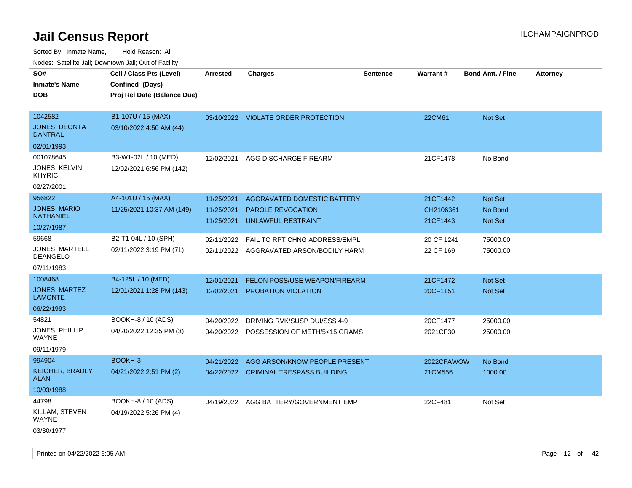| rouco. Calcinic Jan, Downtown Jan, Out of Facility |                             |                 |                                          |                 |                 |                         |                 |
|----------------------------------------------------|-----------------------------|-----------------|------------------------------------------|-----------------|-----------------|-------------------------|-----------------|
| SO#                                                | Cell / Class Pts (Level)    | <b>Arrested</b> | <b>Charges</b>                           | <b>Sentence</b> | <b>Warrant#</b> | <b>Bond Amt. / Fine</b> | <b>Attorney</b> |
| Inmate's Name                                      | Confined (Days)             |                 |                                          |                 |                 |                         |                 |
| DOB                                                | Proj Rel Date (Balance Due) |                 |                                          |                 |                 |                         |                 |
|                                                    |                             |                 |                                          |                 |                 |                         |                 |
| 1042582                                            | B1-107U / 15 (MAX)          |                 | 03/10/2022 VIOLATE ORDER PROTECTION      |                 | 22CM61          | Not Set                 |                 |
| <b>JONES, DEONTA</b><br>DANTRAL                    | 03/10/2022 4:50 AM (44)     |                 |                                          |                 |                 |                         |                 |
| 02/01/1993                                         |                             |                 |                                          |                 |                 |                         |                 |
| 001078645                                          | B3-W1-02L / 10 (MED)        | 12/02/2021      | AGG DISCHARGE FIREARM                    |                 | 21CF1478        | No Bond                 |                 |
| JONES, KELVIN<br>KHYRIC                            | 12/02/2021 6:56 PM (142)    |                 |                                          |                 |                 |                         |                 |
| 02/27/2001                                         |                             |                 |                                          |                 |                 |                         |                 |
| 956822                                             | A4-101U / 15 (MAX)          | 11/25/2021      | AGGRAVATED DOMESTIC BATTERY              |                 | 21CF1442        | <b>Not Set</b>          |                 |
| <b>JONES, MARIO</b>                                | 11/25/2021 10:37 AM (149)   | 11/25/2021      | <b>PAROLE REVOCATION</b>                 |                 | CH2106361       | No Bond                 |                 |
| NATHANIEL                                          |                             | 11/25/2021      | UNLAWFUL RESTRAINT                       |                 | 21CF1443        | <b>Not Set</b>          |                 |
| 10/27/1987                                         |                             |                 |                                          |                 |                 |                         |                 |
| 59668                                              | B2-T1-04L / 10 (SPH)        | 02/11/2022      | FAIL TO RPT CHNG ADDRESS/EMPL            |                 | 20 CF 1241      | 75000.00                |                 |
| JONES, MARTELL<br>DEANGELO                         | 02/11/2022 3:19 PM (71)     |                 | 02/11/2022 AGGRAVATED ARSON/BODILY HARM  |                 | 22 CF 169       | 75000.00                |                 |
| 07/11/1983                                         |                             |                 |                                          |                 |                 |                         |                 |
| 1008468                                            | B4-125L / 10 (MED)          | 12/01/2021      | FELON POSS/USE WEAPON/FIREARM            |                 | 21CF1472        | <b>Not Set</b>          |                 |
| JONES, MARTEZ<br>LAMONTE                           | 12/01/2021 1:28 PM (143)    | 12/02/2021      | <b>PROBATION VIOLATION</b>               |                 | 20CF1151        | <b>Not Set</b>          |                 |
| 06/22/1993                                         |                             |                 |                                          |                 |                 |                         |                 |
| 54821                                              | BOOKH-8 / 10 (ADS)          | 04/20/2022      | DRIVING RVK/SUSP DUI/SSS 4-9             |                 | 20CF1477        | 25000.00                |                 |
| JONES, PHILLIP<br>WAYNE                            | 04/20/2022 12:35 PM (3)     |                 | 04/20/2022 POSSESSION OF METH/5<15 GRAMS |                 | 2021CF30        | 25000.00                |                 |
| 09/11/1979                                         |                             |                 |                                          |                 |                 |                         |                 |
| 994904                                             | BOOKH-3                     | 04/21/2022      | AGG ARSON/KNOW PEOPLE PRESENT            |                 | 2022CFAWOW      | No Bond                 |                 |
| KEIGHER, BRADLY<br>ALAN                            | 04/21/2022 2:51 PM (2)      |                 | 04/22/2022 CRIMINAL TRESPASS BUILDING    |                 | 21CM556         | 1000.00                 |                 |
| 10/03/1988                                         |                             |                 |                                          |                 |                 |                         |                 |
| 44798                                              | BOOKH-8 / 10 (ADS)          |                 | 04/19/2022 AGG BATTERY/GOVERNMENT EMP    |                 | 22CF481         | Not Set                 |                 |
| KILLAM, STEVEN<br>WAYNE                            | 04/19/2022 5:26 PM (4)      |                 |                                          |                 |                 |                         |                 |
| 03/30/1977                                         |                             |                 |                                          |                 |                 |                         |                 |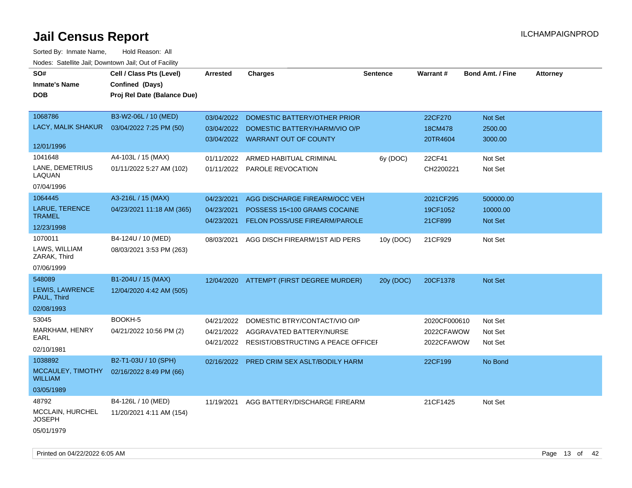| SO#<br><b>Inmate's Name</b><br><b>DOB</b>                     | Cell / Class Pts (Level)<br>Confined (Days)<br>Proj Rel Date (Balance Due) | <b>Arrested</b>                        | <b>Charges</b>                                                                                                        | <b>Sentence</b> | Warrant#                                 | <b>Bond Amt. / Fine</b>                 | <b>Attorney</b> |
|---------------------------------------------------------------|----------------------------------------------------------------------------|----------------------------------------|-----------------------------------------------------------------------------------------------------------------------|-----------------|------------------------------------------|-----------------------------------------|-----------------|
| 1068786<br>LACY, MALIK SHAKUR<br>12/01/1996                   | B3-W2-06L / 10 (MED)<br>03/04/2022 7:25 PM (50)                            | 03/04/2022<br>03/04/2022               | <b>DOMESTIC BATTERY/OTHER PRIOR</b><br>DOMESTIC BATTERY/HARM/VIO O/P<br>03/04/2022 WARRANT OUT OF COUNTY              |                 | 22CF270<br>18CM478<br>20TR4604           | Not Set<br>2500.00<br>3000.00           |                 |
| 1041648<br>LANE, DEMETRIUS<br>LAQUAN<br>07/04/1996            | A4-103L / 15 (MAX)<br>01/11/2022 5:27 AM (102)                             | 01/11/2022                             | ARMED HABITUAL CRIMINAL<br>01/11/2022 PAROLE REVOCATION                                                               | 6y (DOC)        | 22CF41<br>CH2200221                      | Not Set<br>Not Set                      |                 |
| 1064445<br>LARUE, TERENCE<br><b>TRAMEL</b><br>12/23/1998      | A3-216L / 15 (MAX)<br>04/23/2021 11:18 AM (365)                            | 04/23/2021<br>04/23/2021<br>04/23/2021 | AGG DISCHARGE FIREARM/OCC VEH<br>POSSESS 15<100 GRAMS COCAINE<br><b>FELON POSS/USE FIREARM/PAROLE</b>                 |                 | 2021CF295<br>19CF1052<br>21CF899         | 500000.00<br>10000.00<br><b>Not Set</b> |                 |
| 1070011<br>LAWS, WILLIAM<br>ZARAK, Third<br>07/06/1999        | B4-124U / 10 (MED)<br>08/03/2021 3:53 PM (263)                             | 08/03/2021                             | AGG DISCH FIREARM/1ST AID PERS                                                                                        | 10y (DOC)       | 21CF929                                  | Not Set                                 |                 |
| 548089<br><b>LEWIS, LAWRENCE</b><br>PAUL, Third<br>02/08/1993 | B1-204U / 15 (MAX)<br>12/04/2020 4:42 AM (505)                             |                                        | 12/04/2020 ATTEMPT (FIRST DEGREE MURDER)                                                                              | 20y (DOC)       | 20CF1378                                 | <b>Not Set</b>                          |                 |
| 53045<br><b>MARKHAM, HENRY</b><br>EARL<br>02/10/1981          | BOOKH-5<br>04/21/2022 10:56 PM (2)                                         | 04/21/2022                             | DOMESTIC BTRY/CONTACT/VIO O/P<br>04/21/2022 AGGRAVATED BATTERY/NURSE<br>04/21/2022 RESIST/OBSTRUCTING A PEACE OFFICEH |                 | 2020CF000610<br>2022CFAWOW<br>2022CFAWOW | Not Set<br>Not Set<br>Not Set           |                 |
| 1038892<br>MCCAULEY, TIMOTHY<br><b>WILLIAM</b><br>03/05/1989  | B2-T1-03U / 10 (SPH)<br>02/16/2022 8:49 PM (66)                            | 02/16/2022                             | PRED CRIM SEX ASLT/BODILY HARM                                                                                        |                 | 22CF199                                  | No Bond                                 |                 |
| 48792<br>MCCLAIN, HURCHEL<br><b>JOSEPH</b><br>05/01/1979      | B4-126L / 10 (MED)<br>11/20/2021 4:11 AM (154)                             | 11/19/2021                             | AGG BATTERY/DISCHARGE FIREARM                                                                                         |                 | 21CF1425                                 | Not Set                                 |                 |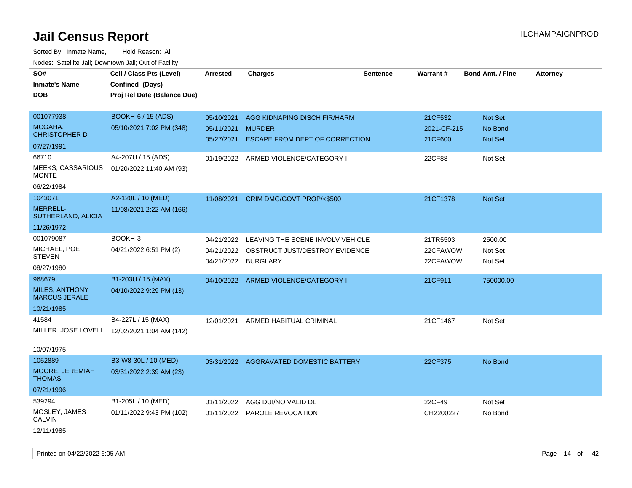| roaco. Calcinio dan, Downtown dan, Oal or Fability |                                              |                 |                                           |                 |                 |                         |                 |
|----------------------------------------------------|----------------------------------------------|-----------------|-------------------------------------------|-----------------|-----------------|-------------------------|-----------------|
| SO#                                                | Cell / Class Pts (Level)                     | <b>Arrested</b> | <b>Charges</b>                            | <b>Sentence</b> | <b>Warrant#</b> | <b>Bond Amt. / Fine</b> | <b>Attorney</b> |
| <b>Inmate's Name</b>                               | Confined (Days)                              |                 |                                           |                 |                 |                         |                 |
| <b>DOB</b>                                         | Proj Rel Date (Balance Due)                  |                 |                                           |                 |                 |                         |                 |
|                                                    |                                              |                 |                                           |                 |                 |                         |                 |
| 001077938                                          | <b>BOOKH-6 / 15 (ADS)</b>                    | 05/10/2021      | AGG KIDNAPING DISCH FIR/HARM              |                 | 21CF532         | Not Set                 |                 |
| MCGAHA,                                            | 05/10/2021 7:02 PM (348)                     | 05/11/2021      | <b>MURDER</b>                             |                 | 2021-CF-215     | No Bond                 |                 |
| <b>CHRISTOPHER D</b>                               |                                              | 05/27/2021      | <b>ESCAPE FROM DEPT OF CORRECTION</b>     |                 | 21CF600         | Not Set                 |                 |
| 07/27/1991                                         |                                              |                 |                                           |                 |                 |                         |                 |
| 66710                                              | A4-207U / 15 (ADS)                           |                 | 01/19/2022 ARMED VIOLENCE/CATEGORY I      |                 | 22CF88          | Not Set                 |                 |
| MEEKS, CASSARIOUS<br><b>MONTE</b>                  | 01/20/2022 11:40 AM (93)                     |                 |                                           |                 |                 |                         |                 |
| 06/22/1984                                         |                                              |                 |                                           |                 |                 |                         |                 |
| 1043071                                            | A2-120L / 10 (MED)                           |                 | 11/08/2021 CRIM DMG/GOVT PROP/<\$500      |                 | 21CF1378        | Not Set                 |                 |
| MERRELL-<br>SUTHERLAND, ALICIA                     | 11/08/2021 2:22 AM (166)                     |                 |                                           |                 |                 |                         |                 |
| 11/26/1972                                         |                                              |                 |                                           |                 |                 |                         |                 |
| 001079087                                          | BOOKH-3                                      | 04/21/2022      | LEAVING THE SCENE INVOLV VEHICLE          |                 | 21TR5503        | 2500.00                 |                 |
| MICHAEL, POE                                       | 04/21/2022 6:51 PM (2)                       |                 | 04/21/2022 OBSTRUCT JUST/DESTROY EVIDENCE |                 | 22CFAWOW        | Not Set                 |                 |
| <b>STEVEN</b>                                      |                                              | 04/21/2022      | <b>BURGLARY</b>                           |                 | 22CFAWOW        | Not Set                 |                 |
| 08/27/1980                                         |                                              |                 |                                           |                 |                 |                         |                 |
| 968679                                             | B1-203U / 15 (MAX)                           |                 | 04/10/2022 ARMED VIOLENCE/CATEGORY I      |                 | 21CF911         | 750000.00               |                 |
| <b>MILES, ANTHONY</b><br><b>MARCUS JERALE</b>      | 04/10/2022 9:29 PM (13)                      |                 |                                           |                 |                 |                         |                 |
| 10/21/1985                                         |                                              |                 |                                           |                 |                 |                         |                 |
| 41584                                              | B4-227L / 15 (MAX)                           | 12/01/2021      | ARMED HABITUAL CRIMINAL                   |                 | 21CF1467        | Not Set                 |                 |
|                                                    | MILLER, JOSE LOVELL 12/02/2021 1:04 AM (142) |                 |                                           |                 |                 |                         |                 |
| 10/07/1975                                         |                                              |                 |                                           |                 |                 |                         |                 |
| 1052889                                            | B3-W8-30L / 10 (MED)                         |                 | 03/31/2022 AGGRAVATED DOMESTIC BATTERY    |                 | 22CF375         | No Bond                 |                 |
| MOORE, JEREMIAH<br><b>THOMAS</b>                   | 03/31/2022 2:39 AM (23)                      |                 |                                           |                 |                 |                         |                 |
| 07/21/1996                                         |                                              |                 |                                           |                 |                 |                         |                 |
| 539294                                             | B1-205L / 10 (MED)                           | 01/11/2022      | AGG DUI/NO VALID DL                       |                 | 22CF49          | Not Set                 |                 |
| MOSLEY, JAMES<br><b>CALVIN</b>                     | 01/11/2022 9:43 PM (102)                     |                 | 01/11/2022 PAROLE REVOCATION              |                 | CH2200227       | No Bond                 |                 |
| 12/11/1985                                         |                                              |                 |                                           |                 |                 |                         |                 |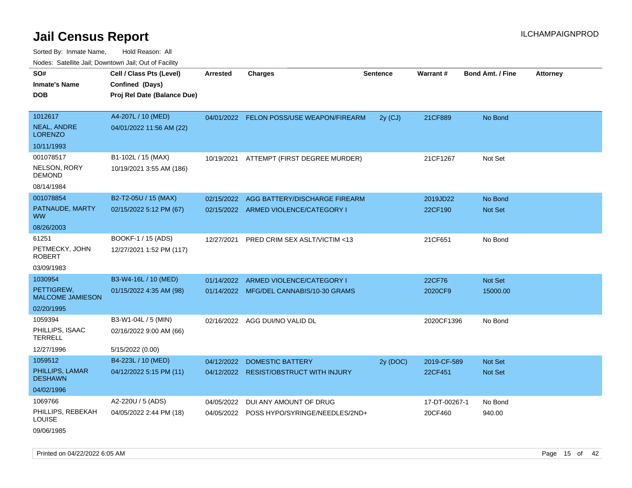Sorted By: Inmate Name, Hold Reason: All Nodes: Satellite Jail; Downtown Jail; Out of Facility

| SO#                                   |                             |                 |                                           |                 | Warrant#      | <b>Bond Amt. / Fine</b> |                 |
|---------------------------------------|-----------------------------|-----------------|-------------------------------------------|-----------------|---------------|-------------------------|-----------------|
|                                       | Cell / Class Pts (Level)    | <b>Arrested</b> | <b>Charges</b>                            | <b>Sentence</b> |               |                         | <b>Attorney</b> |
| <b>Inmate's Name</b>                  | Confined (Days)             |                 |                                           |                 |               |                         |                 |
| <b>DOB</b>                            | Proj Rel Date (Balance Due) |                 |                                           |                 |               |                         |                 |
|                                       |                             |                 |                                           |                 |               |                         |                 |
| 1012617                               | A4-207L / 10 (MED)          |                 | 04/01/2022 FELON POSS/USE WEAPON/FIREARM  | $2y$ (CJ)       | 21CF889       | No Bond                 |                 |
| <b>NEAL, ANDRE</b><br><b>LORENZO</b>  | 04/01/2022 11:56 AM (22)    |                 |                                           |                 |               |                         |                 |
| 10/11/1993                            |                             |                 |                                           |                 |               |                         |                 |
| 001078517                             | B1-102L / 15 (MAX)          | 10/19/2021      | ATTEMPT (FIRST DEGREE MURDER)             |                 | 21CF1267      | Not Set                 |                 |
| NELSON, RORY<br><b>DEMOND</b>         | 10/19/2021 3:55 AM (186)    |                 |                                           |                 |               |                         |                 |
| 08/14/1984                            |                             |                 |                                           |                 |               |                         |                 |
| 001078854                             | B2-T2-05U / 15 (MAX)        | 02/15/2022      | AGG BATTERY/DISCHARGE FIREARM             |                 | 2019JD22      | No Bond                 |                 |
| PATNAUDE, MARTY<br><b>WW</b>          | 02/15/2022 5:12 PM (67)     |                 | 02/15/2022 ARMED VIOLENCE/CATEGORY I      |                 | 22CF190       | <b>Not Set</b>          |                 |
| 08/26/2003                            |                             |                 |                                           |                 |               |                         |                 |
| 61251                                 | BOOKF-1 / 15 (ADS)          | 12/27/2021      | PRED CRIM SEX ASLT/VICTIM <13             |                 | 21CF651       | No Bond                 |                 |
| PETMECKY, JOHN<br><b>ROBERT</b>       | 12/27/2021 1:52 PM (117)    |                 |                                           |                 |               |                         |                 |
| 03/09/1983                            |                             |                 |                                           |                 |               |                         |                 |
| 1030954                               | B3-W4-16L / 10 (MED)        | 01/14/2022      | ARMED VIOLENCE/CATEGORY I                 |                 | 22CF76        | Not Set                 |                 |
| PETTIGREW.<br><b>MALCOME JAMIESON</b> | 01/15/2022 4:35 AM (98)     |                 | 01/14/2022 MFG/DEL CANNABIS/10-30 GRAMS   |                 | 2020CF9       | 15000.00                |                 |
| 02/20/1995                            |                             |                 |                                           |                 |               |                         |                 |
| 1059394                               | B3-W1-04L / 5 (MIN)         | 02/16/2022      | AGG DUI/NO VALID DL                       |                 | 2020CF1396    | No Bond                 |                 |
| PHILLIPS, ISAAC<br><b>TERRELL</b>     | 02/16/2022 9:00 AM (66)     |                 |                                           |                 |               |                         |                 |
| 12/27/1996                            | 5/15/2022 (0.00)            |                 |                                           |                 |               |                         |                 |
| 1059512                               | B4-223L / 10 (MED)          | 04/12/2022      | <b>DOMESTIC BATTERY</b>                   | 2y (DOC)        | 2019-CF-589   | Not Set                 |                 |
| PHILLIPS, LAMAR<br><b>DESHAWN</b>     | 04/12/2022 5:15 PM (11)     |                 | 04/12/2022 RESIST/OBSTRUCT WITH INJURY    |                 | 22CF451       | <b>Not Set</b>          |                 |
| 04/02/1996                            |                             |                 |                                           |                 |               |                         |                 |
| 1069766                               | A2-220U / 5 (ADS)           | 04/05/2022      | DUI ANY AMOUNT OF DRUG                    |                 | 17-DT-00267-1 | No Bond                 |                 |
| PHILLIPS, REBEKAH<br><b>LOUISE</b>    | 04/05/2022 2:44 PM (18)     |                 | 04/05/2022 POSS HYPO/SYRINGE/NEEDLES/2ND+ |                 | 20CF460       | 940.00                  |                 |

09/06/1985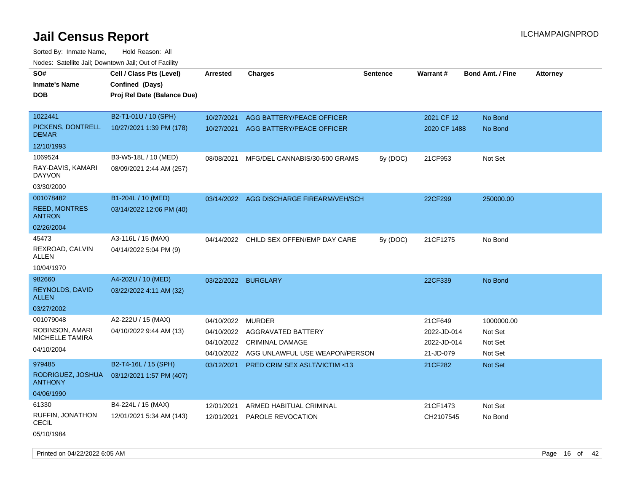Sorted By: Inmate Name, Hold Reason: All Nodes: Satellite Jail; Downtown Jail; Out of Facility

| SO#<br><b>Inmate's Name</b><br><b>DOB</b> | Cell / Class Pts (Level)<br>Confined (Days)<br>Proj Rel Date (Balance Due) | Arrested            | <b>Charges</b>                          | <b>Sentence</b> | <b>Warrant#</b> | <b>Bond Amt. / Fine</b> | <b>Attorney</b> |
|-------------------------------------------|----------------------------------------------------------------------------|---------------------|-----------------------------------------|-----------------|-----------------|-------------------------|-----------------|
| 1022441                                   | B2-T1-01U / 10 (SPH)                                                       | 10/27/2021          | AGG BATTERY/PEACE OFFICER               |                 | 2021 CF 12      | No Bond                 |                 |
| PICKENS, DONTRELL<br><b>DEMAR</b>         | 10/27/2021 1:39 PM (178)                                                   | 10/27/2021          | AGG BATTERY/PEACE OFFICER               |                 | 2020 CF 1488    | No Bond                 |                 |
| 12/10/1993                                |                                                                            |                     |                                         |                 |                 |                         |                 |
| 1069524                                   | B3-W5-18L / 10 (MED)                                                       | 08/08/2021          | MFG/DEL CANNABIS/30-500 GRAMS           | 5y (DOC)        | 21CF953         | Not Set                 |                 |
| RAY-DAVIS, KAMARI<br><b>DAYVON</b>        | 08/09/2021 2:44 AM (257)                                                   |                     |                                         |                 |                 |                         |                 |
| 03/30/2000                                |                                                                            |                     |                                         |                 |                 |                         |                 |
| 001078482                                 | B1-204L / 10 (MED)                                                         | 03/14/2022          | AGG DISCHARGE FIREARM/VEH/SCH           |                 | 22CF299         | 250000.00               |                 |
| <b>REED, MONTRES</b><br><b>ANTRON</b>     | 03/14/2022 12:06 PM (40)                                                   |                     |                                         |                 |                 |                         |                 |
| 02/26/2004                                |                                                                            |                     |                                         |                 |                 |                         |                 |
| 45473                                     | A3-116L / 15 (MAX)                                                         | 04/14/2022          | CHILD SEX OFFEN/EMP DAY CARE            | 5y (DOC)        | 21CF1275        | No Bond                 |                 |
| REXROAD, CALVIN<br><b>ALLEN</b>           | 04/14/2022 5:04 PM (9)                                                     |                     |                                         |                 |                 |                         |                 |
| 10/04/1970                                |                                                                            |                     |                                         |                 |                 |                         |                 |
| 982660                                    | A4-202U / 10 (MED)                                                         | 03/22/2022 BURGLARY |                                         |                 | 22CF339         | No Bond                 |                 |
| <b>REYNOLDS, DAVID</b><br><b>ALLEN</b>    | 03/22/2022 4:11 AM (32)                                                    |                     |                                         |                 |                 |                         |                 |
| 03/27/2002                                |                                                                            |                     |                                         |                 |                 |                         |                 |
| 001079048                                 | A2-222U / 15 (MAX)                                                         | 04/10/2022          | <b>MURDER</b>                           |                 | 21CF649         | 1000000.00              |                 |
| ROBINSON, AMARI<br>MICHELLE TAMIRA        | 04/10/2022 9:44 AM (13)                                                    | 04/10/2022          | AGGRAVATED BATTERY                      |                 | 2022-JD-014     | Not Set                 |                 |
| 04/10/2004                                |                                                                            | 04/10/2022          | <b>CRIMINAL DAMAGE</b>                  |                 | 2022-JD-014     | Not Set                 |                 |
|                                           |                                                                            | 04/10/2022          | AGG UNLAWFUL USE WEAPON/PERSON          |                 | 21-JD-079       | Not Set                 |                 |
| 979485                                    | B2-T4-16L / 15 (SPH)                                                       | 03/12/2021          | <b>PRED CRIM SEX ASLT/VICTIM &lt;13</b> |                 | 21CF282         | <b>Not Set</b>          |                 |
| RODRIGUEZ, JOSHUA<br><b>ANTHONY</b>       | 03/12/2021 1:57 PM (407)                                                   |                     |                                         |                 |                 |                         |                 |
| 04/06/1990                                |                                                                            |                     |                                         |                 |                 |                         |                 |
| 61330                                     | B4-224L / 15 (MAX)                                                         | 12/01/2021          | ARMED HABITUAL CRIMINAL                 |                 | 21CF1473        | Not Set                 |                 |
| RUFFIN, JONATHON<br>CECIL                 | 12/01/2021 5:34 AM (143)                                                   | 12/01/2021          | PAROLE REVOCATION                       |                 | CH2107545       | No Bond                 |                 |
| 05/10/1984                                |                                                                            |                     |                                         |                 |                 |                         |                 |

Printed on 04/22/2022 6:05 AM **Page 16** of 42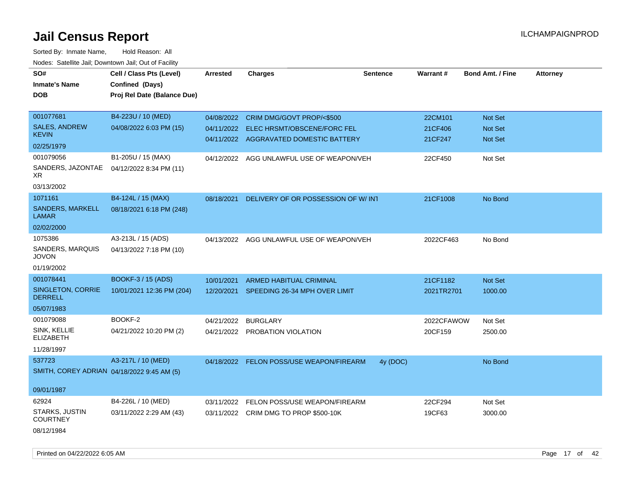| SO#                                        | Cell / Class Pts (Level)    | <b>Arrested</b> | <b>Charges</b>                            | <b>Sentence</b> | Warrant#   | <b>Bond Amt. / Fine</b> | <b>Attorney</b> |
|--------------------------------------------|-----------------------------|-----------------|-------------------------------------------|-----------------|------------|-------------------------|-----------------|
| <b>Inmate's Name</b>                       | Confined (Days)             |                 |                                           |                 |            |                         |                 |
| <b>DOB</b>                                 | Proj Rel Date (Balance Due) |                 |                                           |                 |            |                         |                 |
|                                            |                             |                 |                                           |                 |            |                         |                 |
| 001077681                                  | B4-223U / 10 (MED)          | 04/08/2022      | CRIM DMG/GOVT PROP/<\$500                 |                 | 22CM101    | Not Set                 |                 |
| <b>SALES, ANDREW</b>                       | 04/08/2022 6:03 PM (15)     | 04/11/2022      | <b>ELEC HRSMT/OBSCENE/FORC FEL</b>        |                 | 21CF406    | Not Set                 |                 |
| <b>KEVIN</b>                               |                             |                 | 04/11/2022 AGGRAVATED DOMESTIC BATTERY    |                 | 21CF247    | Not Set                 |                 |
| 02/25/1979                                 |                             |                 |                                           |                 |            |                         |                 |
| 001079056                                  | B1-205U / 15 (MAX)          |                 | 04/12/2022 AGG UNLAWFUL USE OF WEAPON/VEH |                 | 22CF450    | Not Set                 |                 |
| SANDERS, JAZONTAE<br>XR.                   | 04/12/2022 8:34 PM (11)     |                 |                                           |                 |            |                         |                 |
| 03/13/2002                                 |                             |                 |                                           |                 |            |                         |                 |
| 1071161                                    | B4-124L / 15 (MAX)          | 08/18/2021      | DELIVERY OF OR POSSESSION OF W/INT        |                 | 21CF1008   | No Bond                 |                 |
| SANDERS, MARKELL<br><b>LAMAR</b>           | 08/18/2021 6:18 PM (248)    |                 |                                           |                 |            |                         |                 |
| 02/02/2000                                 |                             |                 |                                           |                 |            |                         |                 |
| 1075386                                    | A3-213L / 15 (ADS)          |                 | 04/13/2022 AGG UNLAWFUL USE OF WEAPON/VEH |                 | 2022CF463  | No Bond                 |                 |
| SANDERS, MARQUIS<br><b>JOVON</b>           | 04/13/2022 7:18 PM (10)     |                 |                                           |                 |            |                         |                 |
| 01/19/2002                                 |                             |                 |                                           |                 |            |                         |                 |
| 001078441                                  | BOOKF-3 / 15 (ADS)          | 10/01/2021      | ARMED HABITUAL CRIMINAL                   |                 | 21CF1182   | <b>Not Set</b>          |                 |
| SINGLETON, CORRIE<br><b>DERRELL</b>        | 10/01/2021 12:36 PM (204)   | 12/20/2021      | SPEEDING 26-34 MPH OVER LIMIT             |                 | 2021TR2701 | 1000.00                 |                 |
| 05/07/1983                                 |                             |                 |                                           |                 |            |                         |                 |
| 001079088                                  | BOOKF-2                     | 04/21/2022      | <b>BURGLARY</b>                           |                 | 2022CFAWOW | Not Set                 |                 |
| SINK, KELLIE<br><b>ELIZABETH</b>           | 04/21/2022 10:20 PM (2)     |                 | 04/21/2022 PROBATION VIOLATION            |                 | 20CF159    | 2500.00                 |                 |
| 11/28/1997                                 |                             |                 |                                           |                 |            |                         |                 |
| 537723                                     | A3-217L / 10 (MED)          |                 | 04/18/2022 FELON POSS/USE WEAPON/FIREARM  | 4y (DOC)        |            | No Bond                 |                 |
| SMITH, COREY ADRIAN 04/18/2022 9:45 AM (5) |                             |                 |                                           |                 |            |                         |                 |
|                                            |                             |                 |                                           |                 |            |                         |                 |
| 09/01/1987                                 |                             |                 |                                           |                 |            |                         |                 |
| 62924                                      | B4-226L / 10 (MED)          | 03/11/2022      | FELON POSS/USE WEAPON/FIREARM             |                 | 22CF294    | Not Set                 |                 |
| STARKS, JUSTIN<br><b>COURTNEY</b>          | 03/11/2022 2:29 AM (43)     |                 | 03/11/2022 CRIM DMG TO PROP \$500-10K     |                 | 19CF63     | 3000.00                 |                 |
| 08/12/1984                                 |                             |                 |                                           |                 |            |                         |                 |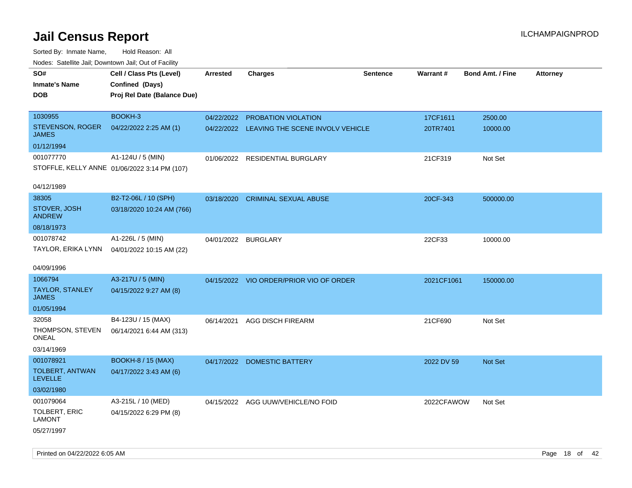| rougs. Calcinic Jan, Downtown Jan, Out of Facility |                                              |                     |                                             |          |            |                         |                 |
|----------------------------------------------------|----------------------------------------------|---------------------|---------------------------------------------|----------|------------|-------------------------|-----------------|
| SO#<br><b>Inmate's Name</b>                        | Cell / Class Pts (Level)<br>Confined (Days)  | <b>Arrested</b>     | <b>Charges</b>                              | Sentence | Warrant#   | <b>Bond Amt. / Fine</b> | <b>Attorney</b> |
| <b>DOB</b>                                         | Proj Rel Date (Balance Due)                  |                     |                                             |          |            |                         |                 |
| 1030955                                            | BOOKH-3                                      |                     | 04/22/2022 PROBATION VIOLATION              |          | 17CF1611   | 2500.00                 |                 |
| STEVENSON, ROGER<br>JAMES                          | 04/22/2022 2:25 AM (1)                       |                     | 04/22/2022 LEAVING THE SCENE INVOLV VEHICLE |          | 20TR7401   | 10000.00                |                 |
| 01/12/1994                                         |                                              |                     |                                             |          |            |                         |                 |
| 001077770                                          | A1-124U / 5 (MIN)                            |                     | 01/06/2022 RESIDENTIAL BURGLARY             |          | 21CF319    | Not Set                 |                 |
|                                                    | STOFFLE, KELLY ANNE 01/06/2022 3:14 PM (107) |                     |                                             |          |            |                         |                 |
| 04/12/1989                                         |                                              |                     |                                             |          |            |                         |                 |
| 38305                                              | B2-T2-06L / 10 (SPH)                         | 03/18/2020          | <b>CRIMINAL SEXUAL ABUSE</b>                |          | 20CF-343   | 500000.00               |                 |
| STOVER, JOSH<br><b>ANDREW</b>                      | 03/18/2020 10:24 AM (766)                    |                     |                                             |          |            |                         |                 |
| 08/18/1973                                         |                                              |                     |                                             |          |            |                         |                 |
| 001078742                                          | A1-226L / 5 (MIN)                            | 04/01/2022 BURGLARY |                                             |          | 22CF33     | 10000.00                |                 |
| TAYLOR, ERIKA LYNN                                 | 04/01/2022 10:15 AM (22)                     |                     |                                             |          |            |                         |                 |
| 04/09/1996                                         |                                              |                     |                                             |          |            |                         |                 |
| 1066794                                            | A3-217U / 5 (MIN)                            |                     | 04/15/2022 VIO ORDER/PRIOR VIO OF ORDER     |          | 2021CF1061 | 150000.00               |                 |
| TAYLOR, STANLEY<br><b>JAMES</b>                    | 04/15/2022 9:27 AM (8)                       |                     |                                             |          |            |                         |                 |
| 01/05/1994                                         |                                              |                     |                                             |          |            |                         |                 |
| 32058                                              | B4-123U / 15 (MAX)                           | 06/14/2021          | AGG DISCH FIREARM                           |          | 21CF690    | Not Set                 |                 |
| THOMPSON, STEVEN<br>ONEAL                          | 06/14/2021 6:44 AM (313)                     |                     |                                             |          |            |                         |                 |
| 03/14/1969                                         |                                              |                     |                                             |          |            |                         |                 |
| 001078921                                          | <b>BOOKH-8 / 15 (MAX)</b>                    |                     | 04/17/2022 DOMESTIC BATTERY                 |          | 2022 DV 59 | <b>Not Set</b>          |                 |
| TOLBERT, ANTWAN<br><b>LEVELLE</b>                  | 04/17/2022 3:43 AM (6)                       |                     |                                             |          |            |                         |                 |
| 03/02/1980                                         |                                              |                     |                                             |          |            |                         |                 |
| 001079064                                          | A3-215L / 10 (MED)                           |                     | 04/15/2022 AGG UUW/VEHICLE/NO FOID          |          | 2022CFAWOW | Not Set                 |                 |
| <b>TOLBERT, ERIC</b><br>LAMONT                     | 04/15/2022 6:29 PM (8)                       |                     |                                             |          |            |                         |                 |
| 05/27/1997                                         |                                              |                     |                                             |          |            |                         |                 |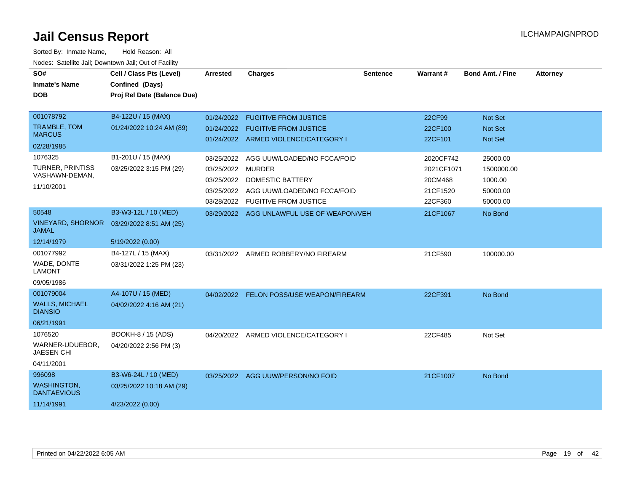| SO#<br><b>Inmate's Name</b><br><b>DOB</b>                                  | Cell / Class Pts (Level)<br>Confined (Days)<br>Proj Rel Date (Balance Due) | Arrested                                                                  | <b>Charges</b>                                                                                                 | <b>Sentence</b> | <b>Warrant#</b>                                           | <b>Bond Amt. / Fine</b>                                   | <b>Attorney</b> |
|----------------------------------------------------------------------------|----------------------------------------------------------------------------|---------------------------------------------------------------------------|----------------------------------------------------------------------------------------------------------------|-----------------|-----------------------------------------------------------|-----------------------------------------------------------|-----------------|
| 001078792<br><b>TRAMBLE, TOM</b><br><b>MARCUS</b><br>02/28/1985<br>1076325 | B4-122U / 15 (MAX)<br>01/24/2022 10:24 AM (89)<br>B1-201U / 15 (MAX)       | 01/24/2022<br>01/24/2022                                                  | <b>FUGITIVE FROM JUSTICE</b><br><b>FUGITIVE FROM JUSTICE</b><br>01/24/2022 ARMED VIOLENCE/CATEGORY I           |                 | 22CF99<br>22CF100<br>22CF101                              | <b>Not Set</b><br><b>Not Set</b><br><b>Not Set</b>        |                 |
| <b>TURNER, PRINTISS</b><br>VASHAWN-DEMAN,<br>11/10/2001                    | 03/25/2022 3:15 PM (29)                                                    | 03/25/2022<br>03/25/2022 MURDER<br>03/25/2022<br>03/25/2022<br>03/28/2022 | AGG UUW/LOADED/NO FCCA/FOID<br>DOMESTIC BATTERY<br>AGG UUW/LOADED/NO FCCA/FOID<br><b>FUGITIVE FROM JUSTICE</b> |                 | 2020CF742<br>2021CF1071<br>20CM468<br>21CF1520<br>22CF360 | 25000.00<br>1500000.00<br>1000.00<br>50000.00<br>50000.00 |                 |
| 50548<br><b>VINEYARD, SHORNOR</b><br><b>JAMAL</b><br>12/14/1979            | B3-W3-12L / 10 (MED)<br>03/29/2022 8:51 AM (25)<br>5/19/2022 (0.00)        |                                                                           | 03/29/2022 AGG UNLAWFUL USE OF WEAPON/VEH                                                                      |                 | 21CF1067                                                  | No Bond                                                   |                 |
| 001077992<br>WADE, DONTE<br><b>LAMONT</b><br>09/05/1986                    | B4-127L / 15 (MAX)<br>03/31/2022 1:25 PM (23)                              | 03/31/2022                                                                | ARMED ROBBERY/NO FIREARM                                                                                       |                 | 21CF590                                                   | 100000.00                                                 |                 |
| 001079004<br><b>WALLS, MICHAEL</b><br><b>DIANSIO</b><br>06/21/1991         | A4-107U / 15 (MED)<br>04/02/2022 4:16 AM (21)                              |                                                                           | 04/02/2022 FELON POSS/USE WEAPON/FIREARM                                                                       |                 | 22CF391                                                   | No Bond                                                   |                 |
| 1076520<br>WARNER-UDUEBOR,<br><b>JAESEN CHI</b><br>04/11/2001              | BOOKH-8 / 15 (ADS)<br>04/20/2022 2:56 PM (3)                               |                                                                           | 04/20/2022 ARMED VIOLENCE/CATEGORY I                                                                           |                 | 22CF485                                                   | Not Set                                                   |                 |
| 996098<br><b>WASHINGTON,</b><br><b>DANTAEVIOUS</b><br>11/14/1991           | B3-W6-24L / 10 (MED)<br>03/25/2022 10:18 AM (29)<br>4/23/2022 (0.00)       |                                                                           | 03/25/2022 AGG UUW/PERSON/NO FOID                                                                              |                 | 21CF1007                                                  | No Bond                                                   |                 |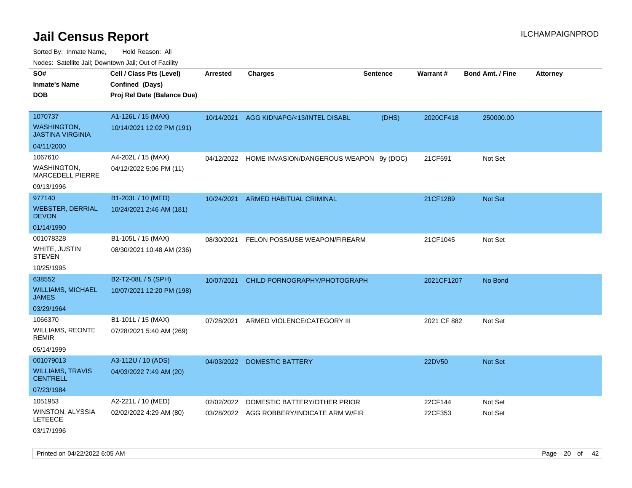| ivouss. Satellite Jali, Downtown Jali, Out of Facility |                                             |                 |                                         |                 |             |                         |                 |
|--------------------------------------------------------|---------------------------------------------|-----------------|-----------------------------------------|-----------------|-------------|-------------------------|-----------------|
| SO#<br>Inmate's Name                                   | Cell / Class Pts (Level)<br>Confined (Days) | <b>Arrested</b> | <b>Charges</b>                          | <b>Sentence</b> | Warrant#    | <b>Bond Amt. / Fine</b> | <b>Attorney</b> |
| DOB                                                    | Proj Rel Date (Balance Due)                 |                 |                                         |                 |             |                         |                 |
| 1070737                                                | A1-126L / 15 (MAX)                          | 10/14/2021      | AGG KIDNAPG/<13/INTEL DISABL            | (DHS)           | 2020CF418   | 250000.00               |                 |
| WASHINGTON.<br><b>JASTINA VIRGINIA</b>                 | 10/14/2021 12:02 PM (191)                   |                 |                                         |                 |             |                         |                 |
| 04/11/2000                                             |                                             |                 |                                         |                 |             |                         |                 |
| 1067610                                                | A4-202L / 15 (MAX)                          | 04/12/2022      | HOME INVASION/DANGEROUS WEAPON 9y (DOC) |                 | 21CF591     | Not Set                 |                 |
| WASHINGTON,<br>MARCEDELL PIERRE                        | 04/12/2022 5:06 PM (11)                     |                 |                                         |                 |             |                         |                 |
| 09/13/1996                                             |                                             |                 |                                         |                 |             |                         |                 |
| 977140                                                 | B1-203L / 10 (MED)                          | 10/24/2021      | ARMED HABITUAL CRIMINAL                 |                 | 21CF1289    | Not Set                 |                 |
| WEBSTER, DERRIAL<br><b>DEVON</b>                       | 10/24/2021 2:46 AM (181)                    |                 |                                         |                 |             |                         |                 |
| 01/14/1990                                             |                                             |                 |                                         |                 |             |                         |                 |
| 001078328                                              | B1-105L / 15 (MAX)                          | 08/30/2021      | FELON POSS/USE WEAPON/FIREARM           |                 | 21CF1045    | Not Set                 |                 |
| WHITE, JUSTIN<br>STEVEN                                | 08/30/2021 10:48 AM (236)                   |                 |                                         |                 |             |                         |                 |
| 10/25/1995                                             |                                             |                 |                                         |                 |             |                         |                 |
| 638552                                                 | B2-T2-08L / 5 (SPH)                         |                 | 10/07/2021 CHILD PORNOGRAPHY/PHOTOGRAPH |                 | 2021CF1207  | No Bond                 |                 |
| WILLIAMS, MICHAEL<br>JAMES                             | 10/07/2021 12:20 PM (198)                   |                 |                                         |                 |             |                         |                 |
| 03/29/1964                                             |                                             |                 |                                         |                 |             |                         |                 |
| 1066370                                                | B1-101L / 15 (MAX)                          | 07/28/2021      | ARMED VIOLENCE/CATEGORY III             |                 | 2021 CF 882 | Not Set                 |                 |
| WILLIAMS, REONTE<br>remir                              | 07/28/2021 5:40 AM (269)                    |                 |                                         |                 |             |                         |                 |
| 05/14/1999                                             |                                             |                 |                                         |                 |             |                         |                 |
| 001079013                                              | A3-112U / 10 (ADS)                          | 04/03/2022      | <b>DOMESTIC BATTERY</b>                 |                 | 22DV50      | <b>Not Set</b>          |                 |
| WILLIAMS, TRAVIS<br>CENTRELL                           | 04/03/2022 7:49 AM (20)                     |                 |                                         |                 |             |                         |                 |
| 07/23/1984                                             |                                             |                 |                                         |                 |             |                         |                 |
| 1051953                                                | A2-221L / 10 (MED)                          | 02/02/2022      | DOMESTIC BATTERY/OTHER PRIOR            |                 | 22CF144     | Not Set                 |                 |
| WINSTON, ALYSSIA<br>LETEECE                            | 02/02/2022 4:29 AM (80)                     | 03/28/2022      | AGG ROBBERY/INDICATE ARM W/FIR          |                 | 22CF353     | Not Set                 |                 |
| 03/17/1996                                             |                                             |                 |                                         |                 |             |                         |                 |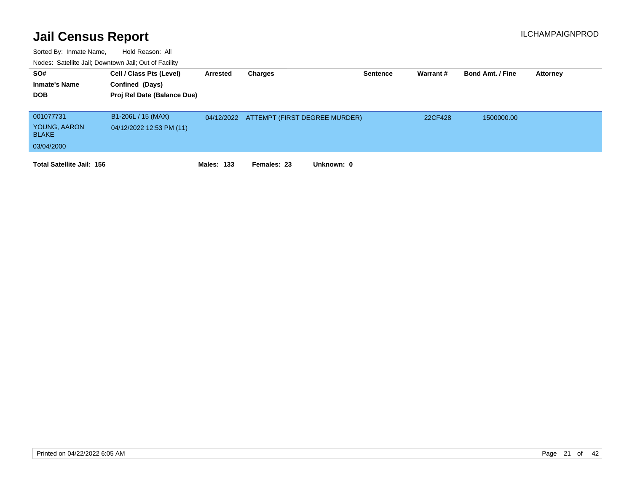| SO#<br><b>Inmate's Name</b><br><b>DOB</b> | Cell / Class Pts (Level)<br>Confined (Days)<br>Proj Rel Date (Balance Due) | Arrested          | Charges                                  | Sentence | Warrant # | <b>Bond Amt. / Fine</b> | <b>Attorney</b> |
|-------------------------------------------|----------------------------------------------------------------------------|-------------------|------------------------------------------|----------|-----------|-------------------------|-----------------|
| 001077731<br>YOUNG, AARON                 | B1-206L / 15 (MAX)                                                         |                   | 04/12/2022 ATTEMPT (FIRST DEGREE MURDER) |          | 22CF428   | 1500000.00              |                 |
| <b>BLAKE</b>                              | 04/12/2022 12:53 PM (11)                                                   |                   |                                          |          |           |                         |                 |
| 03/04/2000                                |                                                                            |                   |                                          |          |           |                         |                 |
| <b>Total Satellite Jail: 156</b>          |                                                                            | <b>Males: 133</b> | Unknown: 0<br>Females: 23                |          |           |                         |                 |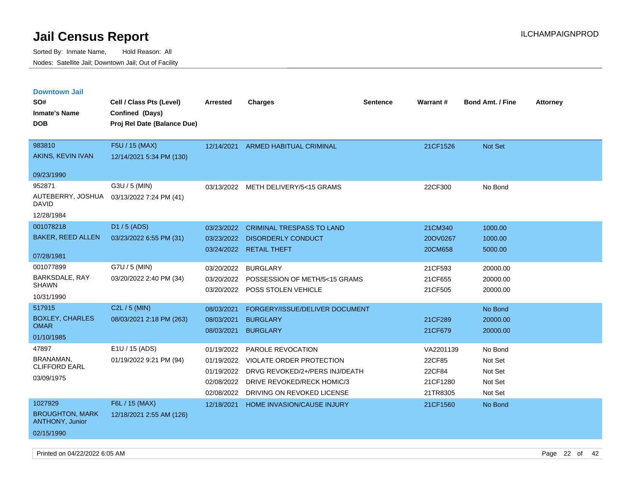| <b>Downtown Jail</b>                             |                             |            |                                     |                 |                 |                         |                 |
|--------------------------------------------------|-----------------------------|------------|-------------------------------------|-----------------|-----------------|-------------------------|-----------------|
| SO#                                              | Cell / Class Pts (Level)    | Arrested   | <b>Charges</b>                      | <b>Sentence</b> | <b>Warrant#</b> | <b>Bond Amt. / Fine</b> | <b>Attorney</b> |
| <b>Inmate's Name</b>                             | Confined (Days)             |            |                                     |                 |                 |                         |                 |
| <b>DOB</b>                                       | Proj Rel Date (Balance Due) |            |                                     |                 |                 |                         |                 |
|                                                  |                             |            |                                     |                 |                 |                         |                 |
| 983810                                           | F5U / 15 (MAX)              | 12/14/2021 | <b>ARMED HABITUAL CRIMINAL</b>      |                 | 21CF1526        | Not Set                 |                 |
| AKINS, KEVIN IVAN                                | 12/14/2021 5:34 PM (130)    |            |                                     |                 |                 |                         |                 |
| 09/23/1990                                       |                             |            |                                     |                 |                 |                         |                 |
| 952871                                           | G3U / 5 (MIN)               |            | 03/13/2022 METH DELIVERY/5<15 GRAMS |                 | 22CF300         | No Bond                 |                 |
| AUTEBERRY, JOSHUA<br><b>DAVID</b>                | 03/13/2022 7:24 PM (41)     |            |                                     |                 |                 |                         |                 |
| 12/28/1984                                       |                             |            |                                     |                 |                 |                         |                 |
| 001078218                                        | D1 / 5 (ADS)                | 03/23/2022 | <b>CRIMINAL TRESPASS TO LAND</b>    |                 | 21CM340         | 1000.00                 |                 |
| <b>BAKER, REED ALLEN</b>                         | 03/23/2022 6:55 PM (31)     | 03/23/2022 | <b>DISORDERLY CONDUCT</b>           |                 | 20OV0267        | 1000.00                 |                 |
|                                                  |                             | 03/24/2022 | <b>RETAIL THEFT</b>                 |                 | 20CM658         | 5000.00                 |                 |
| 07/28/1981                                       |                             |            |                                     |                 |                 |                         |                 |
| 001077899                                        | G7U / 5 (MIN)               | 03/20/2022 | <b>BURGLARY</b>                     |                 | 21CF593         | 20000.00                |                 |
| BARKSDALE, RAY<br><b>SHAWN</b>                   | 03/20/2022 2:40 PM (34)     | 03/20/2022 | POSSESSION OF METH/5<15 GRAMS       |                 | 21CF655         | 20000.00                |                 |
| 10/31/1990                                       |                             | 03/20/2022 | POSS STOLEN VEHICLE                 |                 | 21CF505         | 20000.00                |                 |
| 517915                                           | C2L / 5 (MIN)               |            |                                     |                 |                 |                         |                 |
| <b>BOXLEY, CHARLES</b>                           |                             | 08/03/2021 | FORGERY/ISSUE/DELIVER DOCUMENT      |                 |                 | No Bond                 |                 |
| <b>OMAR</b>                                      | 08/03/2021 2:18 PM (263)    | 08/03/2021 | <b>BURGLARY</b>                     |                 | 21CF289         | 20000.00                |                 |
| 01/10/1985                                       |                             | 08/03/2021 | <b>BURGLARY</b>                     |                 | 21CF679         | 20000.00                |                 |
| 47897                                            | E1U / 15 (ADS)              | 01/19/2022 | PAROLE REVOCATION                   |                 | VA2201139       | No Bond                 |                 |
| <b>BRANAMAN</b>                                  | 01/19/2022 9:21 PM (94)     | 01/19/2022 | <b>VIOLATE ORDER PROTECTION</b>     |                 | 22CF85          | Not Set                 |                 |
| <b>CLIFFORD EARL</b>                             |                             | 01/19/2022 | DRVG REVOKED/2+/PERS INJ/DEATH      |                 | 22CF84          | Not Set                 |                 |
| 03/09/1975                                       |                             | 02/08/2022 | DRIVE REVOKED/RECK HOMIC/3          |                 | 21CF1280        | Not Set                 |                 |
|                                                  |                             | 02/08/2022 | DRIVING ON REVOKED LICENSE          |                 | 21TR8305        | Not Set                 |                 |
| 1027929                                          | F6L / 15 (MAX)              | 12/18/2021 | HOME INVASION/CAUSE INJURY          |                 | 21CF1560        | No Bond                 |                 |
| <b>BROUGHTON, MARK</b><br><b>ANTHONY, Junior</b> | 12/18/2021 2:55 AM (126)    |            |                                     |                 |                 |                         |                 |
| 02/15/1990                                       |                             |            |                                     |                 |                 |                         |                 |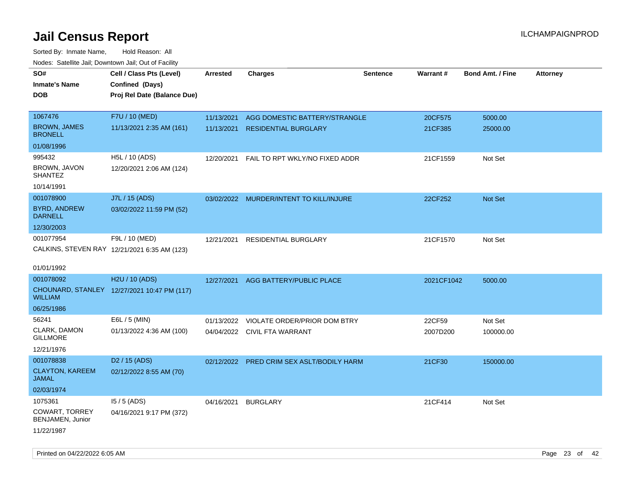| rougs. Calcing Jan, Downtown Jan, Out of Facility |                                              |                 |                                         |                 |            |                         |                 |
|---------------------------------------------------|----------------------------------------------|-----------------|-----------------------------------------|-----------------|------------|-------------------------|-----------------|
| SO#<br><b>Inmate's Name</b>                       | Cell / Class Pts (Level)<br>Confined (Days)  | <b>Arrested</b> | <b>Charges</b>                          | <b>Sentence</b> | Warrant#   | <b>Bond Amt. / Fine</b> | <b>Attorney</b> |
| <b>DOB</b>                                        | Proj Rel Date (Balance Due)                  |                 |                                         |                 |            |                         |                 |
| 1067476                                           | F7U / 10 (MED)                               | 11/13/2021      | AGG DOMESTIC BATTERY/STRANGLE           |                 | 20CF575    | 5000.00                 |                 |
| <b>BROWN, JAMES</b><br><b>BRONELL</b>             | 11/13/2021 2:35 AM (161)                     | 11/13/2021      | <b>RESIDENTIAL BURGLARY</b>             |                 | 21CF385    | 25000.00                |                 |
| 01/08/1996                                        |                                              |                 |                                         |                 |            |                         |                 |
| 995432                                            | H5L / 10 (ADS)                               | 12/20/2021      | FAIL TO RPT WKLY/NO FIXED ADDR          |                 | 21CF1559   | Not Set                 |                 |
| BROWN, JAVON<br><b>SHANTEZ</b>                    | 12/20/2021 2:06 AM (124)                     |                 |                                         |                 |            |                         |                 |
| 10/14/1991                                        |                                              |                 |                                         |                 |            |                         |                 |
| 001078900                                         | J7L / 15 (ADS)                               |                 | 03/02/2022 MURDER/INTENT TO KILL/INJURE |                 | 22CF252    | Not Set                 |                 |
| <b>BYRD, ANDREW</b><br><b>DARNELL</b>             | 03/02/2022 11:59 PM (52)                     |                 |                                         |                 |            |                         |                 |
| 12/30/2003                                        |                                              |                 |                                         |                 |            |                         |                 |
| 001077954                                         | F9L / 10 (MED)                               | 12/21/2021      | RESIDENTIAL BURGLARY                    |                 | 21CF1570   | Not Set                 |                 |
|                                                   | CALKINS, STEVEN RAY 12/21/2021 6:35 AM (123) |                 |                                         |                 |            |                         |                 |
|                                                   |                                              |                 |                                         |                 |            |                         |                 |
| 01/01/1992                                        |                                              |                 |                                         |                 |            |                         |                 |
| 001078092                                         | H2U / 10 (ADS)                               | 12/27/2021      | AGG BATTERY/PUBLIC PLACE                |                 | 2021CF1042 | 5000.00                 |                 |
| <b>WILLIAM</b>                                    | CHOUNARD, STANLEY 12/27/2021 10:47 PM (117)  |                 |                                         |                 |            |                         |                 |
| 06/25/1986                                        |                                              |                 |                                         |                 |            |                         |                 |
| 56241                                             | E6L / 5 (MIN)                                | 01/13/2022      | VIOLATE ORDER/PRIOR DOM BTRY            |                 | 22CF59     | Not Set                 |                 |
| CLARK, DAMON<br><b>GILLMORE</b>                   | 01/13/2022 4:36 AM (100)                     |                 | 04/04/2022 CIVIL FTA WARRANT            |                 | 2007D200   | 100000.00               |                 |
| 12/21/1976                                        |                                              |                 |                                         |                 |            |                         |                 |
| 001078838                                         | D <sub>2</sub> / 15 (ADS)                    | 02/12/2022      | PRED CRIM SEX ASLT/BODILY HARM          |                 | 21CF30     | 150000.00               |                 |
| <b>CLAYTON, KAREEM</b><br>JAMAL                   | 02/12/2022 8:55 AM (70)                      |                 |                                         |                 |            |                         |                 |
| 02/03/1974                                        |                                              |                 |                                         |                 |            |                         |                 |
| 1075361                                           | $15/5$ (ADS)                                 | 04/16/2021      | <b>BURGLARY</b>                         |                 | 21CF414    | Not Set                 |                 |
| <b>COWART, TORREY</b><br>BENJAMEN, Junior         | 04/16/2021 9:17 PM (372)                     |                 |                                         |                 |            |                         |                 |
| 11/22/1987                                        |                                              |                 |                                         |                 |            |                         |                 |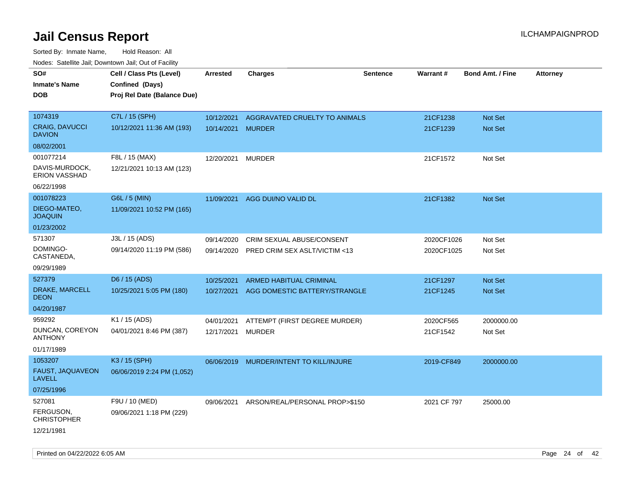| rouco. Calcillo Jali, Downtown Jali, Out of Facility                     |                                                                            |                                 |                                                            |                 |                          |                                  |                 |
|--------------------------------------------------------------------------|----------------------------------------------------------------------------|---------------------------------|------------------------------------------------------------|-----------------|--------------------------|----------------------------------|-----------------|
| SO#<br>Inmate's Name<br><b>DOB</b>                                       | Cell / Class Pts (Level)<br>Confined (Days)<br>Proj Rel Date (Balance Due) | <b>Arrested</b>                 | <b>Charges</b>                                             | <b>Sentence</b> | Warrant#                 | <b>Bond Amt. / Fine</b>          | <b>Attorney</b> |
| 1074319<br><b>CRAIG, DAVUCCI</b><br><b>DAVION</b>                        | C7L / 15 (SPH)<br>10/12/2021 11:36 AM (193)                                | 10/12/2021<br>10/14/2021 MURDER | AGGRAVATED CRUELTY TO ANIMALS                              |                 | 21CF1238<br>21CF1239     | <b>Not Set</b><br><b>Not Set</b> |                 |
| 08/02/2001<br>001077214<br>DAVIS-MURDOCK,<br>ERION VASSHAD<br>06/22/1998 | F8L / 15 (MAX)<br>12/21/2021 10:13 AM (123)                                | 12/20/2021                      | <b>MURDER</b>                                              |                 | 21CF1572                 | Not Set                          |                 |
| 001078223<br>DIEGO-MATEO,<br><b>JOAQUIN</b><br>01/23/2002                | G6L / 5 (MIN)<br>11/09/2021 10:52 PM (165)                                 | 11/09/2021                      | AGG DUI/NO VALID DL                                        |                 | 21CF1382                 | Not Set                          |                 |
| 571307<br>DOMINGO-<br>CASTANEDA,<br>09/29/1989                           | J3L / 15 (ADS)<br>09/14/2020 11:19 PM (586)                                | 09/14/2020<br>09/14/2020        | CRIM SEXUAL ABUSE/CONSENT<br>PRED CRIM SEX ASLT/VICTIM <13 |                 | 2020CF1026<br>2020CF1025 | Not Set<br>Not Set               |                 |
| 527379<br>DRAKE, MARCELL<br>DEON<br>04/20/1987                           | D6 / 15 (ADS)<br>10/25/2021 5:05 PM (180)                                  | 10/25/2021<br>10/27/2021        | ARMED HABITUAL CRIMINAL<br>AGG DOMESTIC BATTERY/STRANGLE   |                 | 21CF1297<br>21CF1245     | <b>Not Set</b><br><b>Not Set</b> |                 |
| 959292<br>DUNCAN, COREYON<br>ANTHONY<br>01/17/1989                       | K1 / 15 (ADS)<br>04/01/2021 8:46 PM (387)                                  | 04/01/2021<br>12/17/2021        | ATTEMPT (FIRST DEGREE MURDER)<br><b>MURDER</b>             |                 | 2020CF565<br>21CF1542    | 2000000.00<br>Not Set            |                 |
| 1053207<br>FAUST, JAQUAVEON<br>LAVELL<br>07/25/1996                      | K3 / 15 (SPH)<br>06/06/2019 2:24 PM (1,052)                                | 06/06/2019                      | MURDER/INTENT TO KILL/INJURE                               |                 | 2019-CF849               | 2000000.00                       |                 |
| 527081<br>FERGUSON,<br>CHRISTOPHER<br>12/21/1981                         | F9U / 10 (MED)<br>09/06/2021 1:18 PM (229)                                 | 09/06/2021                      | ARSON/REAL/PERSONAL PROP>\$150                             |                 | 2021 CF 797              | 25000.00                         |                 |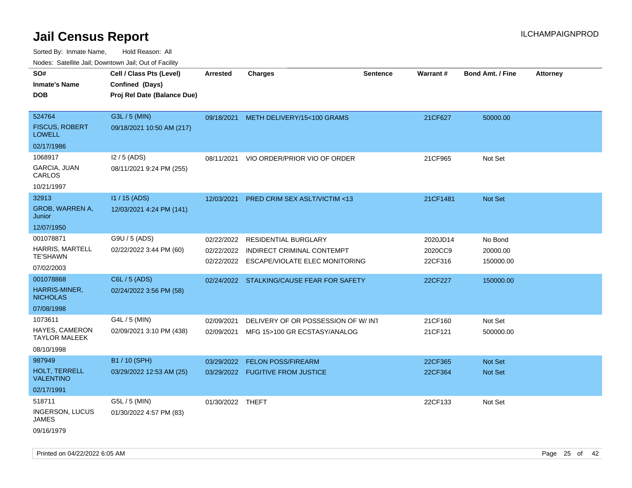| Noues. Sateme Jan, Downtown Jan, Out or Facility |                             |                  |                                           |                 |          |                         |          |
|--------------------------------------------------|-----------------------------|------------------|-------------------------------------------|-----------------|----------|-------------------------|----------|
| SO#                                              | Cell / Class Pts (Level)    | Arrested         | <b>Charges</b>                            | <b>Sentence</b> | Warrant# | <b>Bond Amt. / Fine</b> | Attorney |
| <b>Inmate's Name</b>                             | Confined (Days)             |                  |                                           |                 |          |                         |          |
| <b>DOB</b>                                       | Proj Rel Date (Balance Due) |                  |                                           |                 |          |                         |          |
|                                                  |                             |                  |                                           |                 |          |                         |          |
| 524764                                           | G3L / 5 (MIN)               | 09/18/2021       | METH DELIVERY/15<100 GRAMS                |                 | 21CF627  | 50000.00                |          |
| <b>FISCUS, ROBERT</b><br><b>LOWELL</b>           | 09/18/2021 10:50 AM (217)   |                  |                                           |                 |          |                         |          |
| 02/17/1986                                       |                             |                  |                                           |                 |          |                         |          |
| 1068917                                          | I2 / 5 (ADS)                | 08/11/2021       | VIO ORDER/PRIOR VIO OF ORDER              |                 | 21CF965  | Not Set                 |          |
| <b>GARCIA, JUAN</b><br>CARLOS                    | 08/11/2021 9:24 PM (255)    |                  |                                           |                 |          |                         |          |
| 10/21/1997                                       |                             |                  |                                           |                 |          |                         |          |
| 32913                                            | I1 / 15 (ADS)               | 12/03/2021       | <b>PRED CRIM SEX ASLT/VICTIM &lt;13</b>   |                 | 21CF1481 | Not Set                 |          |
| GROB, WARREN A,<br>Junior                        | 12/03/2021 4:24 PM (141)    |                  |                                           |                 |          |                         |          |
| 12/07/1950                                       |                             |                  |                                           |                 |          |                         |          |
| 001078871                                        | G9U / 5 (ADS)               | 02/22/2022       | <b>RESIDENTIAL BURGLARY</b>               |                 | 2020JD14 | No Bond                 |          |
| <b>HARRIS, MARTELL</b>                           | 02/22/2022 3:44 PM (60)     | 02/22/2022       | INDIRECT CRIMINAL CONTEMPT                |                 | 2020CC9  | 20000.00                |          |
| <b>TE'SHAWN</b>                                  |                             |                  | 02/22/2022 ESCAPE/VIOLATE ELEC MONITORING |                 | 22CF316  | 150000.00               |          |
| 07/02/2003                                       |                             |                  |                                           |                 |          |                         |          |
| 001078868                                        | C6L / 5 (ADS)               |                  | 02/24/2022 STALKING/CAUSE FEAR FOR SAFETY |                 | 22CF227  | 150000.00               |          |
| HARRIS-MINER,<br><b>NICHOLAS</b>                 | 02/24/2022 3:56 PM (58)     |                  |                                           |                 |          |                         |          |
| 07/08/1998                                       |                             |                  |                                           |                 |          |                         |          |
| 1073611                                          | G4L / 5 (MIN)               | 02/09/2021       | DELIVERY OF OR POSSESSION OF W/INT        |                 | 21CF160  | Not Set                 |          |
| HAYES, CAMERON<br><b>TAYLOR MALEEK</b>           | 02/09/2021 3:10 PM (438)    | 02/09/2021       | MFG 15>100 GR ECSTASY/ANALOG              |                 | 21CF121  | 500000.00               |          |
| 08/10/1998                                       |                             |                  |                                           |                 |          |                         |          |
| 987949                                           | B1 / 10 (SPH)               | 03/29/2022       | <b>FELON POSS/FIREARM</b>                 |                 | 22CF365  | <b>Not Set</b>          |          |
| HOLT, TERRELL<br><b>VALENTINO</b>                | 03/29/2022 12:53 AM (25)    |                  | 03/29/2022 FUGITIVE FROM JUSTICE          |                 | 22CF364  | <b>Not Set</b>          |          |
| 02/17/1991                                       |                             |                  |                                           |                 |          |                         |          |
| 518711                                           | G5L / 5 (MIN)               | 01/30/2022 THEFT |                                           |                 | 22CF133  | Not Set                 |          |
| <b>INGERSON, LUCUS</b><br><b>JAMES</b>           | 01/30/2022 4:57 PM (83)     |                  |                                           |                 |          |                         |          |
| 09/16/1979                                       |                             |                  |                                           |                 |          |                         |          |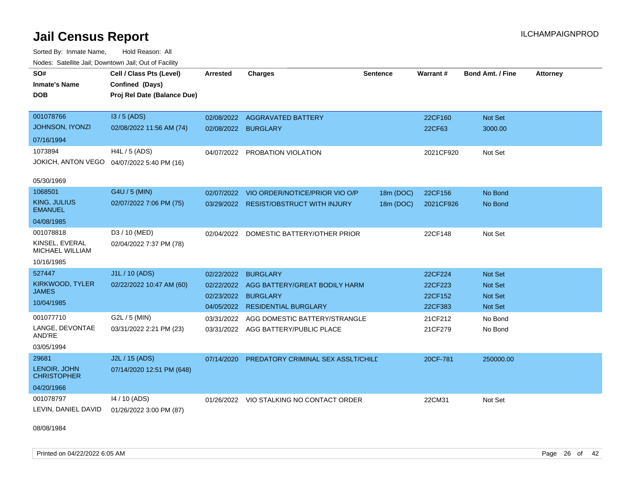Sorted By: Inmate Name, Hold Reason: All Nodes: Satellite Jail; Downtown Jail; Out of Facility

| SO#<br><b>Inmate's Name</b><br><b>DOB</b><br>001078766 | Cell / Class Pts (Level)<br>Confined (Days)<br>Proj Rel Date (Balance Due) | <b>Arrested</b> | <b>Charges</b>                           | <b>Sentence</b> | <b>Warrant#</b> | <b>Bond Amt. / Fine</b> | <b>Attorney</b> |
|--------------------------------------------------------|----------------------------------------------------------------------------|-----------------|------------------------------------------|-----------------|-----------------|-------------------------|-----------------|
| JOHNSON, IYONZI                                        | $13/5$ (ADS)                                                               | 02/08/2022      | <b>AGGRAVATED BATTERY</b>                |                 | 22CF160         | Not Set                 |                 |
|                                                        | 02/08/2022 11:56 AM (74)                                                   | 02/08/2022      | <b>BURGLARY</b>                          |                 | 22CF63          | 3000.00                 |                 |
| 07/16/1994                                             |                                                                            |                 |                                          |                 |                 |                         |                 |
| 1073894                                                | H4L / 5 (ADS)                                                              | 04/07/2022      | PROBATION VIOLATION                      |                 | 2021CF920       | Not Set                 |                 |
| JOKICH, ANTON VEGO                                     | 04/07/2022 5:40 PM (16)                                                    |                 |                                          |                 |                 |                         |                 |
| 05/30/1969                                             |                                                                            |                 |                                          |                 |                 |                         |                 |
| 1068501                                                | G4U / 5 (MIN)                                                              | 02/07/2022      | VIO ORDER/NOTICE/PRIOR VIO O/P           | 18m (DOC)       | 22CF156         | No Bond                 |                 |
| KING, JULIUS<br><b>EMANUEL</b>                         | 02/07/2022 7:06 PM (75)                                                    | 03/29/2022      | <b>RESIST/OBSTRUCT WITH INJURY</b>       | 18m (DOC)       | 2021CF926       | No Bond                 |                 |
| 04/08/1985                                             |                                                                            |                 |                                          |                 |                 |                         |                 |
| 001078818                                              | D3 / 10 (MED)                                                              |                 | 02/04/2022 DOMESTIC BATTERY/OTHER PRIOR  |                 | 22CF148         | Not Set                 |                 |
| KINSEL, EVERAL<br>MICHAEL WILLIAM                      | 02/04/2022 7:37 PM (78)                                                    |                 |                                          |                 |                 |                         |                 |
| 10/16/1985                                             |                                                                            |                 |                                          |                 |                 |                         |                 |
| 527447                                                 | J1L / 10 (ADS)                                                             | 02/22/2022      | <b>BURGLARY</b>                          |                 | 22CF224         | <b>Not Set</b>          |                 |
| KIRKWOOD, TYLER                                        | 02/22/2022 10:47 AM (60)                                                   | 02/22/2022      | AGG BATTERY/GREAT BODILY HARM            |                 | 22CF223         | <b>Not Set</b>          |                 |
| <b>JAMES</b>                                           |                                                                            | 02/23/2022      | <b>BURGLARY</b>                          |                 | 22CF152         | <b>Not Set</b>          |                 |
| 10/04/1985                                             |                                                                            | 04/05/2022      | <b>RESIDENTIAL BURGLARY</b>              |                 | 22CF383         | Not Set                 |                 |
| 001077710                                              | G2L / 5 (MIN)                                                              | 03/31/2022      | AGG DOMESTIC BATTERY/STRANGLE            |                 | 21CF212         | No Bond                 |                 |
| LANGE, DEVONTAE<br>AND'RE                              | 03/31/2022 2:21 PM (23)                                                    |                 | 03/31/2022 AGG BATTERY/PUBLIC PLACE      |                 | 21CF279         | No Bond                 |                 |
| 03/05/1994                                             |                                                                            |                 |                                          |                 |                 |                         |                 |
| 29681<br>LENOIR, JOHN<br><b>CHRISTOPHER</b>            | J2L / 15 (ADS)<br>07/14/2020 12:51 PM (648)                                | 07/14/2020      | PREDATORY CRIMINAL SEX ASSLT/CHILD       |                 | 20CF-781        | 250000.00               |                 |
| 04/20/1966                                             |                                                                            |                 |                                          |                 |                 |                         |                 |
| 001078797<br>LEVIN, DANIEL DAVID                       | 14 / 10 (ADS)<br>01/26/2022 3:00 PM (87)                                   |                 | 01/26/2022 VIO STALKING NO CONTACT ORDER |                 | 22CM31          | Not Set                 |                 |

08/08/1984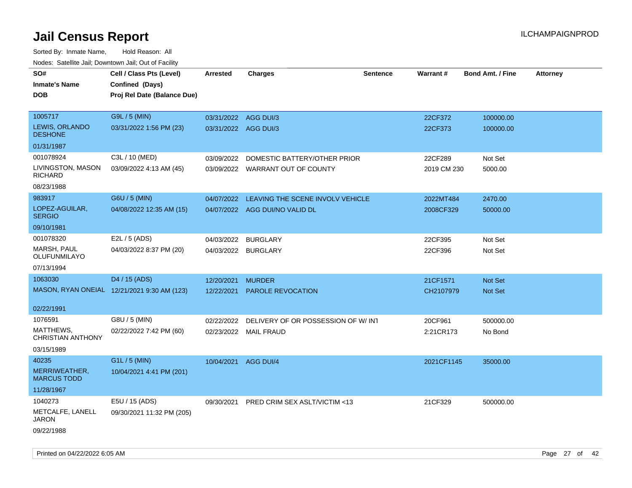| SO#                                     | Cell / Class Pts (Level)                       | <b>Arrested</b>      | <b>Charges</b>                     | <b>Sentence</b> | Warrant#    | <b>Bond Amt. / Fine</b> | <b>Attorney</b> |
|-----------------------------------------|------------------------------------------------|----------------------|------------------------------------|-----------------|-------------|-------------------------|-----------------|
| <b>Inmate's Name</b><br><b>DOB</b>      | Confined (Days)<br>Proj Rel Date (Balance Due) |                      |                                    |                 |             |                         |                 |
| 1005717                                 | G9L / 5 (MIN)                                  | 03/31/2022 AGG DUI/3 |                                    |                 | 22CF372     | 100000.00               |                 |
| <b>LEWIS, ORLANDO</b><br><b>DESHONE</b> | 03/31/2022 1:56 PM (23)                        | 03/31/2022 AGG DUI/3 |                                    |                 | 22CF373     | 100000.00               |                 |
| 01/31/1987                              |                                                |                      |                                    |                 |             |                         |                 |
| 001078924                               | C3L / 10 (MED)                                 | 03/09/2022           | DOMESTIC BATTERY/OTHER PRIOR       |                 | 22CF289     | Not Set                 |                 |
| LIVINGSTON, MASON<br><b>RICHARD</b>     | 03/09/2022 4:13 AM (45)                        |                      | 03/09/2022 WARRANT OUT OF COUNTY   |                 | 2019 CM 230 | 5000.00                 |                 |
| 08/23/1988                              |                                                |                      |                                    |                 |             |                         |                 |
| 983917                                  | G6U / 5 (MIN)                                  | 04/07/2022           | LEAVING THE SCENE INVOLV VEHICLE   |                 | 2022MT484   | 2470.00                 |                 |
| LOPEZ-AGUILAR,<br><b>SERGIO</b>         | 04/08/2022 12:35 AM (15)                       |                      | 04/07/2022 AGG DUI/NO VALID DL     |                 | 2008CF329   | 50000.00                |                 |
| 09/10/1981                              |                                                |                      |                                    |                 |             |                         |                 |
| 001078320                               | E2L / 5 (ADS)                                  | 04/03/2022           | <b>BURGLARY</b>                    |                 | 22CF395     | Not Set                 |                 |
| MARSH, PAUL<br>OLUFUNMILAYO             | 04/03/2022 8:37 PM (20)                        | 04/03/2022 BURGLARY  |                                    |                 | 22CF396     | Not Set                 |                 |
| 07/13/1994                              |                                                |                      |                                    |                 |             |                         |                 |
| 1063030                                 | D4 / 15 (ADS)                                  | 12/20/2021           | <b>MURDER</b>                      |                 | 21CF1571    | <b>Not Set</b>          |                 |
|                                         | MASON, RYAN ONEIAL 12/21/2021 9:30 AM (123)    | 12/22/2021           | PAROLE REVOCATION                  |                 | CH2107979   | Not Set                 |                 |
| 02/22/1991                              |                                                |                      |                                    |                 |             |                         |                 |
| 1076591                                 | G8U / 5 (MIN)                                  | 02/22/2022           | DELIVERY OF OR POSSESSION OF W/INT |                 | 20CF961     | 500000.00               |                 |
| MATTHEWS,<br><b>CHRISTIAN ANTHONY</b>   | 02/22/2022 7:42 PM (60)                        | 02/23/2022           | MAIL FRAUD                         |                 | 2:21CR173   | No Bond                 |                 |
| 03/15/1989                              |                                                |                      |                                    |                 |             |                         |                 |
| 40235                                   | G1L / 5 (MIN)                                  | 10/04/2021           | AGG DUI/4                          |                 | 2021CF1145  | 35000.00                |                 |
| MERRIWEATHER,<br><b>MARCUS TODD</b>     | 10/04/2021 4:41 PM (201)                       |                      |                                    |                 |             |                         |                 |
| 11/28/1967                              |                                                |                      |                                    |                 |             |                         |                 |
| 1040273                                 | E5U / 15 (ADS)                                 | 09/30/2021           | PRED CRIM SEX ASLT/VICTIM <13      |                 | 21CF329     | 500000.00               |                 |
| METCALFE, LANELL<br>JARON               | 09/30/2021 11:32 PM (205)                      |                      |                                    |                 |             |                         |                 |
| 09/22/1988                              |                                                |                      |                                    |                 |             |                         |                 |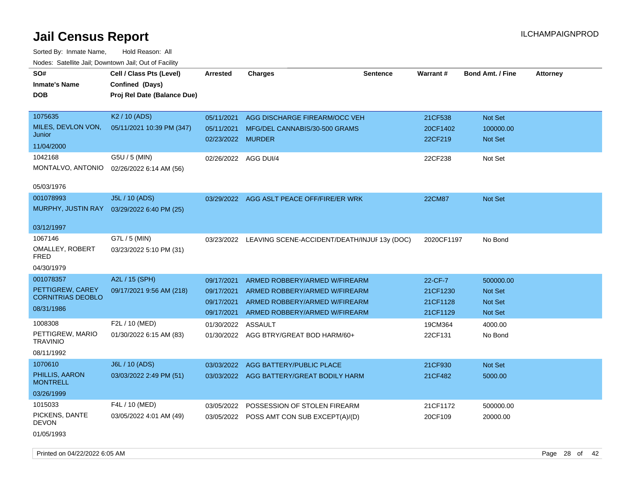| SO#<br><b>Inmate's Name</b><br><b>DOB</b>                               | Cell / Class Pts (Level)<br>Confined (Days)<br>Proj Rel Date (Balance Due) | <b>Arrested</b>                                      | <b>Charges</b>                                                                                                                   | <b>Sentence</b> | <b>Warrant#</b>                             | <b>Bond Amt. / Fine</b>                           | <b>Attorney</b> |
|-------------------------------------------------------------------------|----------------------------------------------------------------------------|------------------------------------------------------|----------------------------------------------------------------------------------------------------------------------------------|-----------------|---------------------------------------------|---------------------------------------------------|-----------------|
| 1075635<br>MILES, DEVLON VON,<br>Junior<br>11/04/2000                   | K <sub>2</sub> / 10 (ADS)<br>05/11/2021 10:39 PM (347)                     | 05/11/2021<br>05/11/2021<br>02/23/2022 MURDER        | AGG DISCHARGE FIREARM/OCC VEH<br>MFG/DEL CANNABIS/30-500 GRAMS                                                                   |                 | 21CF538<br>20CF1402<br>22CF219              | <b>Not Set</b><br>100000.00<br>Not Set            |                 |
| 1042168<br>MONTALVO, ANTONIO<br>05/03/1976                              | G5U / 5 (MIN)<br>02/26/2022 6:14 AM (56)                                   | 02/26/2022                                           | AGG DUI/4                                                                                                                        |                 | 22CF238                                     | Not Set                                           |                 |
| 001078993<br>MURPHY, JUSTIN RAY<br>03/12/1997                           | J5L / 10 (ADS)<br>03/29/2022 6:40 PM (25)                                  | 03/29/2022                                           | AGG ASLT PEACE OFF/FIRE/ER WRK                                                                                                   |                 | <b>22CM87</b>                               | Not Set                                           |                 |
| 1067146<br>OMALLEY, ROBERT<br><b>FRED</b><br>04/30/1979                 | G7L / 5 (MIN)<br>03/23/2022 5:10 PM (31)                                   | 03/23/2022                                           | LEAVING SCENE-ACCIDENT/DEATH/INJUF 13y (DOC)                                                                                     |                 | 2020CF1197                                  | No Bond                                           |                 |
| 001078357<br>PETTIGREW, CAREY<br><b>CORNITRIAS DEOBLO</b><br>08/31/1986 | A2L / 15 (SPH)<br>09/17/2021 9:56 AM (218)                                 | 09/17/2021<br>09/17/2021<br>09/17/2021<br>09/17/2021 | ARMED ROBBERY/ARMED W/FIREARM<br>ARMED ROBBERY/ARMED W/FIREARM<br>ARMED ROBBERY/ARMED W/FIREARM<br>ARMED ROBBERY/ARMED W/FIREARM |                 | 22-CF-7<br>21CF1230<br>21CF1128<br>21CF1129 | 500000.00<br>Not Set<br><b>Not Set</b><br>Not Set |                 |
| 1008308<br>PETTIGREW, MARIO<br><b>TRAVINIO</b><br>08/11/1992            | F2L / 10 (MED)<br>01/30/2022 6:15 AM (83)                                  | 01/30/2022                                           | <b>ASSAULT</b><br>01/30/2022 AGG BTRY/GREAT BOD HARM/60+                                                                         |                 | 19CM364<br>22CF131                          | 4000.00<br>No Bond                                |                 |
| 1070610<br>PHILLIS, AARON<br><b>MONTRELL</b><br>03/26/1999              | J6L / 10 (ADS)<br>03/03/2022 2:49 PM (51)                                  |                                                      | 03/03/2022 AGG BATTERY/PUBLIC PLACE<br>03/03/2022 AGG BATTERY/GREAT BODILY HARM                                                  |                 | 21CF930<br>21CF482                          | <b>Not Set</b><br>5000.00                         |                 |
| 1015033<br>PICKENS, DANTE<br><b>DEVON</b><br>01/05/1993                 | F4L / 10 (MED)<br>03/05/2022 4:01 AM (49)                                  | 03/05/2022<br>03/05/2022                             | POSSESSION OF STOLEN FIREARM<br>POSS AMT CON SUB EXCEPT(A)/(D)                                                                   |                 | 21CF1172<br>20CF109                         | 500000.00<br>20000.00                             |                 |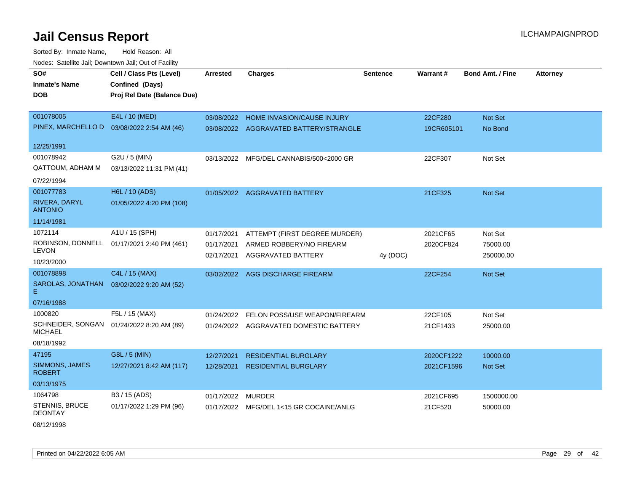Sorted By: Inmate Name, Hold Reason: All Nodes: Satellite Jail; Downtown Jail; Out of Facility

| SO#                              | Cell / Class Pts (Level)                  | <b>Arrested</b> | <b>Charges</b>                          | <b>Sentence</b> | Warrant#   | <b>Bond Amt. / Fine</b> | <b>Attorney</b> |
|----------------------------------|-------------------------------------------|-----------------|-----------------------------------------|-----------------|------------|-------------------------|-----------------|
| <b>Inmate's Name</b>             | Confined (Days)                           |                 |                                         |                 |            |                         |                 |
| <b>DOB</b>                       | Proj Rel Date (Balance Due)               |                 |                                         |                 |            |                         |                 |
|                                  |                                           |                 |                                         |                 |            |                         |                 |
| 001078005                        | E4L / 10 (MED)                            | 03/08/2022      | HOME INVASION/CAUSE INJURY              |                 | 22CF280    | Not Set                 |                 |
| PINEX, MARCHELLO D               | 03/08/2022 2:54 AM (46)                   |                 | 03/08/2022 AGGRAVATED BATTERY/STRANGLE  |                 | 19CR605101 | No Bond                 |                 |
| 12/25/1991                       |                                           |                 |                                         |                 |            |                         |                 |
| 001078942                        | G2U / 5 (MIN)                             |                 | 03/13/2022 MFG/DEL CANNABIS/500<2000 GR |                 | 22CF307    | Not Set                 |                 |
| <b>QATTOUM, ADHAM M</b>          | 03/13/2022 11:31 PM (41)                  |                 |                                         |                 |            |                         |                 |
| 07/22/1994                       |                                           |                 |                                         |                 |            |                         |                 |
| 001077783                        | H6L / 10 (ADS)                            |                 | 01/05/2022 AGGRAVATED BATTERY           |                 | 21CF325    | <b>Not Set</b>          |                 |
| RIVERA, DARYL<br><b>ANTONIO</b>  | 01/05/2022 4:20 PM (108)                  |                 |                                         |                 |            |                         |                 |
| 11/14/1981                       |                                           |                 |                                         |                 |            |                         |                 |
| 1072114                          | A1U / 15 (SPH)                            | 01/17/2021      | ATTEMPT (FIRST DEGREE MURDER)           |                 | 2021CF65   | Not Set                 |                 |
| ROBINSON, DONNELL                | 01/17/2021 2:40 PM (461)                  | 01/17/2021      | ARMED ROBBERY/NO FIREARM                |                 | 2020CF824  | 75000.00                |                 |
| LEVON                            |                                           | 02/17/2021      | AGGRAVATED BATTERY                      | 4y (DOC)        |            | 250000.00               |                 |
| 10/23/2000                       |                                           |                 |                                         |                 |            |                         |                 |
| 001078898                        | C4L / 15 (MAX)                            | 03/02/2022      | AGG DISCHARGE FIREARM                   |                 | 22CF254    | Not Set                 |                 |
| SAROLAS, JONATHAN<br>Е.          | 03/02/2022 9:20 AM (52)                   |                 |                                         |                 |            |                         |                 |
| 07/16/1988                       |                                           |                 |                                         |                 |            |                         |                 |
| 1000820                          | F5L / 15 (MAX)                            | 01/24/2022      | FELON POSS/USE WEAPON/FIREARM           |                 | 22CF105    | Not Set                 |                 |
| <b>MICHAEL</b>                   | SCHNEIDER, SONGAN 01/24/2022 8:20 AM (89) |                 | 01/24/2022 AGGRAVATED DOMESTIC BATTERY  |                 | 21CF1433   | 25000.00                |                 |
| 08/18/1992                       |                                           |                 |                                         |                 |            |                         |                 |
| 47195                            | G8L / 5 (MIN)                             | 12/27/2021      | <b>RESIDENTIAL BURGLARY</b>             |                 | 2020CF1222 | 10000.00                |                 |
| SIMMONS, JAMES<br><b>ROBERT</b>  | 12/27/2021 8:42 AM (117)                  | 12/28/2021      | <b>RESIDENTIAL BURGLARY</b>             |                 | 2021CF1596 | <b>Not Set</b>          |                 |
| 03/13/1975                       |                                           |                 |                                         |                 |            |                         |                 |
| 1064798                          | B3 / 15 (ADS)                             | 01/17/2022      | MURDER                                  |                 | 2021CF695  | 1500000.00              |                 |
| STENNIS, BRUCE<br><b>DEONTAY</b> | 01/17/2022 1:29 PM (96)                   |                 | 01/17/2022 MFG/DEL 1<15 GR COCAINE/ANLG |                 | 21CF520    | 50000.00                |                 |

08/12/1998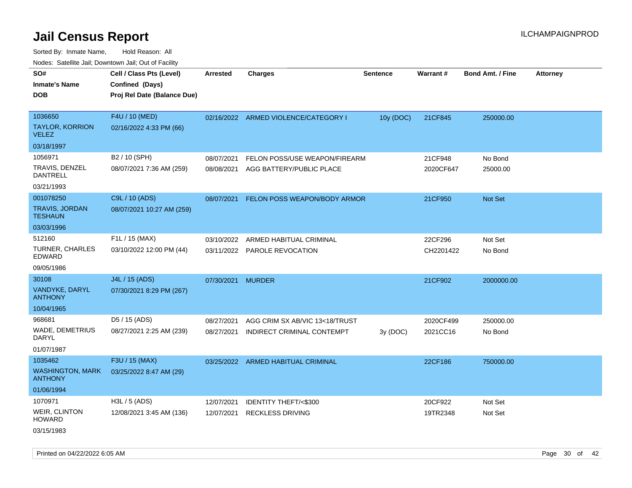Sorted By: Inmate Name, Hold Reason: All Nodes: Satellite Jail; Downtown Jail; Out of Facility

| rougs. Calcing Jan, Downtown Jan, Out of Facility |                                                                            |                   |                                      |                 |                 |                         |                 |
|---------------------------------------------------|----------------------------------------------------------------------------|-------------------|--------------------------------------|-----------------|-----------------|-------------------------|-----------------|
| SO#<br><b>Inmate's Name</b><br><b>DOB</b>         | Cell / Class Pts (Level)<br>Confined (Days)<br>Proj Rel Date (Balance Due) | <b>Arrested</b>   | <b>Charges</b>                       | <b>Sentence</b> | <b>Warrant#</b> | <b>Bond Amt. / Fine</b> | <b>Attorney</b> |
| 1036650<br><b>TAYLOR, KORRION</b>                 | F4U / 10 (MED)<br>02/16/2022 4:33 PM (66)                                  |                   | 02/16/2022 ARMED VIOLENCE/CATEGORY I | 10y (DOC)       | 21CF845         | 250000.00               |                 |
| <b>VELEZ</b>                                      |                                                                            |                   |                                      |                 |                 |                         |                 |
| 03/18/1997                                        |                                                                            |                   |                                      |                 |                 |                         |                 |
| 1056971                                           | B2 / 10 (SPH)                                                              | 08/07/2021        | FELON POSS/USE WEAPON/FIREARM        |                 | 21CF948         | No Bond                 |                 |
| TRAVIS, DENZEL<br>DANTRELL                        | 08/07/2021 7:36 AM (259)                                                   | 08/08/2021        | AGG BATTERY/PUBLIC PLACE             |                 | 2020CF647       | 25000.00                |                 |
| 03/21/1993                                        |                                                                            |                   |                                      |                 |                 |                         |                 |
| 001078250                                         | C9L / 10 (ADS)                                                             | 08/07/2021        | FELON POSS WEAPON/BODY ARMOR         |                 | 21CF950         | <b>Not Set</b>          |                 |
| <b>TRAVIS, JORDAN</b><br><b>TESHAUN</b>           | 08/07/2021 10:27 AM (259)                                                  |                   |                                      |                 |                 |                         |                 |
| 03/03/1996                                        |                                                                            |                   |                                      |                 |                 |                         |                 |
| 512160                                            | F1L / 15 (MAX)                                                             | 03/10/2022        | ARMED HABITUAL CRIMINAL              |                 | 22CF296         | Not Set                 |                 |
| <b>TURNER, CHARLES</b><br><b>EDWARD</b>           | 03/10/2022 12:00 PM (44)                                                   |                   | 03/11/2022 PAROLE REVOCATION         |                 | CH2201422       | No Bond                 |                 |
| 09/05/1986                                        |                                                                            |                   |                                      |                 |                 |                         |                 |
| 30108                                             | J4L / 15 (ADS)                                                             | 07/30/2021 MURDER |                                      |                 | 21CF902         | 2000000.00              |                 |
| VANDYKE, DARYL<br><b>ANTHONY</b>                  | 07/30/2021 8:29 PM (267)                                                   |                   |                                      |                 |                 |                         |                 |
| 10/04/1965                                        |                                                                            |                   |                                      |                 |                 |                         |                 |
| 968681                                            | D5 / 15 (ADS)                                                              | 08/27/2021        | AGG CRIM SX AB/VIC 13<18/TRUST       |                 | 2020CF499       | 250000.00               |                 |
| WADE, DEMETRIUS<br>DARYL                          | 08/27/2021 2:25 AM (239)                                                   | 08/27/2021        | INDIRECT CRIMINAL CONTEMPT           | 3y (DOC)        | 2021CC16        | No Bond                 |                 |
| 01/07/1987                                        |                                                                            |                   |                                      |                 |                 |                         |                 |
| 1035462                                           | F3U / 15 (MAX)                                                             |                   | 03/25/2022 ARMED HABITUAL CRIMINAL   |                 | 22CF186         | 750000.00               |                 |
| <b>WASHINGTON, MARK</b><br><b>ANTHONY</b>         | 03/25/2022 8:47 AM (29)                                                    |                   |                                      |                 |                 |                         |                 |
| 01/06/1994                                        |                                                                            |                   |                                      |                 |                 |                         |                 |
| 1070971                                           | H3L / 5 (ADS)                                                              | 12/07/2021        | IDENTITY THEFT/<\$300                |                 | 20CF922         | Not Set                 |                 |
| <b>WEIR, CLINTON</b><br>HOWARD                    | 12/08/2021 3:45 AM (136)                                                   | 12/07/2021        | <b>RECKLESS DRIVING</b>              |                 | 19TR2348        | Not Set                 |                 |
| $0.011 - 11000$                                   |                                                                            |                   |                                      |                 |                 |                         |                 |

03/15/1983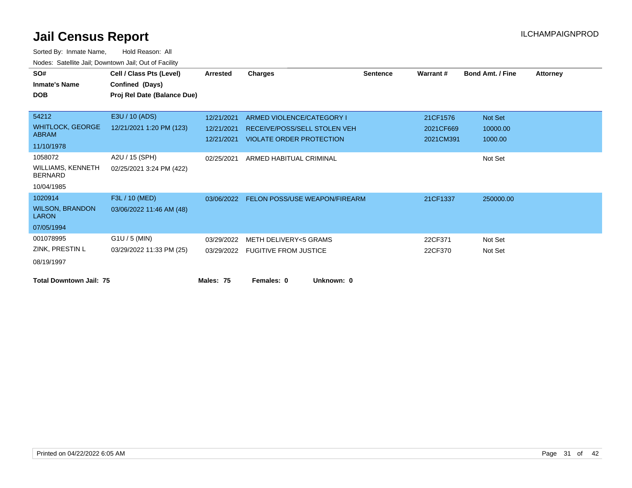| SO#<br><b>Inmate's Name</b><br><b>DOB</b>                           | Cell / Class Pts (Level)<br>Confined (Days)<br>Proj Rel Date (Balance Due) | Arrested                               | <b>Charges</b>                                                                               | <b>Sentence</b> | <b>Warrant#</b>                    | <b>Bond Amt. / Fine</b>        | <b>Attorney</b> |
|---------------------------------------------------------------------|----------------------------------------------------------------------------|----------------------------------------|----------------------------------------------------------------------------------------------|-----------------|------------------------------------|--------------------------------|-----------------|
| 54212<br><b>WHITLOCK, GEORGE</b><br><b>ABRAM</b><br>11/10/1978      | E3U / 10 (ADS)<br>12/21/2021 1:20 PM (123)                                 | 12/21/2021<br>12/21/2021<br>12/21/2021 | ARMED VIOLENCE/CATEGORY I<br>RECEIVE/POSS/SELL STOLEN VEH<br><b>VIOLATE ORDER PROTECTION</b> |                 | 21CF1576<br>2021CF669<br>2021CM391 | Not Set<br>10000.00<br>1000.00 |                 |
| 1058072<br><b>WILLIAMS, KENNETH</b><br><b>BERNARD</b><br>10/04/1985 | A2U / 15 (SPH)<br>02/25/2021 3:24 PM (422)                                 | 02/25/2021                             | ARMED HABITUAL CRIMINAL                                                                      |                 |                                    | Not Set                        |                 |
| 1020914<br><b>WILSON, BRANDON</b><br><b>LARON</b><br>07/05/1994     | F3L / 10 (MED)<br>03/06/2022 11:46 AM (48)                                 |                                        | 03/06/2022 FELON POSS/USE WEAPON/FIREARM                                                     |                 | 21CF1337                           | 250000.00                      |                 |
| 001078995<br>ZINK, PRESTIN L<br>08/19/1997                          | $G1U / 5$ (MIN)<br>03/29/2022 11:33 PM (25)                                | 03/29/2022                             | <b>METH DELIVERY&lt;5 GRAMS</b><br>03/29/2022 FUGITIVE FROM JUSTICE                          |                 | 22CF371<br>22CF370                 | Not Set<br>Not Set             |                 |
| <b>Total Downtown Jail: 75</b>                                      |                                                                            | Males: 75                              | Females: 0                                                                                   | Unknown: 0      |                                    |                                |                 |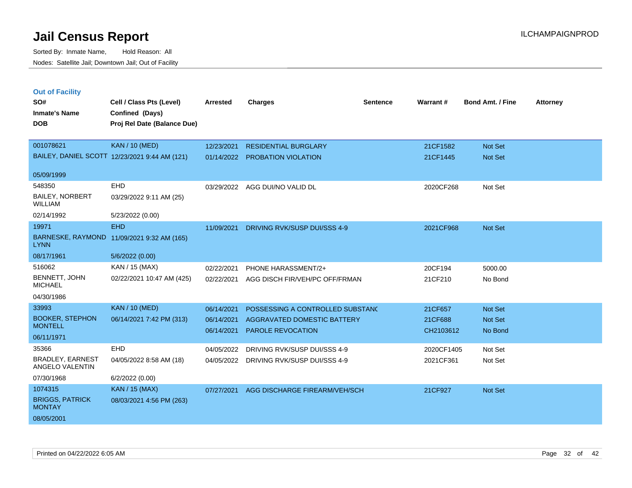|     | <b>Out of Facility</b> |    |
|-----|------------------------|----|
| SO# |                        | Ce |

| SO#                                        | Cell / Class Pts (Level)                      | <b>Arrested</b> | <b>Charges</b>                          | <b>Sentence</b> | Warrant#   | <b>Bond Amt. / Fine</b> | Attorney |
|--------------------------------------------|-----------------------------------------------|-----------------|-----------------------------------------|-----------------|------------|-------------------------|----------|
| <b>Inmate's Name</b>                       | Confined (Days)                               |                 |                                         |                 |            |                         |          |
| <b>DOB</b>                                 | Proj Rel Date (Balance Due)                   |                 |                                         |                 |            |                         |          |
|                                            |                                               |                 |                                         |                 |            |                         |          |
| 001078621                                  | <b>KAN / 10 (MED)</b>                         | 12/23/2021      | <b>RESIDENTIAL BURGLARY</b>             |                 | 21CF1582   | Not Set                 |          |
|                                            | BAILEY, DANIEL SCOTT 12/23/2021 9:44 AM (121) |                 | 01/14/2022 PROBATION VIOLATION          |                 | 21CF1445   | Not Set                 |          |
| 05/09/1999                                 |                                               |                 |                                         |                 |            |                         |          |
| 548350                                     | EHD                                           | 03/29/2022      | AGG DUI/NO VALID DL                     |                 | 2020CF268  | Not Set                 |          |
| <b>BAILEY, NORBERT</b><br><b>WILLIAM</b>   | 03/29/2022 9:11 AM (25)                       |                 |                                         |                 |            |                         |          |
| 02/14/1992                                 | 5/23/2022 (0.00)                              |                 |                                         |                 |            |                         |          |
| 19971                                      | <b>EHD</b>                                    | 11/09/2021      | <b>DRIVING RVK/SUSP DUI/SSS 4-9</b>     |                 | 2021CF968  | Not Set                 |          |
| <b>LYNN</b>                                | BARNESKE, RAYMOND 11/09/2021 9:32 AM (165)    |                 |                                         |                 |            |                         |          |
| 08/17/1961                                 | 5/6/2022 (0.00)                               |                 |                                         |                 |            |                         |          |
| 516062                                     | KAN / 15 (MAX)                                | 02/22/2021      | PHONE HARASSMENT/2+                     |                 | 20CF194    | 5000.00                 |          |
| BENNETT, JOHN<br><b>MICHAEL</b>            | 02/22/2021 10:47 AM (425)                     | 02/22/2021      | AGG DISCH FIR/VEH/PC OFF/FRMAN          |                 | 21CF210    | No Bond                 |          |
| 04/30/1986                                 |                                               |                 |                                         |                 |            |                         |          |
| 33993                                      | <b>KAN / 10 (MED)</b>                         | 06/14/2021      | POSSESSING A CONTROLLED SUBSTANC        |                 | 21CF657    | Not Set                 |          |
| <b>BOOKER, STEPHON</b>                     | 06/14/2021 7:42 PM (313)                      | 06/14/2021      | AGGRAVATED DOMESTIC BATTERY             |                 | 21CF688    | Not Set                 |          |
| <b>MONTELL</b><br>06/11/1971               |                                               | 06/14/2021      | <b>PAROLE REVOCATION</b>                |                 | CH2103612  | No Bond                 |          |
| 35366                                      | EHD                                           |                 |                                         |                 |            |                         |          |
|                                            |                                               | 04/05/2022      | DRIVING RVK/SUSP DUI/SSS 4-9            |                 | 2020CF1405 | Not Set                 |          |
| <b>BRADLEY, EARNEST</b><br>ANGELO VALENTIN | 04/05/2022 8:58 AM (18)                       |                 | 04/05/2022 DRIVING RVK/SUSP DUI/SSS 4-9 |                 | 2021CF361  | Not Set                 |          |
| 07/30/1968                                 | 6/2/2022 (0.00)                               |                 |                                         |                 |            |                         |          |
| 1074315                                    | <b>KAN / 15 (MAX)</b>                         | 07/27/2021      | AGG DISCHARGE FIREARM/VEH/SCH           |                 | 21CF927    | Not Set                 |          |
| <b>BRIGGS, PATRICK</b><br><b>MONTAY</b>    | 08/03/2021 4:56 PM (263)                      |                 |                                         |                 |            |                         |          |
| 08/05/2001                                 |                                               |                 |                                         |                 |            |                         |          |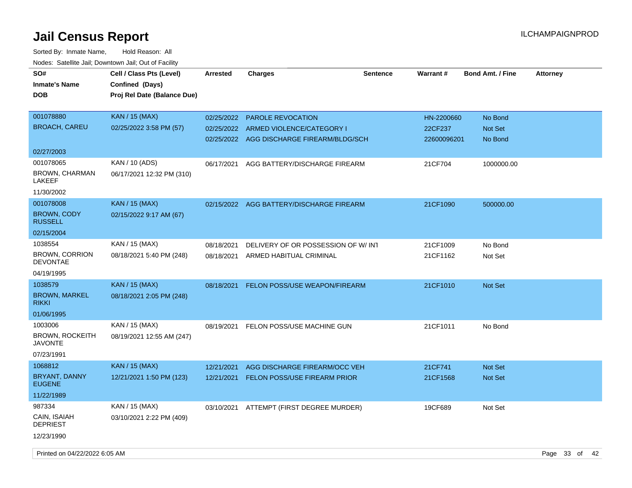| SO#<br><b>Inmate's Name</b><br><b>DOB</b>                         | Cell / Class Pts (Level)<br>Confined (Days)<br>Proj Rel Date (Balance Due) | <b>Arrested</b>          | <b>Charges</b>                                                                                     | <b>Sentence</b> | Warrant#                             | <b>Bond Amt. / Fine</b>       | <b>Attorney</b> |
|-------------------------------------------------------------------|----------------------------------------------------------------------------|--------------------------|----------------------------------------------------------------------------------------------------|-----------------|--------------------------------------|-------------------------------|-----------------|
| 001078880<br><b>BROACH, CAREU</b>                                 | KAN / 15 (MAX)<br>02/25/2022 3:58 PM (57)                                  | 02/25/2022<br>02/25/2022 | <b>PAROLE REVOCATION</b><br>ARMED VIOLENCE/CATEGORY I<br>02/25/2022 AGG DISCHARGE FIREARM/BLDG/SCH |                 | HN-2200660<br>22CF237<br>22600096201 | No Bond<br>Not Set<br>No Bond |                 |
| 02/27/2003                                                        |                                                                            |                          |                                                                                                    |                 |                                      |                               |                 |
| 001078065<br><b>BROWN, CHARMAN</b><br>LAKEEF<br>11/30/2002        | KAN / 10 (ADS)<br>06/17/2021 12:32 PM (310)                                | 06/17/2021               | AGG BATTERY/DISCHARGE FIREARM                                                                      |                 | 21CF704                              | 1000000.00                    |                 |
| 001078008<br><b>BROWN, CODY</b><br><b>RUSSELL</b>                 | <b>KAN / 15 (MAX)</b><br>02/15/2022 9:17 AM (67)                           |                          | 02/15/2022 AGG BATTERY/DISCHARGE FIREARM                                                           |                 | 21CF1090                             | 500000.00                     |                 |
| 02/15/2004                                                        |                                                                            |                          |                                                                                                    |                 |                                      |                               |                 |
| 1038554<br><b>BROWN, CORRION</b><br><b>DEVONTAE</b>               | KAN / 15 (MAX)<br>08/18/2021 5:40 PM (248)                                 | 08/18/2021<br>08/18/2021 | DELIVERY OF OR POSSESSION OF W/INT<br>ARMED HABITUAL CRIMINAL                                      |                 | 21CF1009<br>21CF1162                 | No Bond<br>Not Set            |                 |
| 04/19/1995                                                        |                                                                            |                          |                                                                                                    |                 |                                      |                               |                 |
| 1038579<br><b>BROWN, MARKEL</b><br><b>RIKKI</b><br>01/06/1995     | <b>KAN / 15 (MAX)</b><br>08/18/2021 2:05 PM (248)                          | 08/18/2021               | <b>FELON POSS/USE WEAPON/FIREARM</b>                                                               |                 | 21CF1010                             | <b>Not Set</b>                |                 |
| 1003006<br><b>BROWN, ROCKEITH</b><br><b>JAVONTE</b><br>07/23/1991 | KAN / 15 (MAX)<br>08/19/2021 12:55 AM (247)                                | 08/19/2021               | FELON POSS/USE MACHINE GUN                                                                         |                 | 21CF1011                             | No Bond                       |                 |
| 1068812                                                           | <b>KAN / 15 (MAX)</b>                                                      | 12/21/2021               | AGG DISCHARGE FIREARM/OCC VEH                                                                      |                 | 21CF741                              | Not Set                       |                 |
| BRYANT, DANNY<br><b>EUGENE</b>                                    | 12/21/2021 1:50 PM (123)                                                   | 12/21/2021               | <b>FELON POSS/USE FIREARM PRIOR</b>                                                                |                 | 21CF1568                             | <b>Not Set</b>                |                 |
| 11/22/1989                                                        |                                                                            |                          |                                                                                                    |                 |                                      |                               |                 |
| 987334<br>CAIN, ISAIAH<br><b>DEPRIEST</b><br>12/23/1990           | KAN / 15 (MAX)<br>03/10/2021 2:22 PM (409)                                 | 03/10/2021               | ATTEMPT (FIRST DEGREE MURDER)                                                                      |                 | 19CF689                              | Not Set                       |                 |
|                                                                   |                                                                            |                          |                                                                                                    |                 |                                      |                               |                 |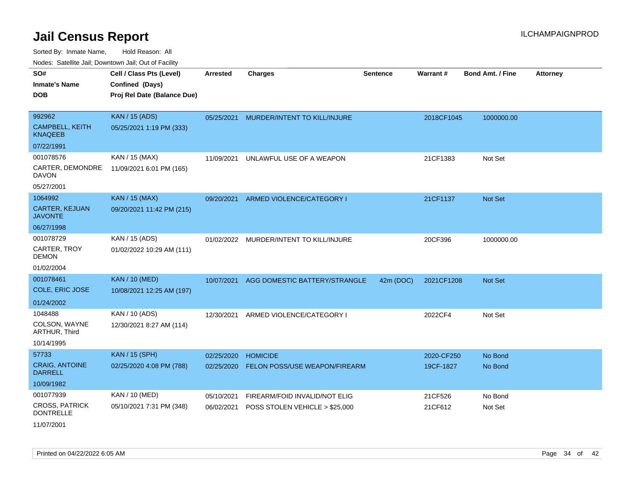| Noues. Sateme Jan, Downtown Jan, Out or Facility |                             |                 |                                |                 |            |                         |                 |
|--------------------------------------------------|-----------------------------|-----------------|--------------------------------|-----------------|------------|-------------------------|-----------------|
| SO#                                              | Cell / Class Pts (Level)    | <b>Arrested</b> | <b>Charges</b>                 | <b>Sentence</b> | Warrant#   | <b>Bond Amt. / Fine</b> | <b>Attorney</b> |
| <b>Inmate's Name</b>                             | Confined (Days)             |                 |                                |                 |            |                         |                 |
| <b>DOB</b>                                       | Proj Rel Date (Balance Due) |                 |                                |                 |            |                         |                 |
|                                                  |                             |                 |                                |                 |            |                         |                 |
| 992962                                           | <b>KAN / 15 (ADS)</b>       | 05/25/2021      | MURDER/INTENT TO KILL/INJURE   |                 | 2018CF1045 | 1000000.00              |                 |
| <b>CAMPBELL, KEITH</b><br><b>KNAQEEB</b>         | 05/25/2021 1:19 PM (333)    |                 |                                |                 |            |                         |                 |
| 07/22/1991                                       |                             |                 |                                |                 |            |                         |                 |
| 001078576                                        | KAN / 15 (MAX)              | 11/09/2021      | UNLAWFUL USE OF A WEAPON       |                 | 21CF1383   | Not Set                 |                 |
| CARTER, DEMONDRE<br>DAVON                        | 11/09/2021 6:01 PM (165)    |                 |                                |                 |            |                         |                 |
| 05/27/2001                                       |                             |                 |                                |                 |            |                         |                 |
| 1064992                                          | <b>KAN / 15 (MAX)</b>       | 09/20/2021      | ARMED VIOLENCE/CATEGORY I      |                 | 21CF1137   | Not Set                 |                 |
| <b>CARTER, KEJUAN</b><br><b>JAVONTE</b>          | 09/20/2021 11:42 PM (215)   |                 |                                |                 |            |                         |                 |
| 06/27/1998                                       |                             |                 |                                |                 |            |                         |                 |
| 001078729                                        | KAN / 15 (ADS)              | 01/02/2022      | MURDER/INTENT TO KILL/INJURE   |                 | 20CF396    | 1000000.00              |                 |
| CARTER, TROY<br><b>DEMON</b>                     | 01/02/2022 10:29 AM (111)   |                 |                                |                 |            |                         |                 |
| 01/02/2004                                       |                             |                 |                                |                 |            |                         |                 |
| 001078461                                        | <b>KAN / 10 (MED)</b>       | 10/07/2021      | AGG DOMESTIC BATTERY/STRANGLE  | 42m (DOC)       | 2021CF1208 | <b>Not Set</b>          |                 |
| COLE, ERIC JOSE                                  | 10/08/2021 12:25 AM (197)   |                 |                                |                 |            |                         |                 |
| 01/24/2002                                       |                             |                 |                                |                 |            |                         |                 |
| 1048488                                          | KAN / 10 (ADS)              | 12/30/2021      | ARMED VIOLENCE/CATEGORY I      |                 | 2022CF4    | Not Set                 |                 |
| COLSON, WAYNE<br>ARTHUR, Third                   | 12/30/2021 8:27 AM (114)    |                 |                                |                 |            |                         |                 |
| 10/14/1995                                       |                             |                 |                                |                 |            |                         |                 |
| 57733                                            | <b>KAN / 15 (SPH)</b>       | 02/25/2020      | <b>HOMICIDE</b>                |                 | 2020-CF250 | No Bond                 |                 |
| <b>CRAIG, ANTOINE</b><br><b>DARRELL</b>          | 02/25/2020 4:08 PM (788)    | 02/25/2020      | FELON POSS/USE WEAPON/FIREARM  |                 | 19CF-1827  | No Bond                 |                 |
| 10/09/1982                                       |                             |                 |                                |                 |            |                         |                 |
| 001077939                                        | KAN / 10 (MED)              | 05/10/2021      | FIREARM/FOID INVALID/NOT ELIG  |                 | 21CF526    | No Bond                 |                 |
| <b>CROSS, PATRICK</b><br><b>DONTRELLE</b>        | 05/10/2021 7:31 PM (348)    | 06/02/2021      | POSS STOLEN VEHICLE > \$25,000 |                 | 21CF612    | Not Set                 |                 |
| 11/07/2001                                       |                             |                 |                                |                 |            |                         |                 |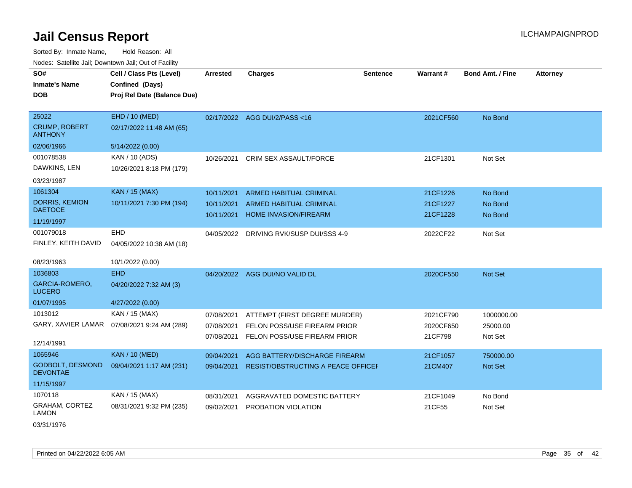Sorted By: Inmate Name, Hold Reason: All Nodes: Satellite Jail; Downtown Jail; Out of Facility

| SO#<br><b>Inmate's Name</b>                | Cell / Class Pts (Level)<br>Confined (Days) | <b>Arrested</b> | <b>Charges</b>                            | <b>Sentence</b> | Warrant#  | <b>Bond Amt. / Fine</b> | <b>Attorney</b> |
|--------------------------------------------|---------------------------------------------|-----------------|-------------------------------------------|-----------------|-----------|-------------------------|-----------------|
| <b>DOB</b>                                 | Proj Rel Date (Balance Due)                 |                 |                                           |                 |           |                         |                 |
|                                            |                                             |                 |                                           |                 |           |                         |                 |
| 25022                                      | EHD / 10 (MED)                              |                 | 02/17/2022 AGG DUI/2/PASS<16              |                 | 2021CF560 | No Bond                 |                 |
| <b>CRUMP, ROBERT</b><br><b>ANTHONY</b>     | 02/17/2022 11:48 AM (65)                    |                 |                                           |                 |           |                         |                 |
| 02/06/1966                                 | 5/14/2022 (0.00)                            |                 |                                           |                 |           |                         |                 |
| 001078538                                  | KAN / 10 (ADS)                              | 10/26/2021      | CRIM SEX ASSAULT/FORCE                    |                 | 21CF1301  | Not Set                 |                 |
| DAWKINS, LEN                               | 10/26/2021 8:18 PM (179)                    |                 |                                           |                 |           |                         |                 |
| 03/23/1987                                 |                                             |                 |                                           |                 |           |                         |                 |
| 1061304                                    | <b>KAN / 15 (MAX)</b>                       | 10/11/2021      | <b>ARMED HABITUAL CRIMINAL</b>            |                 | 21CF1226  | No Bond                 |                 |
| <b>DORRIS, KEMION</b>                      | 10/11/2021 7:30 PM (194)                    | 10/11/2021      | ARMED HABITUAL CRIMINAL                   |                 | 21CF1227  | No Bond                 |                 |
| <b>DAETOCE</b>                             |                                             | 10/11/2021      | HOME INVASION/FIREARM                     |                 | 21CF1228  | No Bond                 |                 |
| 11/19/1997                                 |                                             |                 |                                           |                 |           |                         |                 |
| 001079018                                  | <b>EHD</b>                                  | 04/05/2022      | DRIVING RVK/SUSP DUI/SSS 4-9              |                 | 2022CF22  | Not Set                 |                 |
| FINLEY, KEITH DAVID                        | 04/05/2022 10:38 AM (18)                    |                 |                                           |                 |           |                         |                 |
| 08/23/1963                                 | 10/1/2022 (0.00)                            |                 |                                           |                 |           |                         |                 |
| 1036803                                    | <b>EHD</b>                                  |                 |                                           |                 |           |                         |                 |
| <b>GARCIA-ROMERO,</b>                      |                                             |                 | 04/20/2022 AGG DUI/NO VALID DL            |                 | 2020CF550 | Not Set                 |                 |
| <b>LUCERO</b>                              | 04/20/2022 7:32 AM (3)                      |                 |                                           |                 |           |                         |                 |
| 01/07/1995                                 | 4/27/2022 (0.00)                            |                 |                                           |                 |           |                         |                 |
| 1013012                                    | KAN / 15 (MAX)                              | 07/08/2021      | ATTEMPT (FIRST DEGREE MURDER)             |                 | 2021CF790 | 1000000.00              |                 |
| GARY, XAVIER LAMAR                         | 07/08/2021 9:24 AM (289)                    | 07/08/2021      | FELON POSS/USE FIREARM PRIOR              |                 | 2020CF650 | 25000.00                |                 |
|                                            |                                             | 07/08/2021      | FELON POSS/USE FIREARM PRIOR              |                 | 21CF798   | Not Set                 |                 |
| 12/14/1991                                 |                                             |                 |                                           |                 |           |                         |                 |
| 1065946                                    | <b>KAN / 10 (MED)</b>                       | 09/04/2021      | AGG BATTERY/DISCHARGE FIREARM             |                 | 21CF1057  | 750000.00               |                 |
| <b>GODBOLT, DESMOND</b><br><b>DEVONTAE</b> | 09/04/2021 1:17 AM (231)                    | 09/04/2021      | <b>RESIST/OBSTRUCTING A PEACE OFFICEF</b> |                 | 21CM407   | Not Set                 |                 |
| 11/15/1997                                 |                                             |                 |                                           |                 |           |                         |                 |
| 1070118                                    | KAN / 15 (MAX)                              | 08/31/2021      | AGGRAVATED DOMESTIC BATTERY               |                 | 21CF1049  | No Bond                 |                 |
| <b>GRAHAM, CORTEZ</b><br>LAMON             | 08/31/2021 9:32 PM (235)                    | 09/02/2021      | PROBATION VIOLATION                       |                 | 21CF55    | Not Set                 |                 |
| 001011000                                  |                                             |                 |                                           |                 |           |                         |                 |

03/31/1976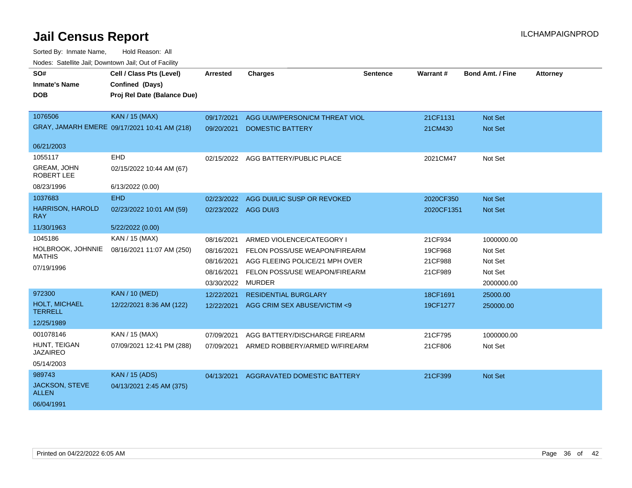| SO#                                   | Cell / Class Pts (Level)                     | <b>Arrested</b>      | <b>Charges</b>                 | <b>Sentence</b> | Warrant#   | <b>Bond Amt. / Fine</b> | <b>Attorney</b> |
|---------------------------------------|----------------------------------------------|----------------------|--------------------------------|-----------------|------------|-------------------------|-----------------|
| <b>Inmate's Name</b>                  | Confined (Days)                              |                      |                                |                 |            |                         |                 |
| <b>DOB</b>                            | Proj Rel Date (Balance Due)                  |                      |                                |                 |            |                         |                 |
|                                       |                                              |                      |                                |                 |            |                         |                 |
| 1076506                               | <b>KAN / 15 (MAX)</b>                        | 09/17/2021           | AGG UUW/PERSON/CM THREAT VIOL  |                 | 21CF1131   | <b>Not Set</b>          |                 |
|                                       | GRAY, JAMARH EMERE 09/17/2021 10:41 AM (218) | 09/20/2021           | <b>DOMESTIC BATTERY</b>        |                 | 21CM430    | Not Set                 |                 |
| 06/21/2003                            |                                              |                      |                                |                 |            |                         |                 |
| 1055117                               | EHD                                          | 02/15/2022           | AGG BATTERY/PUBLIC PLACE       |                 | 2021CM47   | Not Set                 |                 |
| <b>GREAM, JOHN</b><br>ROBERT LEE      | 02/15/2022 10:44 AM (67)                     |                      |                                |                 |            |                         |                 |
| 08/23/1996                            | 6/13/2022 (0.00)                             |                      |                                |                 |            |                         |                 |
| 1037683                               | <b>EHD</b>                                   | 02/23/2022           | AGG DUI/LIC SUSP OR REVOKED    |                 | 2020CF350  | <b>Not Set</b>          |                 |
| <b>HARRISON, HAROLD</b><br><b>RAY</b> | 02/23/2022 10:01 AM (59)                     | 02/23/2022 AGG DUI/3 |                                |                 | 2020CF1351 | <b>Not Set</b>          |                 |
| 11/30/1963                            | 5/22/2022 (0.00)                             |                      |                                |                 |            |                         |                 |
| 1045186                               | <b>KAN / 15 (MAX)</b>                        | 08/16/2021           | ARMED VIOLENCE/CATEGORY I      |                 | 21CF934    | 1000000.00              |                 |
| HOLBROOK, JOHNNIE                     | 08/16/2021 11:07 AM (250)                    | 08/16/2021           | FELON POSS/USE WEAPON/FIREARM  |                 | 19CF968    | Not Set                 |                 |
| <b>MATHIS</b>                         |                                              | 08/16/2021           | AGG FLEEING POLICE/21 MPH OVER |                 | 21CF988    | Not Set                 |                 |
| 07/19/1996                            |                                              | 08/16/2021           | FELON POSS/USE WEAPON/FIREARM  |                 | 21CF989    | Not Set                 |                 |
|                                       |                                              | 03/30/2022           | <b>MURDER</b>                  |                 |            | 2000000.00              |                 |
| 972300                                | <b>KAN / 10 (MED)</b>                        | 12/22/2021           | <b>RESIDENTIAL BURGLARY</b>    |                 | 18CF1691   | 25000.00                |                 |
| HOLT, MICHAEL<br><b>TERRELL</b>       | 12/22/2021 8:36 AM (122)                     | 12/22/2021           | AGG CRIM SEX ABUSE/VICTIM <9   |                 | 19CF1277   | 250000.00               |                 |
| 12/25/1989                            |                                              |                      |                                |                 |            |                         |                 |
| 001078146                             | KAN / 15 (MAX)                               | 07/09/2021           | AGG BATTERY/DISCHARGE FIREARM  |                 | 21CF795    | 1000000.00              |                 |
| HUNT, TEIGAN<br><b>JAZAIREO</b>       | 07/09/2021 12:41 PM (288)                    | 07/09/2021           | ARMED ROBBERY/ARMED W/FIREARM  |                 | 21CF806    | Not Set                 |                 |
| 05/14/2003                            |                                              |                      |                                |                 |            |                         |                 |
| 989743                                | <b>KAN</b> / 15 (ADS)                        | 04/13/2021           | AGGRAVATED DOMESTIC BATTERY    |                 | 21CF399    | Not Set                 |                 |
| <b>JACKSON, STEVE</b><br><b>ALLEN</b> | 04/13/2021 2:45 AM (375)                     |                      |                                |                 |            |                         |                 |
| 06/04/1991                            |                                              |                      |                                |                 |            |                         |                 |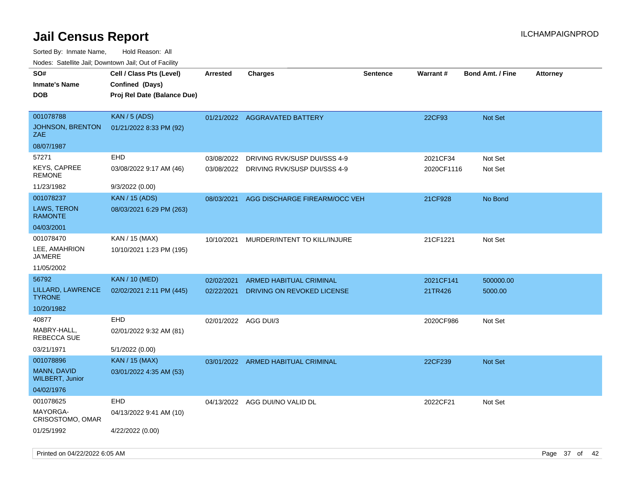| SO#<br><b>Inmate's Name</b><br><b>DOB</b>   | Cell / Class Pts (Level)<br>Confined (Days)<br>Proj Rel Date (Balance Due) | Arrested             | <b>Charges</b>                     | Sentence | <b>Warrant#</b> | <b>Bond Amt. / Fine</b> | <b>Attorney</b> |
|---------------------------------------------|----------------------------------------------------------------------------|----------------------|------------------------------------|----------|-----------------|-------------------------|-----------------|
| 001078788<br>JOHNSON, BRENTON<br><b>ZAE</b> | <b>KAN / 5 (ADS)</b><br>01/21/2022 8:33 PM (92)                            |                      | 01/21/2022 AGGRAVATED BATTERY      |          | 22CF93          | Not Set                 |                 |
| 08/07/1987                                  |                                                                            |                      |                                    |          |                 |                         |                 |
| 57271                                       | EHD                                                                        | 03/08/2022           | DRIVING RVK/SUSP DUI/SSS 4-9       |          | 2021CF34        | Not Set                 |                 |
| <b>KEYS, CAPREE</b><br><b>REMONE</b>        | 03/08/2022 9:17 AM (46)                                                    | 03/08/2022           | DRIVING RVK/SUSP DUI/SSS 4-9       |          | 2020CF1116      | Not Set                 |                 |
| 11/23/1982                                  | 9/3/2022 (0.00)                                                            |                      |                                    |          |                 |                         |                 |
| 001078237                                   | <b>KAN</b> / 15 (ADS)                                                      | 08/03/2021           | AGG DISCHARGE FIREARM/OCC VEH      |          | 21CF928         | No Bond                 |                 |
| LAWS, TERON<br><b>RAMONTE</b>               | 08/03/2021 6:29 PM (263)                                                   |                      |                                    |          |                 |                         |                 |
| 04/03/2001                                  |                                                                            |                      |                                    |          |                 |                         |                 |
| 001078470                                   | KAN / 15 (MAX)                                                             | 10/10/2021           | MURDER/INTENT TO KILL/INJURE       |          | 21CF1221        | Not Set                 |                 |
| LEE, AMAHRION<br><b>JA'MERE</b>             | 10/10/2021 1:23 PM (195)                                                   |                      |                                    |          |                 |                         |                 |
| 11/05/2002                                  |                                                                            |                      |                                    |          |                 |                         |                 |
| 56792                                       | <b>KAN / 10 (MED)</b>                                                      | 02/02/2021           | ARMED HABITUAL CRIMINAL            |          | 2021CF141       | 500000.00               |                 |
| LILLARD, LAWRENCE<br><b>TYRONE</b>          | 02/02/2021 2:11 PM (445)                                                   | 02/22/2021           | DRIVING ON REVOKED LICENSE         |          | 21TR426         | 5000.00                 |                 |
| 10/20/1982                                  |                                                                            |                      |                                    |          |                 |                         |                 |
| 40877                                       | <b>EHD</b>                                                                 | 02/01/2022 AGG DUI/3 |                                    |          | 2020CF986       | Not Set                 |                 |
| MABRY-HALL,<br>REBECCA SUE                  | 02/01/2022 9:32 AM (81)                                                    |                      |                                    |          |                 |                         |                 |
| 03/21/1971                                  | 5/1/2022 (0.00)                                                            |                      |                                    |          |                 |                         |                 |
| 001078896                                   | <b>KAN / 15 (MAX)</b>                                                      |                      | 03/01/2022 ARMED HABITUAL CRIMINAL |          | 22CF239         | Not Set                 |                 |
| MANN, DAVID<br><b>WILBERT, Junior</b>       | 03/01/2022 4:35 AM (53)                                                    |                      |                                    |          |                 |                         |                 |
| 04/02/1976                                  |                                                                            |                      |                                    |          |                 |                         |                 |
| 001078625                                   | <b>EHD</b>                                                                 | 04/13/2022           | AGG DUI/NO VALID DL                |          | 2022CF21        | Not Set                 |                 |
| MAYORGA-<br>CRISOSTOMO, OMAR                | 04/13/2022 9:41 AM (10)                                                    |                      |                                    |          |                 |                         |                 |
| 01/25/1992                                  | 4/22/2022 (0.00)                                                           |                      |                                    |          |                 |                         |                 |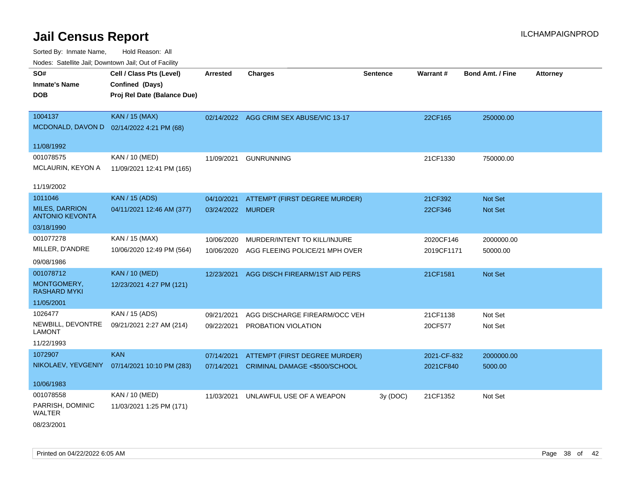Sorted By: Inmate Name, Hold Reason: All Nodes: Satellite Jail; Downtown Jail; Out of Facility

| voues. Salemie Jan, Downtown Jan, Out of Facility |                                           |                   |                                         |                 |             |                         |                 |
|---------------------------------------------------|-------------------------------------------|-------------------|-----------------------------------------|-----------------|-------------|-------------------------|-----------------|
| SO#                                               | Cell / Class Pts (Level)                  | <b>Arrested</b>   | <b>Charges</b>                          | <b>Sentence</b> | Warrant#    | <b>Bond Amt. / Fine</b> | <b>Attorney</b> |
| <b>Inmate's Name</b>                              | Confined (Days)                           |                   |                                         |                 |             |                         |                 |
| <b>DOB</b>                                        | Proj Rel Date (Balance Due)               |                   |                                         |                 |             |                         |                 |
|                                                   |                                           |                   |                                         |                 |             |                         |                 |
| 1004137                                           | KAN / 15 (MAX)                            |                   | 02/14/2022 AGG CRIM SEX ABUSE/VIC 13-17 |                 | 22CF165     | 250000.00               |                 |
|                                                   | MCDONALD, DAVON D 02/14/2022 4:21 PM (68) |                   |                                         |                 |             |                         |                 |
| 11/08/1992                                        |                                           |                   |                                         |                 |             |                         |                 |
| 001078575                                         | KAN / 10 (MED)                            | 11/09/2021        | <b>GUNRUNNING</b>                       |                 | 21CF1330    | 750000.00               |                 |
| MCLAURIN, KEYON A                                 | 11/09/2021 12:41 PM (165)                 |                   |                                         |                 |             |                         |                 |
|                                                   |                                           |                   |                                         |                 |             |                         |                 |
| 11/19/2002                                        |                                           |                   |                                         |                 |             |                         |                 |
| 1011046                                           | <b>KAN / 15 (ADS)</b>                     | 04/10/2021        | ATTEMPT (FIRST DEGREE MURDER)           |                 | 21CF392     | <b>Not Set</b>          |                 |
| <b>MILES, DARRION</b><br><b>ANTONIO KEVONTA</b>   | 04/11/2021 12:46 AM (377)                 | 03/24/2022 MURDER |                                         |                 | 22CF346     | <b>Not Set</b>          |                 |
| 03/18/1990                                        |                                           |                   |                                         |                 |             |                         |                 |
| 001077278                                         | KAN / 15 (MAX)                            | 10/06/2020        | MURDER/INTENT TO KILL/INJURE            |                 | 2020CF146   | 2000000.00              |                 |
| MILLER, D'ANDRE                                   | 10/06/2020 12:49 PM (564)                 | 10/06/2020        | AGG FLEEING POLICE/21 MPH OVER          |                 | 2019CF1171  | 50000.00                |                 |
| 09/08/1986                                        |                                           |                   |                                         |                 |             |                         |                 |
| 001078712                                         | <b>KAN / 10 (MED)</b>                     | 12/23/2021        | AGG DISCH FIREARM/1ST AID PERS          |                 | 21CF1581    | Not Set                 |                 |
| MONTGOMERY,<br>RASHARD MYKI                       | 12/23/2021 4:27 PM (121)                  |                   |                                         |                 |             |                         |                 |
| 11/05/2001                                        |                                           |                   |                                         |                 |             |                         |                 |
| 1026477                                           |                                           |                   |                                         |                 |             |                         |                 |
|                                                   | KAN / 15 (ADS)                            | 09/21/2021        | AGG DISCHARGE FIREARM/OCC VEH           |                 | 21CF1138    | Not Set                 |                 |
| NEWBILL, DEVONTRE<br>LAMONT                       | 09/21/2021 2:27 AM (214)                  | 09/22/2021        | PROBATION VIOLATION                     |                 | 20CF577     | Not Set                 |                 |
| 11/22/1993                                        |                                           |                   |                                         |                 |             |                         |                 |
| 1072907                                           | <b>KAN</b>                                | 07/14/2021        | ATTEMPT (FIRST DEGREE MURDER)           |                 | 2021-CF-832 | 2000000.00              |                 |
| NIKOLAEV, YEVGENIY                                | 07/14/2021 10:10 PM (283)                 | 07/14/2021        | CRIMINAL DAMAGE <\$500/SCHOOL           |                 | 2021CF840   | 5000.00                 |                 |
|                                                   |                                           |                   |                                         |                 |             |                         |                 |
| 10/06/1983                                        |                                           |                   |                                         |                 |             |                         |                 |
| 001078558                                         | KAN / 10 (MED)                            | 11/03/2021        | UNLAWFUL USE OF A WEAPON                | 3y (DOC)        | 21CF1352    | Not Set                 |                 |
| PARRISH, DOMINIC<br><b>WALTER</b>                 | 11/03/2021 1:25 PM (171)                  |                   |                                         |                 |             |                         |                 |
| 00/00/0004                                        |                                           |                   |                                         |                 |             |                         |                 |

08/23/2001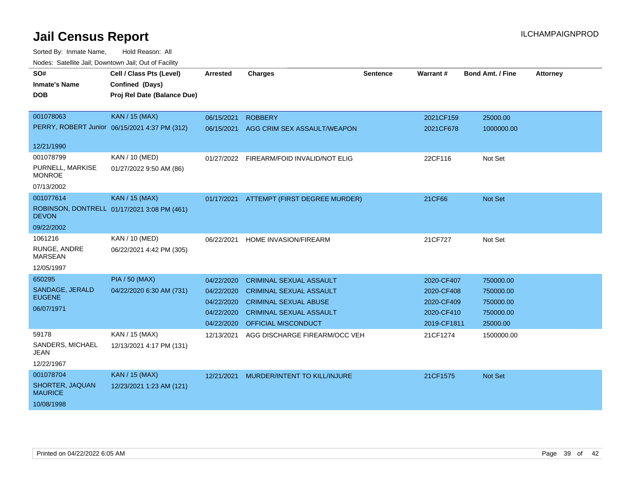| rioucs. Odichilc Jah, Downtown Jah, Out of Facility |                                               |                 |                                          |                 |             |                         |                 |
|-----------------------------------------------------|-----------------------------------------------|-----------------|------------------------------------------|-----------------|-------------|-------------------------|-----------------|
| SO#                                                 | Cell / Class Pts (Level)                      | <b>Arrested</b> | <b>Charges</b>                           | <b>Sentence</b> | Warrant#    | <b>Bond Amt. / Fine</b> | <b>Attorney</b> |
| <b>Inmate's Name</b>                                | Confined (Days)                               |                 |                                          |                 |             |                         |                 |
| <b>DOB</b>                                          | Proj Rel Date (Balance Due)                   |                 |                                          |                 |             |                         |                 |
|                                                     |                                               |                 |                                          |                 |             |                         |                 |
| 001078063                                           | <b>KAN / 15 (MAX)</b>                         | 06/15/2021      | <b>ROBBERY</b>                           |                 | 2021CF159   | 25000.00                |                 |
|                                                     | PERRY, ROBERT Junior 06/15/2021 4:37 PM (312) | 06/15/2021      | AGG CRIM SEX ASSAULT/WEAPON              |                 | 2021CF678   | 1000000.00              |                 |
|                                                     |                                               |                 |                                          |                 |             |                         |                 |
| 12/21/1990                                          |                                               |                 |                                          |                 |             |                         |                 |
| 001078799                                           | KAN / 10 (MED)                                |                 | 01/27/2022 FIREARM/FOID INVALID/NOT ELIG |                 | 22CF116     | Not Set                 |                 |
| PURNELL, MARKISE<br><b>MONROE</b>                   | 01/27/2022 9:50 AM (86)                       |                 |                                          |                 |             |                         |                 |
| 07/13/2002                                          |                                               |                 |                                          |                 |             |                         |                 |
| 001077614                                           | KAN / 15 (MAX)                                |                 | 01/17/2021 ATTEMPT (FIRST DEGREE MURDER) |                 | 21CF66      | <b>Not Set</b>          |                 |
| <b>DEVON</b>                                        | ROBINSON, DONTRELL 01/17/2021 3:08 PM (461)   |                 |                                          |                 |             |                         |                 |
| 09/22/2002                                          |                                               |                 |                                          |                 |             |                         |                 |
| 1061216                                             | KAN / 10 (MED)                                | 06/22/2021      | <b>HOME INVASION/FIREARM</b>             |                 | 21CF727     | Not Set                 |                 |
| RUNGE, ANDRE<br><b>MARSEAN</b>                      | 06/22/2021 4:42 PM (305)                      |                 |                                          |                 |             |                         |                 |
| 12/05/1997                                          |                                               |                 |                                          |                 |             |                         |                 |
| 650295                                              | <b>PIA / 50 (MAX)</b>                         | 04/22/2020      | <b>CRIMINAL SEXUAL ASSAULT</b>           |                 | 2020-CF407  | 750000.00               |                 |
| SANDAGE, JERALD                                     | 04/22/2020 6:30 AM (731)                      | 04/22/2020      | <b>CRIMINAL SEXUAL ASSAULT</b>           |                 | 2020-CF408  | 750000.00               |                 |
| <b>EUGENE</b>                                       |                                               | 04/22/2020      | <b>CRIMINAL SEXUAL ABUSE</b>             |                 | 2020-CF409  | 750000.00               |                 |
| 06/07/1971                                          |                                               | 04/22/2020      | <b>CRIMINAL SEXUAL ASSAULT</b>           |                 | 2020-CF410  | 750000.00               |                 |
|                                                     |                                               | 04/22/2020      | OFFICIAL MISCONDUCT                      |                 | 2019-CF1811 | 25000.00                |                 |
| 59178                                               | KAN / 15 (MAX)                                | 12/13/2021      | AGG DISCHARGE FIREARM/OCC VEH            |                 | 21CF1274    | 1500000.00              |                 |
| SANDERS, MICHAEL<br>JEAN                            | 12/13/2021 4:17 PM (131)                      |                 |                                          |                 |             |                         |                 |
| 12/22/1967                                          |                                               |                 |                                          |                 |             |                         |                 |
| 001078704                                           | <b>KAN</b> / 15 (MAX)                         | 12/21/2021      | MURDER/INTENT TO KILL/INJURE             |                 | 21CF1575    | <b>Not Set</b>          |                 |
| SHORTER, JAQUAN<br><b>MAURICE</b>                   | 12/23/2021 1:23 AM (121)                      |                 |                                          |                 |             |                         |                 |
| 10/08/1998                                          |                                               |                 |                                          |                 |             |                         |                 |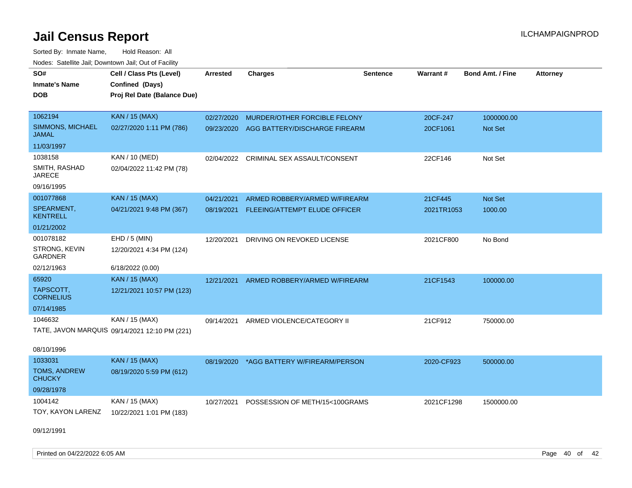Sorted By: Inmate Name, Hold Reason: All Nodes: Satellite Jail; Downtown Jail; Out of Facility

| SO#                              | Cell / Class Pts (Level)                      | <b>Arrested</b> | <b>Charges</b>                          | <b>Sentence</b> | Warrant#   | <b>Bond Amt. / Fine</b> | <b>Attorney</b> |
|----------------------------------|-----------------------------------------------|-----------------|-----------------------------------------|-----------------|------------|-------------------------|-----------------|
| <b>Inmate's Name</b>             | Confined (Days)                               |                 |                                         |                 |            |                         |                 |
| DOB                              | Proj Rel Date (Balance Due)                   |                 |                                         |                 |            |                         |                 |
|                                  |                                               |                 |                                         |                 |            |                         |                 |
| 1062194                          | <b>KAN / 15 (MAX)</b>                         | 02/27/2020      | MURDER/OTHER FORCIBLE FELONY            |                 | 20CF-247   | 1000000.00              |                 |
| SIMMONS, MICHAEL<br><b>JAMAL</b> | 02/27/2020 1:11 PM (786)                      | 09/23/2020      | AGG BATTERY/DISCHARGE FIREARM           |                 | 20CF1061   | <b>Not Set</b>          |                 |
| 11/03/1997                       |                                               |                 |                                         |                 |            |                         |                 |
| 1038158                          | KAN / 10 (MED)                                |                 | 02/04/2022 CRIMINAL SEX ASSAULT/CONSENT |                 | 22CF146    | Not Set                 |                 |
| SMITH, RASHAD<br><b>JARECE</b>   | 02/04/2022 11:42 PM (78)                      |                 |                                         |                 |            |                         |                 |
| 09/16/1995                       |                                               |                 |                                         |                 |            |                         |                 |
| 001077868                        | <b>KAN / 15 (MAX)</b>                         | 04/21/2021      | ARMED ROBBERY/ARMED W/FIREARM           |                 | 21CF445    | Not Set                 |                 |
| SPEARMENT,<br><b>KENTRELL</b>    | 04/21/2021 9:48 PM (367)                      | 08/19/2021      | FLEEING/ATTEMPT ELUDE OFFICER           |                 | 2021TR1053 | 1000.00                 |                 |
| 01/21/2002                       |                                               |                 |                                         |                 |            |                         |                 |
| 001078182                        | EHD / 5 (MIN)                                 | 12/20/2021      | DRIVING ON REVOKED LICENSE              |                 | 2021CF800  | No Bond                 |                 |
| STRONG, KEVIN<br>GARDNER         | 12/20/2021 4:34 PM (124)                      |                 |                                         |                 |            |                         |                 |
| 02/12/1963                       | 6/18/2022 (0.00)                              |                 |                                         |                 |            |                         |                 |
| 65920                            | <b>KAN / 15 (MAX)</b>                         | 12/21/2021      | ARMED ROBBERY/ARMED W/FIREARM           |                 | 21CF1543   | 100000.00               |                 |
| TAPSCOTT,<br><b>CORNELIUS</b>    | 12/21/2021 10:57 PM (123)                     |                 |                                         |                 |            |                         |                 |
| 07/14/1985                       |                                               |                 |                                         |                 |            |                         |                 |
| 1046632                          | KAN / 15 (MAX)                                | 09/14/2021      | ARMED VIOLENCE/CATEGORY II              |                 | 21CF912    | 750000.00               |                 |
|                                  | TATE, JAVON MARQUIS 09/14/2021 12:10 PM (221) |                 |                                         |                 |            |                         |                 |
| 08/10/1996                       |                                               |                 |                                         |                 |            |                         |                 |
| 1033031                          | <b>KAN / 15 (MAX)</b>                         | 08/19/2020      | *AGG BATTERY W/FIREARM/PERSON           |                 | 2020-CF923 | 500000.00               |                 |
| TOMS, ANDREW<br><b>CHUCKY</b>    | 08/19/2020 5:59 PM (612)                      |                 |                                         |                 |            |                         |                 |
| 09/28/1978                       |                                               |                 |                                         |                 |            |                         |                 |
| 1004142                          | KAN / 15 (MAX)                                | 10/27/2021      | POSSESSION OF METH/15<100GRAMS          |                 | 2021CF1298 | 1500000.00              |                 |
| TOY, KAYON LARENZ                | 10/22/2021 1:01 PM (183)                      |                 |                                         |                 |            |                         |                 |
|                                  |                                               |                 |                                         |                 |            |                         |                 |

09/12/1991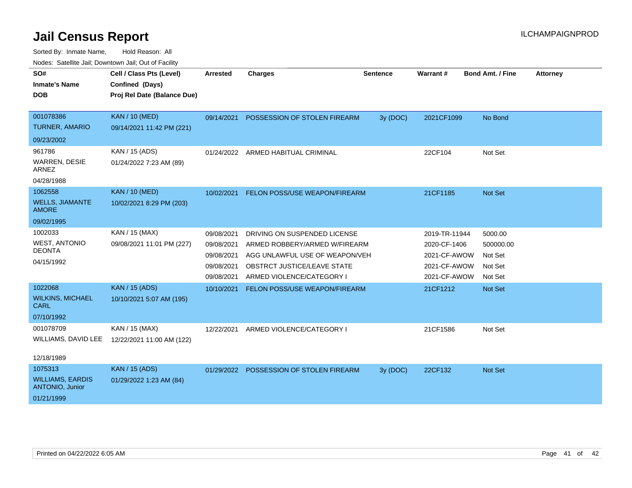| SO#                                        | Cell / Class Pts (Level)                       | <b>Arrested</b> | <b>Charges</b>                          | <b>Sentence</b> | <b>Warrant#</b> | <b>Bond Amt. / Fine</b> | <b>Attorney</b> |
|--------------------------------------------|------------------------------------------------|-----------------|-----------------------------------------|-----------------|-----------------|-------------------------|-----------------|
| <b>Inmate's Name</b><br><b>DOB</b>         | Confined (Days)<br>Proj Rel Date (Balance Due) |                 |                                         |                 |                 |                         |                 |
|                                            |                                                |                 |                                         |                 |                 |                         |                 |
| 001078386                                  | <b>KAN / 10 (MED)</b>                          | 09/14/2021      | POSSESSION OF STOLEN FIREARM            | 3y (DOC)        | 2021CF1099      | No Bond                 |                 |
| <b>TURNER, AMARIO</b>                      | 09/14/2021 11:42 PM (221)                      |                 |                                         |                 |                 |                         |                 |
| 09/23/2002                                 |                                                |                 |                                         |                 |                 |                         |                 |
| 961786                                     | KAN / 15 (ADS)                                 |                 | 01/24/2022 ARMED HABITUAL CRIMINAL      |                 | 22CF104         | Not Set                 |                 |
| WARREN, DESIE<br><b>ARNEZ</b>              | 01/24/2022 7:23 AM (89)                        |                 |                                         |                 |                 |                         |                 |
| 04/28/1988                                 |                                                |                 |                                         |                 |                 |                         |                 |
| 1062558                                    | <b>KAN / 10 (MED)</b>                          | 10/02/2021      | FELON POSS/USE WEAPON/FIREARM           |                 | 21CF1185        | Not Set                 |                 |
| <b>WELLS, JIAMANTE</b><br><b>AMORE</b>     | 10/02/2021 8:29 PM (203)                       |                 |                                         |                 |                 |                         |                 |
| 09/02/1995                                 |                                                |                 |                                         |                 |                 |                         |                 |
| 1002033                                    | KAN / 15 (MAX)                                 | 09/08/2021      | DRIVING ON SUSPENDED LICENSE            |                 | 2019-TR-11944   | 5000.00                 |                 |
| <b>WEST, ANTONIO</b>                       | 09/08/2021 11:01 PM (227)                      | 09/08/2021      | ARMED ROBBERY/ARMED W/FIREARM           |                 | 2020-CF-1406    | 500000.00               |                 |
| <b>DEONTA</b>                              |                                                | 09/08/2021      | AGG UNLAWFUL USE OF WEAPON/VEH          |                 | 2021-CF-AWOW    | Not Set                 |                 |
| 04/15/1992                                 |                                                | 09/08/2021      | OBSTRCT JUSTICE/LEAVE STATE             |                 | 2021-CF-AWOW    | Not Set                 |                 |
|                                            |                                                | 09/08/2021      | ARMED VIOLENCE/CATEGORY I               |                 | 2021-CF-AWOW    | Not Set                 |                 |
| 1022068                                    | <b>KAN / 15 (ADS)</b>                          | 10/10/2021      | FELON POSS/USE WEAPON/FIREARM           |                 | 21CF1212        | Not Set                 |                 |
| <b>WILKINS, MICHAEL</b><br><b>CARL</b>     | 10/10/2021 5:07 AM (195)                       |                 |                                         |                 |                 |                         |                 |
| 07/10/1992                                 |                                                |                 |                                         |                 |                 |                         |                 |
| 001078709                                  | KAN / 15 (MAX)                                 | 12/22/2021      | ARMED VIOLENCE/CATEGORY I               |                 | 21CF1586        | Not Set                 |                 |
| WILLIAMS, DAVID LEE                        | 12/22/2021 11:00 AM (122)                      |                 |                                         |                 |                 |                         |                 |
| 12/18/1989                                 |                                                |                 |                                         |                 |                 |                         |                 |
| 1075313                                    | <b>KAN / 15 (ADS)</b>                          |                 | 01/29/2022 POSSESSION OF STOLEN FIREARM | 3y (DOC)        | 22CF132         | Not Set                 |                 |
| <b>WILLIAMS, EARDIS</b><br>ANTONIO, Junior | 01/29/2022 1:23 AM (84)                        |                 |                                         |                 |                 |                         |                 |
| 01/21/1999                                 |                                                |                 |                                         |                 |                 |                         |                 |